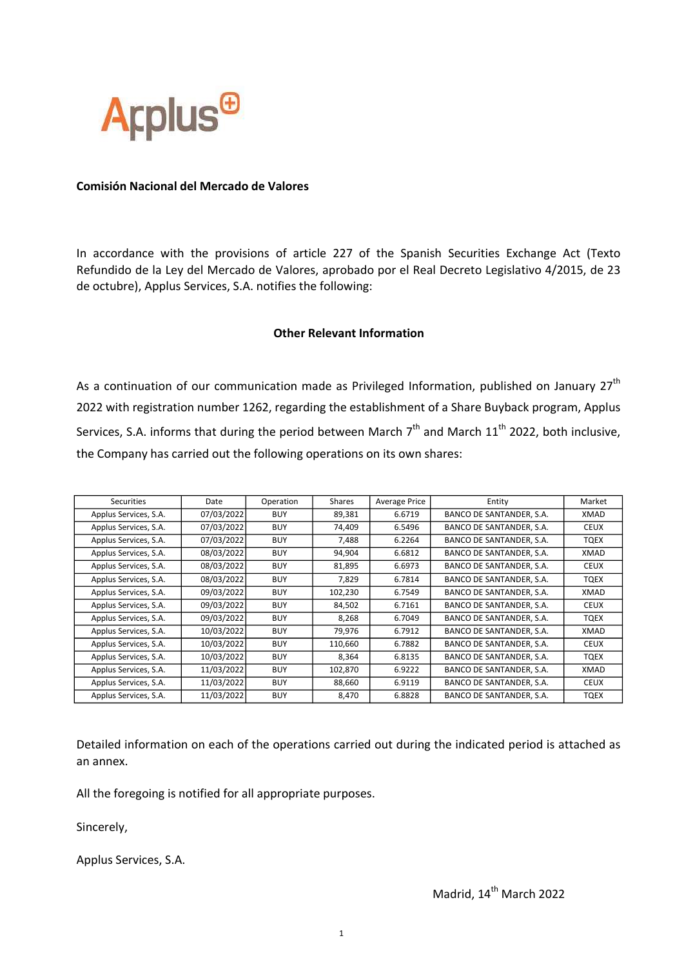

## Comisión Nacional del Mercado de Valores

In accordance with the provisions of article 227 of the Spanish Securities Exchange Act (Texto Refundido de la Ley del Mercado de Valores, aprobado por el Real Decreto Legislativo 4/2015, de 23 de octubre), Applus Services, S.A. notifies the following:

## Other Relevant Information

As a continuation of our communication made as Privileged Information, published on January  $27<sup>th</sup>$ 2022 with registration number 1262, regarding the establishment of a Share Buyback program, Applus Services, S.A. informs that during the period between March  $7<sup>th</sup>$  and March  $11<sup>th</sup>$  2022, both inclusive, the Company has carried out the following operations on its own shares:

| Securities            | Date       | Operation  | <b>Shares</b> | <b>Average Price</b> | Entity                   | Market      |
|-----------------------|------------|------------|---------------|----------------------|--------------------------|-------------|
| Applus Services, S.A. | 07/03/2022 | <b>BUY</b> | 89,381        | 6.6719               | BANCO DE SANTANDER, S.A. | XMAD        |
| Applus Services, S.A. | 07/03/2022 | <b>BUY</b> | 74,409        | 6.5496               | BANCO DE SANTANDER, S.A. | <b>CEUX</b> |
| Applus Services, S.A. | 07/03/2022 | <b>BUY</b> | 7,488         | 6.2264               | BANCO DE SANTANDER, S.A. | TQEX        |
| Applus Services, S.A. | 08/03/2022 | <b>BUY</b> | 94,904        | 6.6812               | BANCO DE SANTANDER, S.A. | XMAD        |
| Applus Services, S.A. | 08/03/2022 | <b>BUY</b> | 81,895        | 6.6973               | BANCO DE SANTANDER, S.A. | <b>CEUX</b> |
| Applus Services, S.A. | 08/03/2022 | <b>BUY</b> | 7,829         | 6.7814               | BANCO DE SANTANDER, S.A. | TQEX        |
| Applus Services, S.A. | 09/03/2022 | <b>BUY</b> | 102,230       | 6.7549               | BANCO DE SANTANDER, S.A. | XMAD        |
| Applus Services, S.A. | 09/03/2022 | <b>BUY</b> | 84,502        | 6.7161               | BANCO DE SANTANDER, S.A. | <b>CEUX</b> |
| Applus Services, S.A. | 09/03/2022 | <b>BUY</b> | 8,268         | 6.7049               | BANCO DE SANTANDER, S.A. | TQEX        |
| Applus Services, S.A. | 10/03/2022 | <b>BUY</b> | 79,976        | 6.7912               | BANCO DE SANTANDER, S.A. | XMAD        |
| Applus Services, S.A. | 10/03/2022 | <b>BUY</b> | 110,660       | 6.7882               | BANCO DE SANTANDER, S.A. | <b>CEUX</b> |
| Applus Services, S.A. | 10/03/2022 | <b>BUY</b> | 8,364         | 6.8135               | BANCO DE SANTANDER, S.A. | TQEX        |
| Applus Services, S.A. | 11/03/2022 | <b>BUY</b> | 102,870       | 6.9222               | BANCO DE SANTANDER, S.A. | XMAD        |
| Applus Services, S.A. | 11/03/2022 | <b>BUY</b> | 88,660        | 6.9119               | BANCO DE SANTANDER, S.A. | <b>CEUX</b> |
| Applus Services, S.A. | 11/03/2022 | <b>BUY</b> | 8,470         | 6.8828               | BANCO DE SANTANDER, S.A. | <b>TQEX</b> |

Detailed information on each of the operations carried out during the indicated period is attached as an annex.

All the foregoing is notified for all appropriate purposes.

Sincerely,

Applus Services, S.A.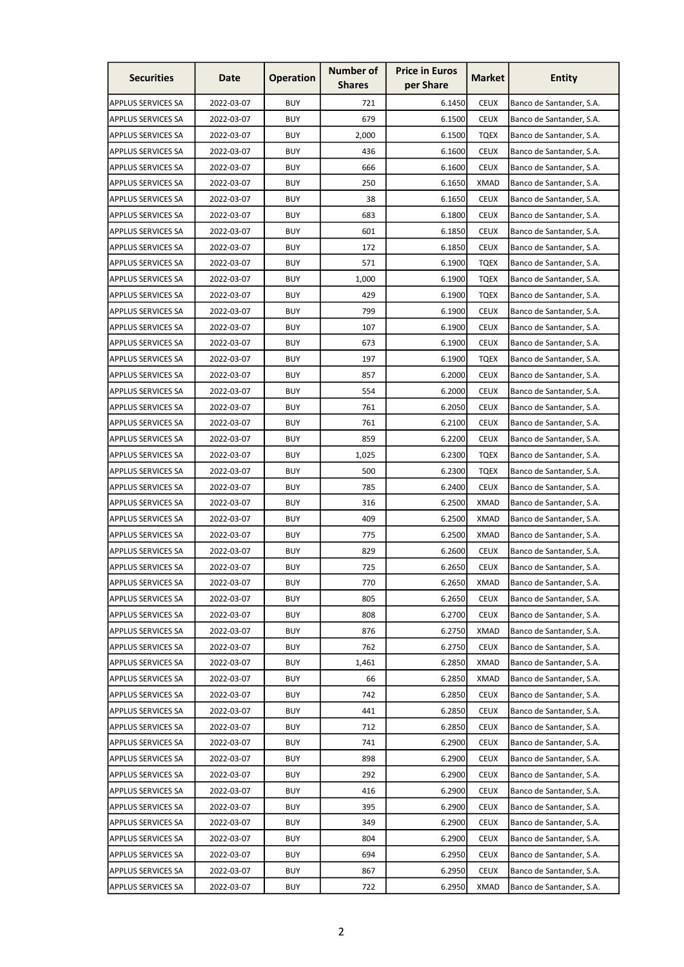| <b>Securities</b>         | Date       | <b>Operation</b> | <b>Number of</b><br><b>Shares</b> | <b>Price in Euros</b><br>per Share | Market      | <b>Entity</b>            |
|---------------------------|------------|------------------|-----------------------------------|------------------------------------|-------------|--------------------------|
| <b>APPLUS SERVICES SA</b> | 2022-03-07 | <b>BUY</b>       | 721                               | 6.1450                             | <b>CEUX</b> | Banco de Santander, S.A. |
| <b>APPLUS SERVICES SA</b> | 2022-03-07 | <b>BUY</b>       | 679                               | 6.1500                             | <b>CEUX</b> | Banco de Santander, S.A. |
| <b>APPLUS SERVICES SA</b> | 2022-03-07 | <b>BUY</b>       | 2.000                             | 6.1500                             | <b>TQEX</b> | Banco de Santander, S.A. |
| <b>APPLUS SERVICES SA</b> | 2022-03-07 | <b>BUY</b>       | 436                               | 6.1600                             | <b>CEUX</b> | Banco de Santander, S.A. |
| <b>APPLUS SERVICES SA</b> | 2022-03-07 | <b>BUY</b>       | 666                               | 6.1600                             | <b>CEUX</b> | Banco de Santander, S.A. |
| <b>APPLUS SERVICES SA</b> | 2022-03-07 | <b>BUY</b>       | 250                               | 6.1650                             | <b>XMAD</b> | Banco de Santander, S.A. |
| <b>APPLUS SERVICES SA</b> | 2022-03-07 | <b>BUY</b>       | 38                                | 6.1650                             | <b>CEUX</b> | Banco de Santander, S.A. |
| <b>APPLUS SERVICES SA</b> | 2022-03-07 | <b>BUY</b>       | 683                               | 6.1800                             | <b>CEUX</b> | Banco de Santander, S.A. |
| <b>APPLUS SERVICES SA</b> | 2022-03-07 | <b>BUY</b>       | 601                               | 6.1850                             | <b>CEUX</b> | Banco de Santander, S.A. |
| <b>APPLUS SERVICES SA</b> | 2022-03-07 | <b>BUY</b>       | 172                               | 6.1850                             | <b>CEUX</b> | Banco de Santander, S.A. |
| <b>APPLUS SERVICES SA</b> | 2022-03-07 | <b>BUY</b>       | 571                               | 6.1900                             | <b>TQEX</b> | Banco de Santander, S.A. |
| <b>APPLUS SERVICES SA</b> | 2022-03-07 | <b>BUY</b>       | 1,000                             | 6.1900                             | <b>TQEX</b> | Banco de Santander, S.A. |
| <b>APPLUS SERVICES SA</b> | 2022-03-07 | <b>BUY</b>       | 429                               | 6.1900                             | <b>TQEX</b> | Banco de Santander, S.A. |
| <b>APPLUS SERVICES SA</b> | 2022-03-07 | <b>BUY</b>       | 799                               | 6.1900                             | <b>CEUX</b> | Banco de Santander, S.A. |
| <b>APPLUS SERVICES SA</b> | 2022-03-07 | <b>BUY</b>       | 107                               | 6.1900                             | <b>CEUX</b> | Banco de Santander, S.A. |
| APPLUS SERVICES SA        | 2022-03-07 | <b>BUY</b>       | 673                               | 6.1900                             | <b>CEUX</b> | Banco de Santander, S.A. |
| <b>APPLUS SERVICES SA</b> | 2022-03-07 | <b>BUY</b>       | 197                               | 6.1900                             | <b>TQEX</b> | Banco de Santander, S.A. |
| <b>APPLUS SERVICES SA</b> | 2022-03-07 | <b>BUY</b>       | 857                               | 6.2000                             | <b>CEUX</b> | Banco de Santander, S.A. |
| <b>APPLUS SERVICES SA</b> | 2022-03-07 | <b>BUY</b>       | 554                               | 6.2000                             | <b>CEUX</b> | Banco de Santander, S.A. |
| <b>APPLUS SERVICES SA</b> | 2022-03-07 | <b>BUY</b>       | 761                               | 6.2050                             | <b>CEUX</b> | Banco de Santander, S.A. |
| <b>APPLUS SERVICES SA</b> | 2022-03-07 | <b>BUY</b>       | 761                               | 6.2100                             | <b>CEUX</b> | Banco de Santander, S.A. |
| <b>APPLUS SERVICES SA</b> | 2022-03-07 | <b>BUY</b>       | 859                               | 6.2200                             | <b>CEUX</b> | Banco de Santander, S.A. |
| <b>APPLUS SERVICES SA</b> | 2022-03-07 | <b>BUY</b>       | 1,025                             | 6.2300                             | <b>TQEX</b> | Banco de Santander, S.A. |
| <b>APPLUS SERVICES SA</b> | 2022-03-07 | <b>BUY</b>       | 500                               | 6.2300                             | <b>TQEX</b> | Banco de Santander, S.A. |
| <b>APPLUS SERVICES SA</b> | 2022-03-07 | <b>BUY</b>       | 785                               | 6.2400                             | <b>CEUX</b> | Banco de Santander, S.A. |
| <b>APPLUS SERVICES SA</b> | 2022-03-07 | <b>BUY</b>       | 316                               | 6.2500                             | XMAD        | Banco de Santander, S.A. |
| <b>APPLUS SERVICES SA</b> | 2022-03-07 | <b>BUY</b>       | 409                               | 6.2500                             | <b>XMAD</b> | Banco de Santander, S.A. |
| <b>APPLUS SERVICES SA</b> | 2022-03-07 | <b>BUY</b>       | 775                               | 6.2500                             | <b>XMAD</b> | Banco de Santander, S.A. |
| <b>APPLUS SERVICES SA</b> | 2022-03-07 | <b>BUY</b>       | 829                               | 6.2600                             | <b>CEUX</b> | Banco de Santander, S.A. |
| <b>APPLUS SERVICES SA</b> | 2022-03-07 | <b>BUY</b>       | 725                               | 6.2650                             | <b>CEUX</b> | Banco de Santander, S.A. |
| <b>APPLUS SERVICES SA</b> | 2022-03-07 | <b>BUY</b>       | 770                               | 6.2650                             | <b>XMAD</b> | Banco de Santander, S.A. |
| <b>APPLUS SERVICES SA</b> | 2022-03-07 | <b>BUY</b>       | 805                               | 6.2650                             | <b>CEUX</b> | Banco de Santander, S.A. |
| <b>APPLUS SERVICES SA</b> | 2022-03-07 | <b>BUY</b>       | 808                               | 6.2700                             | <b>CEUX</b> | Banco de Santander, S.A. |
| <b>APPLUS SERVICES SA</b> | 2022-03-07 | <b>BUY</b>       | 876                               | 6.2750                             | <b>XMAD</b> | Banco de Santander, S.A. |
| <b>APPLUS SERVICES SA</b> | 2022-03-07 | <b>BUY</b>       | 762                               | 6.2750                             | <b>CEUX</b> | Banco de Santander, S.A. |
| <b>APPLUS SERVICES SA</b> | 2022-03-07 | <b>BUY</b>       | 1,461                             | 6.2850                             | <b>XMAD</b> | Banco de Santander, S.A. |
| <b>APPLUS SERVICES SA</b> | 2022-03-07 | <b>BUY</b>       | 66                                | 6.2850                             | <b>XMAD</b> | Banco de Santander, S.A. |
| <b>APPLUS SERVICES SA</b> | 2022-03-07 | <b>BUY</b>       | 742                               | 6.2850                             | <b>CEUX</b> | Banco de Santander, S.A. |
| <b>APPLUS SERVICES SA</b> | 2022-03-07 | <b>BUY</b>       | 441                               | 6.2850                             | <b>CEUX</b> | Banco de Santander, S.A. |
| <b>APPLUS SERVICES SA</b> | 2022-03-07 | <b>BUY</b>       | 712                               | 6.2850                             | <b>CEUX</b> | Banco de Santander, S.A. |
| <b>APPLUS SERVICES SA</b> | 2022-03-07 | <b>BUY</b>       | 741                               | 6.2900                             | <b>CEUX</b> | Banco de Santander, S.A. |
| <b>APPLUS SERVICES SA</b> | 2022-03-07 | <b>BUY</b>       | 898                               | 6.2900                             | <b>CEUX</b> | Banco de Santander, S.A. |
| <b>APPLUS SERVICES SA</b> | 2022-03-07 | <b>BUY</b>       | 292                               | 6.2900                             | <b>CEUX</b> | Banco de Santander, S.A. |
| <b>APPLUS SERVICES SA</b> | 2022-03-07 | <b>BUY</b>       | 416                               | 6.2900                             | <b>CEUX</b> | Banco de Santander, S.A. |
| <b>APPLUS SERVICES SA</b> | 2022-03-07 | <b>BUY</b>       | 395                               | 6.2900                             | <b>CEUX</b> | Banco de Santander, S.A. |
| <b>APPLUS SERVICES SA</b> | 2022-03-07 | <b>BUY</b>       | 349                               | 6.2900                             | <b>CEUX</b> | Banco de Santander, S.A. |
| <b>APPLUS SERVICES SA</b> | 2022-03-07 | <b>BUY</b>       | 804                               | 6.2900                             | <b>CEUX</b> | Banco de Santander, S.A. |
| <b>APPLUS SERVICES SA</b> | 2022-03-07 | <b>BUY</b>       | 694                               | 6.2950                             | <b>CEUX</b> | Banco de Santander, S.A. |
| <b>APPLUS SERVICES SA</b> | 2022-03-07 | <b>BUY</b>       | 867                               | 6.2950                             | <b>CEUX</b> | Banco de Santander, S.A. |
| <b>APPLUS SERVICES SA</b> | 2022-03-07 | <b>BUY</b>       | 722                               | 6.2950                             | <b>XMAD</b> | Banco de Santander, S.A. |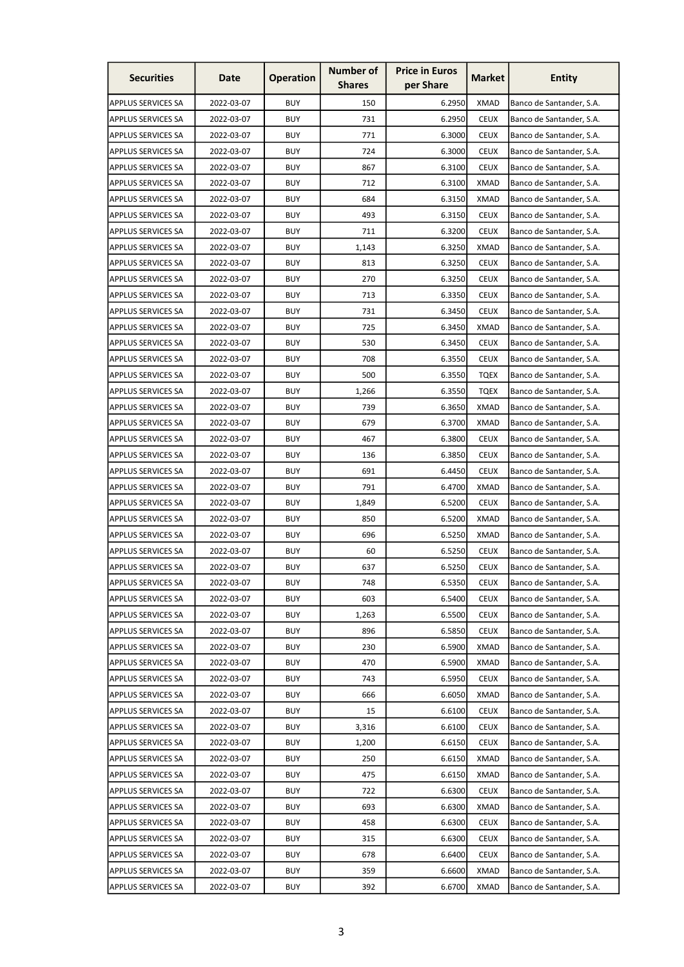| <b>Securities</b>         | Date       | <b>Operation</b>         | <b>Number of</b><br><b>Shares</b> | <b>Price in Euros</b><br>per Share | <b>Market</b> | <b>Entity</b>            |
|---------------------------|------------|--------------------------|-----------------------------------|------------------------------------|---------------|--------------------------|
| <b>APPLUS SERVICES SA</b> | 2022-03-07 | <b>BUY</b>               | 150                               | 6.2950                             | <b>XMAD</b>   | Banco de Santander, S.A. |
| <b>APPLUS SERVICES SA</b> | 2022-03-07 | <b>BUY</b>               | 731                               | 6.2950                             | <b>CEUX</b>   | Banco de Santander, S.A. |
| <b>APPLUS SERVICES SA</b> | 2022-03-07 | <b>BUY</b>               | 771                               | 6.3000                             | <b>CEUX</b>   | Banco de Santander, S.A. |
| <b>APPLUS SERVICES SA</b> | 2022-03-07 | <b>BUY</b>               | 724                               | 6.3000                             | <b>CEUX</b>   | Banco de Santander, S.A. |
| <b>APPLUS SERVICES SA</b> | 2022-03-07 | <b>BUY</b>               | 867                               | 6.3100                             | <b>CEUX</b>   | Banco de Santander, S.A. |
| <b>APPLUS SERVICES SA</b> | 2022-03-07 | <b>BUY</b>               | 712                               | 6.3100                             | <b>XMAD</b>   | Banco de Santander, S.A. |
| <b>APPLUS SERVICES SA</b> | 2022-03-07 | <b>BUY</b>               | 684                               | 6.3150                             | XMAD          | Banco de Santander, S.A. |
| <b>APPLUS SERVICES SA</b> | 2022-03-07 | <b>BUY</b>               | 493                               | 6.3150                             | <b>CEUX</b>   | Banco de Santander, S.A. |
| <b>APPLUS SERVICES SA</b> | 2022-03-07 | <b>BUY</b>               | 711                               | 6.3200                             | <b>CEUX</b>   | Banco de Santander, S.A. |
| <b>APPLUS SERVICES SA</b> | 2022-03-07 | <b>BUY</b>               | 1,143                             | 6.3250                             | <b>XMAD</b>   | Banco de Santander, S.A. |
| <b>APPLUS SERVICES SA</b> | 2022-03-07 | <b>BUY</b>               | 813                               | 6.3250                             | <b>CEUX</b>   | Banco de Santander, S.A. |
| <b>APPLUS SERVICES SA</b> | 2022-03-07 | <b>BUY</b>               | 270                               | 6.3250                             | <b>CEUX</b>   | Banco de Santander, S.A. |
| <b>APPLUS SERVICES SA</b> | 2022-03-07 | <b>BUY</b>               | 713                               | 6.3350                             | <b>CEUX</b>   | Banco de Santander, S.A. |
| <b>APPLUS SERVICES SA</b> | 2022-03-07 | <b>BUY</b>               | 731                               | 6.3450                             | <b>CEUX</b>   | Banco de Santander, S.A. |
| <b>APPLUS SERVICES SA</b> | 2022-03-07 | <b>BUY</b>               | 725                               | 6.3450                             | <b>XMAD</b>   | Banco de Santander, S.A. |
| <b>APPLUS SERVICES SA</b> | 2022-03-07 | <b>BUY</b>               | 530                               | 6.3450                             | <b>CEUX</b>   | Banco de Santander, S.A. |
| <b>APPLUS SERVICES SA</b> | 2022-03-07 | <b>BUY</b>               | 708                               | 6.3550                             | <b>CEUX</b>   | Banco de Santander, S.A. |
| <b>APPLUS SERVICES SA</b> | 2022-03-07 | <b>BUY</b>               | 500                               | 6.3550                             | TQEX          | Banco de Santander, S.A. |
| <b>APPLUS SERVICES SA</b> | 2022-03-07 | <b>BUY</b>               | 1,266                             | 6.3550                             | TQEX          | Banco de Santander, S.A. |
| <b>APPLUS SERVICES SA</b> | 2022-03-07 | <b>BUY</b>               | 739                               | 6.3650                             | XMAD          | Banco de Santander, S.A. |
| <b>APPLUS SERVICES SA</b> | 2022-03-07 | <b>BUY</b>               | 679                               |                                    | <b>XMAD</b>   |                          |
|                           |            | <b>BUY</b>               | 467                               | 6.3700<br>6.3800                   | <b>CEUX</b>   | Banco de Santander, S.A. |
| <b>APPLUS SERVICES SA</b> | 2022-03-07 |                          |                                   |                                    |               | Banco de Santander, S.A. |
| <b>APPLUS SERVICES SA</b> | 2022-03-07 | <b>BUY</b><br><b>BUY</b> | 136                               | 6.3850                             | <b>CEUX</b>   | Banco de Santander, S.A. |
| <b>APPLUS SERVICES SA</b> | 2022-03-07 |                          | 691                               | 6.4450                             | <b>CEUX</b>   | Banco de Santander, S.A. |
| <b>APPLUS SERVICES SA</b> | 2022-03-07 | <b>BUY</b>               | 791                               | 6.4700                             | <b>XMAD</b>   | Banco de Santander, S.A. |
| <b>APPLUS SERVICES SA</b> | 2022-03-07 | <b>BUY</b>               | 1,849                             | 6.5200                             | <b>CEUX</b>   | Banco de Santander, S.A. |
| <b>APPLUS SERVICES SA</b> | 2022-03-07 | <b>BUY</b>               | 850                               | 6.5200                             | <b>XMAD</b>   | Banco de Santander, S.A. |
| <b>APPLUS SERVICES SA</b> | 2022-03-07 | <b>BUY</b>               | 696                               | 6.5250                             | <b>XMAD</b>   | Banco de Santander, S.A. |
| APPLUS SERVICES SA        | 2022-03-07 | <b>BUY</b>               | 60                                | 6.5250                             | <b>CEUX</b>   | Banco de Santander, S.A. |
| <b>APPLUS SERVICES SA</b> | 2022-03-07 | <b>BUY</b>               | 637                               | 6.5250                             | <b>CEUX</b>   | Banco de Santander, S.A. |
| <b>APPLUS SERVICES SA</b> | 2022-03-07 | <b>BUY</b>               | 748                               | 6.5350                             | <b>CEUX</b>   | Banco de Santander, S.A. |
| <b>APPLUS SERVICES SA</b> | 2022-03-07 | <b>BUY</b>               | 603                               | 6.5400                             | <b>CEUX</b>   | Banco de Santander, S.A. |
| <b>APPLUS SERVICES SA</b> | 2022-03-07 | <b>BUY</b>               | 1,263                             | 6.5500                             | <b>CEUX</b>   | Banco de Santander, S.A. |
| <b>APPLUS SERVICES SA</b> | 2022-03-07 | <b>BUY</b>               | 896                               | 6.5850                             | <b>CEUX</b>   | Banco de Santander, S.A. |
| <b>APPLUS SERVICES SA</b> | 2022-03-07 | <b>BUY</b>               | 230                               | 6.5900                             | <b>XMAD</b>   | Banco de Santander, S.A. |
| <b>APPLUS SERVICES SA</b> | 2022-03-07 | <b>BUY</b>               | 470                               | 6.5900                             | <b>XMAD</b>   | Banco de Santander, S.A. |
| <b>APPLUS SERVICES SA</b> | 2022-03-07 | <b>BUY</b>               | 743                               | 6.5950                             | <b>CEUX</b>   | Banco de Santander, S.A. |
| <b>APPLUS SERVICES SA</b> | 2022-03-07 | <b>BUY</b>               | 666                               | 6.6050                             | XMAD          | Banco de Santander, S.A. |
| <b>APPLUS SERVICES SA</b> | 2022-03-07 | <b>BUY</b>               | 15                                | 6.6100                             | <b>CEUX</b>   | Banco de Santander, S.A. |
| <b>APPLUS SERVICES SA</b> | 2022-03-07 | <b>BUY</b>               | 3,316                             | 6.6100                             | <b>CEUX</b>   | Banco de Santander, S.A. |
| <b>APPLUS SERVICES SA</b> | 2022-03-07 | <b>BUY</b>               | 1,200                             | 6.6150                             | <b>CEUX</b>   | Banco de Santander, S.A. |
| <b>APPLUS SERVICES SA</b> | 2022-03-07 | <b>BUY</b>               | 250                               | 6.6150                             | <b>XMAD</b>   | Banco de Santander, S.A. |
| <b>APPLUS SERVICES SA</b> | 2022-03-07 | <b>BUY</b>               | 475                               | 6.6150                             | <b>XMAD</b>   | Banco de Santander, S.A. |
| <b>APPLUS SERVICES SA</b> | 2022-03-07 | <b>BUY</b>               | 722                               | 6.6300                             | <b>CEUX</b>   | Banco de Santander, S.A. |
| <b>APPLUS SERVICES SA</b> | 2022-03-07 | <b>BUY</b>               | 693                               | 6.6300                             | <b>XMAD</b>   | Banco de Santander, S.A. |
| <b>APPLUS SERVICES SA</b> | 2022-03-07 | <b>BUY</b>               | 458                               | 6.6300                             | <b>CEUX</b>   | Banco de Santander, S.A. |
| <b>APPLUS SERVICES SA</b> | 2022-03-07 | <b>BUY</b>               | 315                               | 6.6300                             | <b>CEUX</b>   | Banco de Santander, S.A. |
| APPLUS SERVICES SA        | 2022-03-07 | <b>BUY</b>               | 678                               | 6.6400                             | <b>CEUX</b>   | Banco de Santander, S.A. |
| APPLUS SERVICES SA        | 2022-03-07 | <b>BUY</b>               | 359                               | 6.6600                             | <b>XMAD</b>   | Banco de Santander, S.A. |
| <b>APPLUS SERVICES SA</b> | 2022-03-07 | <b>BUY</b>               | 392                               | 6.6700                             | <b>XMAD</b>   | Banco de Santander, S.A. |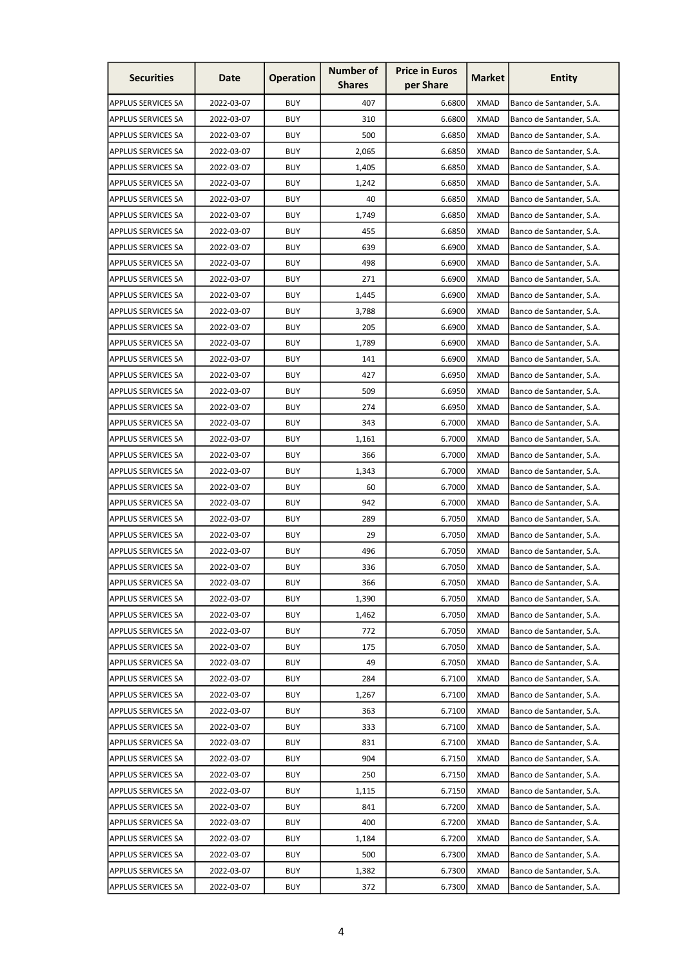| <b>Securities</b>         | Date       | <b>Operation</b> | <b>Number of</b><br><b>Shares</b> | <b>Price in Euros</b><br>per Share | <b>Market</b> | Entity                   |
|---------------------------|------------|------------------|-----------------------------------|------------------------------------|---------------|--------------------------|
| <b>APPLUS SERVICES SA</b> | 2022-03-07 | <b>BUY</b>       | 407                               | 6.6800                             | <b>XMAD</b>   | Banco de Santander, S.A. |
| <b>APPLUS SERVICES SA</b> | 2022-03-07 | <b>BUY</b>       | 310                               | 6.6800                             | <b>XMAD</b>   | Banco de Santander, S.A. |
| <b>APPLUS SERVICES SA</b> | 2022-03-07 | <b>BUY</b>       | 500                               | 6.6850                             | <b>XMAD</b>   | Banco de Santander, S.A. |
| <b>APPLUS SERVICES SA</b> | 2022-03-07 | <b>BUY</b>       | 2,065                             | 6.6850                             | <b>XMAD</b>   | Banco de Santander, S.A. |
| <b>APPLUS SERVICES SA</b> | 2022-03-07 | <b>BUY</b>       | 1,405                             | 6.6850                             | <b>XMAD</b>   | Banco de Santander, S.A. |
| <b>APPLUS SERVICES SA</b> | 2022-03-07 | <b>BUY</b>       | 1,242                             | 6.6850                             | <b>XMAD</b>   | Banco de Santander, S.A. |
| <b>APPLUS SERVICES SA</b> | 2022-03-07 | BUY              | 40                                | 6.6850                             | XMAD          | Banco de Santander, S.A. |
| <b>APPLUS SERVICES SA</b> | 2022-03-07 | <b>BUY</b>       | 1,749                             | 6.6850                             | <b>XMAD</b>   | Banco de Santander, S.A. |
| <b>APPLUS SERVICES SA</b> | 2022-03-07 | <b>BUY</b>       | 455                               | 6.6850                             | <b>XMAD</b>   | Banco de Santander, S.A. |
| <b>APPLUS SERVICES SA</b> | 2022-03-07 | <b>BUY</b>       | 639                               | 6.6900                             | <b>XMAD</b>   | Banco de Santander, S.A. |
| <b>APPLUS SERVICES SA</b> | 2022-03-07 | <b>BUY</b>       | 498                               | 6.6900                             | <b>XMAD</b>   | Banco de Santander, S.A. |
| <b>APPLUS SERVICES SA</b> | 2022-03-07 | <b>BUY</b>       | 271                               | 6.6900                             | <b>XMAD</b>   | Banco de Santander, S.A. |
| <b>APPLUS SERVICES SA</b> | 2022-03-07 | <b>BUY</b>       | 1,445                             | 6.6900                             | XMAD          | Banco de Santander, S.A. |
| <b>APPLUS SERVICES SA</b> | 2022-03-07 | <b>BUY</b>       | 3,788                             | 6.6900                             | <b>XMAD</b>   | Banco de Santander, S.A. |
| <b>APPLUS SERVICES SA</b> | 2022-03-07 | <b>BUY</b>       | 205                               | 6.6900                             | <b>XMAD</b>   | Banco de Santander, S.A. |
| <b>APPLUS SERVICES SA</b> | 2022-03-07 | <b>BUY</b>       | 1,789                             | 6.6900                             | <b>XMAD</b>   | Banco de Santander, S.A. |
| <b>APPLUS SERVICES SA</b> | 2022-03-07 | <b>BUY</b>       | 141                               | 6.6900                             | <b>XMAD</b>   | Banco de Santander, S.A. |
| <b>APPLUS SERVICES SA</b> | 2022-03-07 | <b>BUY</b>       | 427                               | 6.6950                             | <b>XMAD</b>   | Banco de Santander, S.A. |
| <b>APPLUS SERVICES SA</b> | 2022-03-07 | <b>BUY</b>       | 509                               | 6.6950                             | <b>XMAD</b>   | Banco de Santander, S.A. |
| <b>APPLUS SERVICES SA</b> | 2022-03-07 | <b>BUY</b>       | 274                               | 6.6950                             | <b>XMAD</b>   | Banco de Santander, S.A. |
| <b>APPLUS SERVICES SA</b> | 2022-03-07 | <b>BUY</b>       | 343                               | 6.7000                             | <b>XMAD</b>   | Banco de Santander, S.A. |
| <b>APPLUS SERVICES SA</b> | 2022-03-07 | <b>BUY</b>       | 1,161                             | 6.7000                             | <b>XMAD</b>   | Banco de Santander, S.A. |
| <b>APPLUS SERVICES SA</b> | 2022-03-07 | <b>BUY</b>       | 366                               | 6.7000                             | <b>XMAD</b>   | Banco de Santander, S.A. |
| <b>APPLUS SERVICES SA</b> | 2022-03-07 | <b>BUY</b>       | 1,343                             | 6.7000                             | <b>XMAD</b>   | Banco de Santander, S.A. |
| <b>APPLUS SERVICES SA</b> | 2022-03-07 | <b>BUY</b>       | 60                                | 6.7000                             | <b>XMAD</b>   | Banco de Santander, S.A. |
| <b>APPLUS SERVICES SA</b> | 2022-03-07 | <b>BUY</b>       | 942                               | 6.7000                             | XMAD          | Banco de Santander, S.A. |
| <b>APPLUS SERVICES SA</b> | 2022-03-07 | <b>BUY</b>       | 289                               | 6.7050                             | <b>XMAD</b>   | Banco de Santander, S.A. |
| <b>APPLUS SERVICES SA</b> | 2022-03-07 | <b>BUY</b>       | 29                                | 6.7050                             | <b>XMAD</b>   | Banco de Santander, S.A. |
| <b>APPLUS SERVICES SA</b> | 2022-03-07 | <b>BUY</b>       | 496                               | 6.7050                             | <b>XMAD</b>   | Banco de Santander, S.A. |
| <b>APPLUS SERVICES SA</b> | 2022-03-07 | <b>BUY</b>       | 336                               | 6.7050                             | <b>XMAD</b>   | Banco de Santander, S.A. |
| APPLUS SERVICES SA        | 2022-03-07 | <b>BUY</b>       | 366                               | 6.7050                             | <b>XMAD</b>   | Banco de Santander, S.A. |
| <b>APPLUS SERVICES SA</b> | 2022-03-07 | <b>BUY</b>       | 1,390                             | 6.7050                             | <b>XMAD</b>   | Banco de Santander, S.A. |
| <b>APPLUS SERVICES SA</b> | 2022-03-07 | <b>BUY</b>       | 1,462                             | 6.7050                             | <b>XMAD</b>   | Banco de Santander, S.A. |
| <b>APPLUS SERVICES SA</b> | 2022-03-07 | <b>BUY</b>       | 772                               | 6.7050                             | <b>XMAD</b>   | Banco de Santander, S.A. |
| <b>APPLUS SERVICES SA</b> | 2022-03-07 | <b>BUY</b>       | 175                               | 6.7050                             | <b>XMAD</b>   | Banco de Santander, S.A. |
| <b>APPLUS SERVICES SA</b> | 2022-03-07 | <b>BUY</b>       | 49                                | 6.7050                             | <b>XMAD</b>   | Banco de Santander, S.A. |
| <b>APPLUS SERVICES SA</b> | 2022-03-07 | <b>BUY</b>       | 284                               | 6.7100                             | <b>XMAD</b>   | Banco de Santander, S.A. |
| <b>APPLUS SERVICES SA</b> | 2022-03-07 | <b>BUY</b>       | 1,267                             | 6.7100                             | <b>XMAD</b>   | Banco de Santander, S.A. |
| <b>APPLUS SERVICES SA</b> | 2022-03-07 | <b>BUY</b>       | 363                               | 6.7100                             | <b>XMAD</b>   | Banco de Santander, S.A. |
| <b>APPLUS SERVICES SA</b> | 2022-03-07 | <b>BUY</b>       | 333                               | 6.7100                             | <b>XMAD</b>   | Banco de Santander, S.A. |
| <b>APPLUS SERVICES SA</b> | 2022-03-07 | <b>BUY</b>       | 831                               | 6.7100                             | <b>XMAD</b>   | Banco de Santander, S.A. |
| APPLUS SERVICES SA        | 2022-03-07 | <b>BUY</b>       | 904                               | 6.7150                             | <b>XMAD</b>   | Banco de Santander, S.A. |
| <b>APPLUS SERVICES SA</b> | 2022-03-07 | <b>BUY</b>       | 250                               | 6.7150                             | <b>XMAD</b>   | Banco de Santander, S.A. |
| <b>APPLUS SERVICES SA</b> | 2022-03-07 | <b>BUY</b>       | 1,115                             | 6.7150                             | <b>XMAD</b>   | Banco de Santander, S.A. |
| <b>APPLUS SERVICES SA</b> | 2022-03-07 | <b>BUY</b>       | 841                               | 6.7200                             | <b>XMAD</b>   | Banco de Santander, S.A. |
| <b>APPLUS SERVICES SA</b> | 2022-03-07 | <b>BUY</b>       | 400                               | 6.7200                             | <b>XMAD</b>   | Banco de Santander, S.A. |
| <b>APPLUS SERVICES SA</b> | 2022-03-07 | <b>BUY</b>       | 1,184                             | 6.7200                             | <b>XMAD</b>   | Banco de Santander, S.A. |
| <b>APPLUS SERVICES SA</b> | 2022-03-07 | <b>BUY</b>       | 500                               | 6.7300                             | <b>XMAD</b>   | Banco de Santander, S.A. |
| <b>APPLUS SERVICES SA</b> | 2022-03-07 | <b>BUY</b>       | 1,382                             | 6.7300                             | <b>XMAD</b>   | Banco de Santander, S.A. |
| <b>APPLUS SERVICES SA</b> | 2022-03-07 | <b>BUY</b>       | 372                               | 6.7300                             | <b>XMAD</b>   | Banco de Santander, S.A. |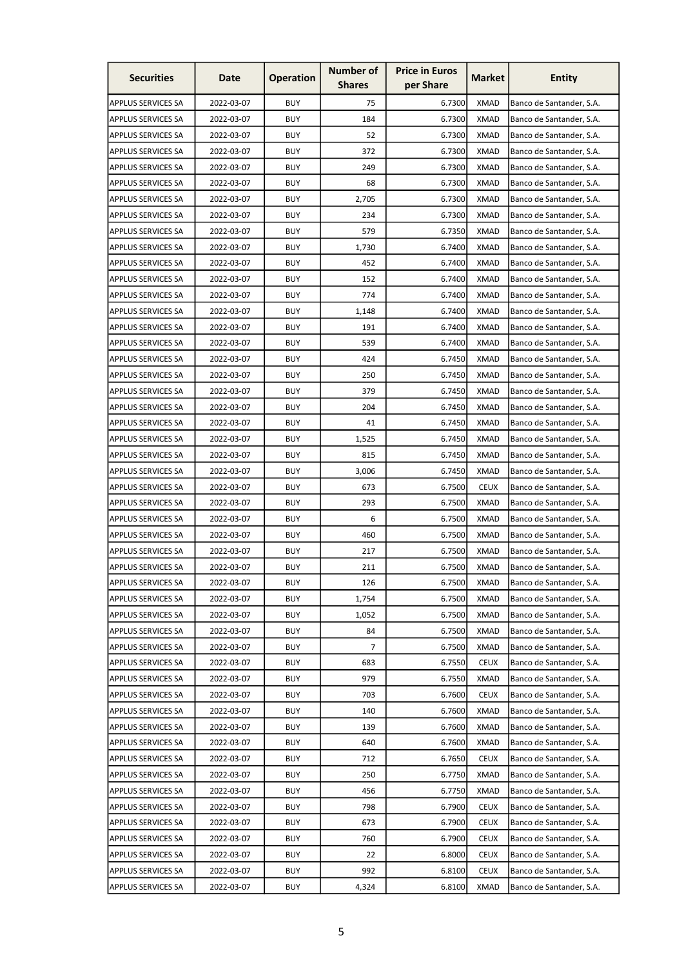| <b>Securities</b>         | Date       | <b>Operation</b> | <b>Number of</b><br><b>Shares</b> | <b>Price in Euros</b><br>per Share | <b>Market</b> | Entity                   |
|---------------------------|------------|------------------|-----------------------------------|------------------------------------|---------------|--------------------------|
| <b>APPLUS SERVICES SA</b> | 2022-03-07 | <b>BUY</b>       | 75                                | 6.7300                             | <b>XMAD</b>   | Banco de Santander, S.A. |
| <b>APPLUS SERVICES SA</b> | 2022-03-07 | <b>BUY</b>       | 184                               | 6.7300                             | <b>XMAD</b>   | Banco de Santander, S.A. |
| <b>APPLUS SERVICES SA</b> | 2022-03-07 | <b>BUY</b>       | 52                                | 6.7300                             | <b>XMAD</b>   | Banco de Santander, S.A. |
| <b>APPLUS SERVICES SA</b> | 2022-03-07 | <b>BUY</b>       | 372                               | 6.7300                             | <b>XMAD</b>   | Banco de Santander, S.A. |
| <b>APPLUS SERVICES SA</b> | 2022-03-07 | <b>BUY</b>       | 249                               | 6.7300                             | <b>XMAD</b>   | Banco de Santander, S.A. |
| <b>APPLUS SERVICES SA</b> | 2022-03-07 | <b>BUY</b>       | 68                                | 6.7300                             | <b>XMAD</b>   | Banco de Santander, S.A. |
| <b>APPLUS SERVICES SA</b> | 2022-03-07 | BUY              | 2,705                             | 6.7300                             | XMAD          | Banco de Santander, S.A. |
| <b>APPLUS SERVICES SA</b> | 2022-03-07 | <b>BUY</b>       | 234                               | 6.7300                             | <b>XMAD</b>   | Banco de Santander, S.A. |
| <b>APPLUS SERVICES SA</b> | 2022-03-07 | <b>BUY</b>       | 579                               | 6.7350                             | <b>XMAD</b>   | Banco de Santander, S.A. |
| <b>APPLUS SERVICES SA</b> | 2022-03-07 | <b>BUY</b>       | 1,730                             | 6.7400                             | <b>XMAD</b>   | Banco de Santander, S.A. |
| <b>APPLUS SERVICES SA</b> | 2022-03-07 | <b>BUY</b>       | 452                               | 6.7400                             | <b>XMAD</b>   | Banco de Santander, S.A. |
| <b>APPLUS SERVICES SA</b> | 2022-03-07 | <b>BUY</b>       | 152                               | 6.7400                             | <b>XMAD</b>   | Banco de Santander, S.A. |
| <b>APPLUS SERVICES SA</b> | 2022-03-07 | <b>BUY</b>       | 774                               | 6.7400                             | XMAD          | Banco de Santander, S.A. |
| <b>APPLUS SERVICES SA</b> | 2022-03-07 | <b>BUY</b>       | 1,148                             | 6.7400                             | <b>XMAD</b>   | Banco de Santander, S.A. |
| <b>APPLUS SERVICES SA</b> | 2022-03-07 | <b>BUY</b>       | 191                               | 6.7400                             | <b>XMAD</b>   | Banco de Santander, S.A. |
| <b>APPLUS SERVICES SA</b> | 2022-03-07 | <b>BUY</b>       | 539                               | 6.7400                             | <b>XMAD</b>   | Banco de Santander, S.A. |
| <b>APPLUS SERVICES SA</b> | 2022-03-07 | <b>BUY</b>       | 424                               | 6.7450                             | <b>XMAD</b>   | Banco de Santander, S.A. |
| <b>APPLUS SERVICES SA</b> | 2022-03-07 | <b>BUY</b>       | 250                               | 6.7450                             | <b>XMAD</b>   | Banco de Santander, S.A. |
| <b>APPLUS SERVICES SA</b> | 2022-03-07 | <b>BUY</b>       | 379                               | 6.7450                             | <b>XMAD</b>   | Banco de Santander, S.A. |
| <b>APPLUS SERVICES SA</b> | 2022-03-07 | <b>BUY</b>       | 204                               | 6.7450                             | <b>XMAD</b>   | Banco de Santander, S.A. |
| <b>APPLUS SERVICES SA</b> | 2022-03-07 | <b>BUY</b>       | 41                                | 6.7450                             | <b>XMAD</b>   | Banco de Santander, S.A. |
| <b>APPLUS SERVICES SA</b> | 2022-03-07 | <b>BUY</b>       | 1,525                             | 6.7450                             | <b>XMAD</b>   | Banco de Santander, S.A. |
| <b>APPLUS SERVICES SA</b> | 2022-03-07 | <b>BUY</b>       | 815                               | 6.7450                             | <b>XMAD</b>   | Banco de Santander, S.A. |
| <b>APPLUS SERVICES SA</b> | 2022-03-07 | <b>BUY</b>       | 3,006                             | 6.7450                             | <b>XMAD</b>   | Banco de Santander, S.A. |
| <b>APPLUS SERVICES SA</b> | 2022-03-07 | <b>BUY</b>       | 673                               | 6.7500                             | <b>CEUX</b>   | Banco de Santander, S.A. |
| <b>APPLUS SERVICES SA</b> | 2022-03-07 | <b>BUY</b>       | 293                               | 6.7500                             | XMAD          | Banco de Santander, S.A. |
| <b>APPLUS SERVICES SA</b> | 2022-03-07 | <b>BUY</b>       | 6                                 | 6.7500                             | <b>XMAD</b>   | Banco de Santander, S.A. |
| <b>APPLUS SERVICES SA</b> | 2022-03-07 | <b>BUY</b>       | 460                               | 6.7500                             | <b>XMAD</b>   | Banco de Santander, S.A. |
| <b>APPLUS SERVICES SA</b> | 2022-03-07 | <b>BUY</b>       | 217                               | 6.7500                             | <b>XMAD</b>   | Banco de Santander, S.A. |
| <b>APPLUS SERVICES SA</b> | 2022-03-07 | <b>BUY</b>       | 211                               | 6.7500                             | <b>XMAD</b>   | Banco de Santander, S.A. |
| <b>APPLUS SERVICES SA</b> | 2022-03-07 | <b>BUY</b>       | 126                               | 6.7500                             | <b>XMAD</b>   | Banco de Santander, S.A. |
| <b>APPLUS SERVICES SA</b> | 2022-03-07 | <b>BUY</b>       | 1,754                             | 6.7500                             | <b>XMAD</b>   | Banco de Santander, S.A. |
| <b>APPLUS SERVICES SA</b> | 2022-03-07 | <b>BUY</b>       | 1,052                             | 6.7500                             | <b>XMAD</b>   | Banco de Santander, S.A. |
| <b>APPLUS SERVICES SA</b> | 2022-03-07 | <b>BUY</b>       | 84                                | 6.7500                             | <b>XMAD</b>   | Banco de Santander, S.A. |
| <b>APPLUS SERVICES SA</b> | 2022-03-07 | <b>BUY</b>       | 7                                 | 6.7500                             | <b>XMAD</b>   | Banco de Santander, S.A. |
| <b>APPLUS SERVICES SA</b> | 2022-03-07 | <b>BUY</b>       | 683                               | 6.7550                             | <b>CEUX</b>   | Banco de Santander, S.A. |
| <b>APPLUS SERVICES SA</b> | 2022-03-07 | <b>BUY</b>       | 979                               | 6.7550                             | <b>XMAD</b>   | Banco de Santander, S.A. |
| <b>APPLUS SERVICES SA</b> | 2022-03-07 | <b>BUY</b>       | 703                               | 6.7600                             | <b>CEUX</b>   | Banco de Santander, S.A. |
| <b>APPLUS SERVICES SA</b> | 2022-03-07 | <b>BUY</b>       | 140                               | 6.7600                             | <b>XMAD</b>   | Banco de Santander, S.A. |
| <b>APPLUS SERVICES SA</b> | 2022-03-07 | <b>BUY</b>       | 139                               | 6.7600                             | <b>XMAD</b>   | Banco de Santander, S.A. |
| <b>APPLUS SERVICES SA</b> | 2022-03-07 | <b>BUY</b>       | 640                               | 6.7600                             | <b>XMAD</b>   | Banco de Santander, S.A. |
| <b>APPLUS SERVICES SA</b> | 2022-03-07 | <b>BUY</b>       | 712                               | 6.7650                             | <b>CEUX</b>   | Banco de Santander, S.A. |
| <b>APPLUS SERVICES SA</b> | 2022-03-07 | <b>BUY</b>       | 250                               | 6.7750                             | <b>XMAD</b>   | Banco de Santander, S.A. |
| <b>APPLUS SERVICES SA</b> | 2022-03-07 | <b>BUY</b>       | 456                               | 6.7750                             | <b>XMAD</b>   | Banco de Santander, S.A. |
| <b>APPLUS SERVICES SA</b> | 2022-03-07 | <b>BUY</b>       | 798                               | 6.7900                             | <b>CEUX</b>   | Banco de Santander, S.A. |
| <b>APPLUS SERVICES SA</b> | 2022-03-07 | <b>BUY</b>       | 673                               | 6.7900                             | <b>CEUX</b>   | Banco de Santander, S.A. |
| <b>APPLUS SERVICES SA</b> | 2022-03-07 | <b>BUY</b>       | 760                               | 6.7900                             | <b>CEUX</b>   | Banco de Santander, S.A. |
| <b>APPLUS SERVICES SA</b> | 2022-03-07 | <b>BUY</b>       | 22                                | 6.8000                             | <b>CEUX</b>   | Banco de Santander, S.A. |
| <b>APPLUS SERVICES SA</b> | 2022-03-07 | <b>BUY</b>       | 992                               | 6.8100                             | <b>CEUX</b>   | Banco de Santander, S.A. |
| <b>APPLUS SERVICES SA</b> | 2022-03-07 | <b>BUY</b>       | 4,324                             | 6.8100                             | <b>XMAD</b>   | Banco de Santander, S.A. |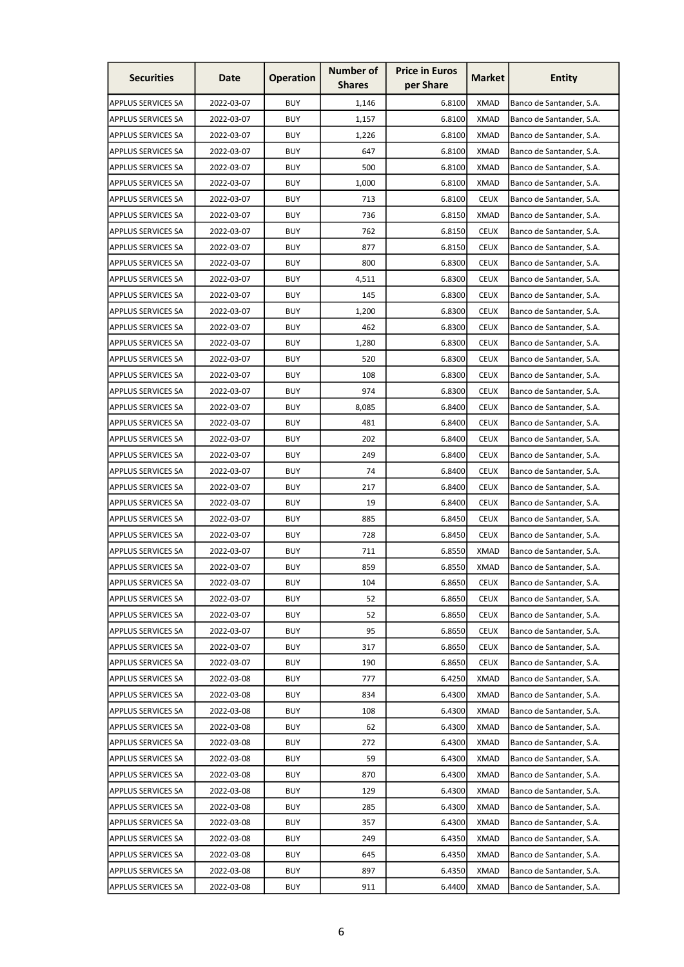| <b>Securities</b>         | Date       | <b>Operation</b> | <b>Number of</b><br><b>Shares</b> | <b>Price in Euros</b><br>per Share | <b>Market</b> | <b>Entity</b>            |
|---------------------------|------------|------------------|-----------------------------------|------------------------------------|---------------|--------------------------|
| <b>APPLUS SERVICES SA</b> | 2022-03-07 | <b>BUY</b>       | 1,146                             | 6.8100                             | <b>XMAD</b>   | Banco de Santander, S.A. |
| <b>APPLUS SERVICES SA</b> | 2022-03-07 | <b>BUY</b>       | 1,157                             | 6.8100                             | <b>XMAD</b>   | Banco de Santander, S.A. |
| <b>APPLUS SERVICES SA</b> | 2022-03-07 | <b>BUY</b>       | 1,226                             | 6.8100                             | <b>XMAD</b>   | Banco de Santander, S.A. |
| <b>APPLUS SERVICES SA</b> | 2022-03-07 | <b>BUY</b>       | 647                               | 6.8100                             | <b>XMAD</b>   | Banco de Santander, S.A. |
| <b>APPLUS SERVICES SA</b> | 2022-03-07 | <b>BUY</b>       | 500                               | 6.8100                             | <b>XMAD</b>   | Banco de Santander, S.A. |
| <b>APPLUS SERVICES SA</b> | 2022-03-07 | <b>BUY</b>       | 1,000                             | 6.8100                             | <b>XMAD</b>   | Banco de Santander, S.A. |
| <b>APPLUS SERVICES SA</b> | 2022-03-07 | <b>BUY</b>       | 713                               | 6.8100                             | <b>CEUX</b>   | Banco de Santander, S.A. |
| <b>APPLUS SERVICES SA</b> | 2022-03-07 | <b>BUY</b>       | 736                               | 6.8150                             | <b>XMAD</b>   | Banco de Santander, S.A. |
| <b>APPLUS SERVICES SA</b> | 2022-03-07 | <b>BUY</b>       | 762                               | 6.8150                             | <b>CEUX</b>   | Banco de Santander, S.A. |
| <b>APPLUS SERVICES SA</b> | 2022-03-07 | <b>BUY</b>       | 877                               | 6.8150                             | <b>CEUX</b>   | Banco de Santander, S.A. |
| <b>APPLUS SERVICES SA</b> | 2022-03-07 | <b>BUY</b>       | 800                               | 6.8300                             | <b>CEUX</b>   | Banco de Santander, S.A. |
| <b>APPLUS SERVICES SA</b> | 2022-03-07 | <b>BUY</b>       | 4,511                             | 6.8300                             | <b>CEUX</b>   | Banco de Santander, S.A. |
| <b>APPLUS SERVICES SA</b> | 2022-03-07 | <b>BUY</b>       | 145                               | 6.8300                             | <b>CEUX</b>   | Banco de Santander, S.A. |
| <b>APPLUS SERVICES SA</b> | 2022-03-07 | <b>BUY</b>       | 1,200                             | 6.8300                             | <b>CEUX</b>   | Banco de Santander, S.A. |
| <b>APPLUS SERVICES SA</b> | 2022-03-07 | <b>BUY</b>       | 462                               | 6.8300                             | <b>CEUX</b>   | Banco de Santander, S.A. |
| <b>APPLUS SERVICES SA</b> | 2022-03-07 | <b>BUY</b>       | 1,280                             | 6.8300                             | <b>CEUX</b>   | Banco de Santander, S.A. |
| <b>APPLUS SERVICES SA</b> | 2022-03-07 | <b>BUY</b>       | 520                               | 6.8300                             | <b>CEUX</b>   | Banco de Santander, S.A. |
| <b>APPLUS SERVICES SA</b> | 2022-03-07 | <b>BUY</b>       | 108                               | 6.8300                             | <b>CEUX</b>   | Banco de Santander, S.A. |
| <b>APPLUS SERVICES SA</b> | 2022-03-07 | <b>BUY</b>       | 974                               | 6.8300                             | <b>CEUX</b>   | Banco de Santander, S.A. |
| <b>APPLUS SERVICES SA</b> | 2022-03-07 | <b>BUY</b>       | 8,085                             | 6.8400                             | <b>CEUX</b>   | Banco de Santander, S.A. |
| <b>APPLUS SERVICES SA</b> | 2022-03-07 | <b>BUY</b>       | 481                               | 6.8400                             | <b>CEUX</b>   | Banco de Santander, S.A. |
| <b>APPLUS SERVICES SA</b> | 2022-03-07 | <b>BUY</b>       | 202                               | 6.8400                             | <b>CEUX</b>   | Banco de Santander, S.A. |
| <b>APPLUS SERVICES SA</b> | 2022-03-07 | <b>BUY</b>       | 249                               | 6.8400                             | <b>CEUX</b>   | Banco de Santander, S.A. |
| <b>APPLUS SERVICES SA</b> | 2022-03-07 | <b>BUY</b>       | 74                                | 6.8400                             | <b>CEUX</b>   | Banco de Santander, S.A. |
| <b>APPLUS SERVICES SA</b> | 2022-03-07 | <b>BUY</b>       | 217                               | 6.8400                             | <b>CEUX</b>   | Banco de Santander, S.A. |
| <b>APPLUS SERVICES SA</b> | 2022-03-07 | <b>BUY</b>       | 19                                | 6.8400                             | <b>CEUX</b>   | Banco de Santander, S.A. |
| <b>APPLUS SERVICES SA</b> | 2022-03-07 | <b>BUY</b>       | 885                               | 6.8450                             | <b>CEUX</b>   | Banco de Santander, S.A. |
| <b>APPLUS SERVICES SA</b> | 2022-03-07 | <b>BUY</b>       | 728                               | 6.8450                             | <b>CEUX</b>   | Banco de Santander, S.A. |
| <b>APPLUS SERVICES SA</b> | 2022-03-07 | <b>BUY</b>       | 711                               | 6.8550                             | <b>XMAD</b>   | Banco de Santander, S.A. |
| <b>APPLUS SERVICES SA</b> | 2022-03-07 | <b>BUY</b>       | 859                               | 6.8550                             | <b>XMAD</b>   | Banco de Santander, S.A. |
| <b>APPLUS SERVICES SA</b> | 2022-03-07 | <b>BUY</b>       | 104                               | 6.8650                             | <b>CEUX</b>   | Banco de Santander, S.A. |
| <b>APPLUS SERVICES SA</b> | 2022-03-07 | <b>BUY</b>       | 52                                | 6.8650                             | <b>CEUX</b>   | Banco de Santander, S.A. |
| <b>APPLUS SERVICES SA</b> | 2022-03-07 | <b>BUY</b>       | 52                                | 6.8650                             | <b>CEUX</b>   | Banco de Santander, S.A. |
| <b>APPLUS SERVICES SA</b> | 2022-03-07 | <b>BUY</b>       | 95                                | 6.8650                             | <b>CEUX</b>   | Banco de Santander, S.A. |
| <b>APPLUS SERVICES SA</b> | 2022-03-07 | <b>BUY</b>       | 317                               | 6.8650                             | <b>CEUX</b>   | Banco de Santander, S.A. |
| <b>APPLUS SERVICES SA</b> | 2022-03-07 | <b>BUY</b>       | 190                               | 6.8650                             | <b>CEUX</b>   | Banco de Santander, S.A. |
| <b>APPLUS SERVICES SA</b> | 2022-03-08 | <b>BUY</b>       | 777                               | 6.4250                             | <b>XMAD</b>   | Banco de Santander, S.A. |
| <b>APPLUS SERVICES SA</b> | 2022-03-08 | <b>BUY</b>       | 834                               | 6.4300                             | <b>XMAD</b>   | Banco de Santander, S.A. |
| <b>APPLUS SERVICES SA</b> | 2022-03-08 | <b>BUY</b>       | 108                               | 6.4300                             | <b>XMAD</b>   | Banco de Santander, S.A. |
| <b>APPLUS SERVICES SA</b> | 2022-03-08 | <b>BUY</b>       | 62                                | 6.4300                             | <b>XMAD</b>   | Banco de Santander, S.A. |
| <b>APPLUS SERVICES SA</b> | 2022-03-08 | <b>BUY</b>       | 272                               | 6.4300                             | <b>XMAD</b>   | Banco de Santander, S.A. |
| <b>APPLUS SERVICES SA</b> | 2022-03-08 | <b>BUY</b>       | 59                                | 6.4300                             | <b>XMAD</b>   | Banco de Santander, S.A. |
| <b>APPLUS SERVICES SA</b> | 2022-03-08 | <b>BUY</b>       | 870                               | 6.4300                             | <b>XMAD</b>   | Banco de Santander, S.A. |
| <b>APPLUS SERVICES SA</b> | 2022-03-08 | <b>BUY</b>       | 129                               | 6.4300                             | <b>XMAD</b>   | Banco de Santander, S.A. |
| <b>APPLUS SERVICES SA</b> | 2022-03-08 | <b>BUY</b>       | 285                               | 6.4300                             | <b>XMAD</b>   | Banco de Santander, S.A. |
| <b>APPLUS SERVICES SA</b> | 2022-03-08 | <b>BUY</b>       | 357                               | 6.4300                             | <b>XMAD</b>   | Banco de Santander, S.A. |
| <b>APPLUS SERVICES SA</b> | 2022-03-08 | <b>BUY</b>       | 249                               | 6.4350                             | <b>XMAD</b>   | Banco de Santander, S.A. |
| <b>APPLUS SERVICES SA</b> | 2022-03-08 | <b>BUY</b>       | 645                               | 6.4350                             | <b>XMAD</b>   | Banco de Santander, S.A. |
| <b>APPLUS SERVICES SA</b> | 2022-03-08 | <b>BUY</b>       | 897                               | 6.4350                             | <b>XMAD</b>   | Banco de Santander, S.A. |
| <b>APPLUS SERVICES SA</b> | 2022-03-08 | <b>BUY</b>       | 911                               | 6.4400                             | <b>XMAD</b>   | Banco de Santander, S.A. |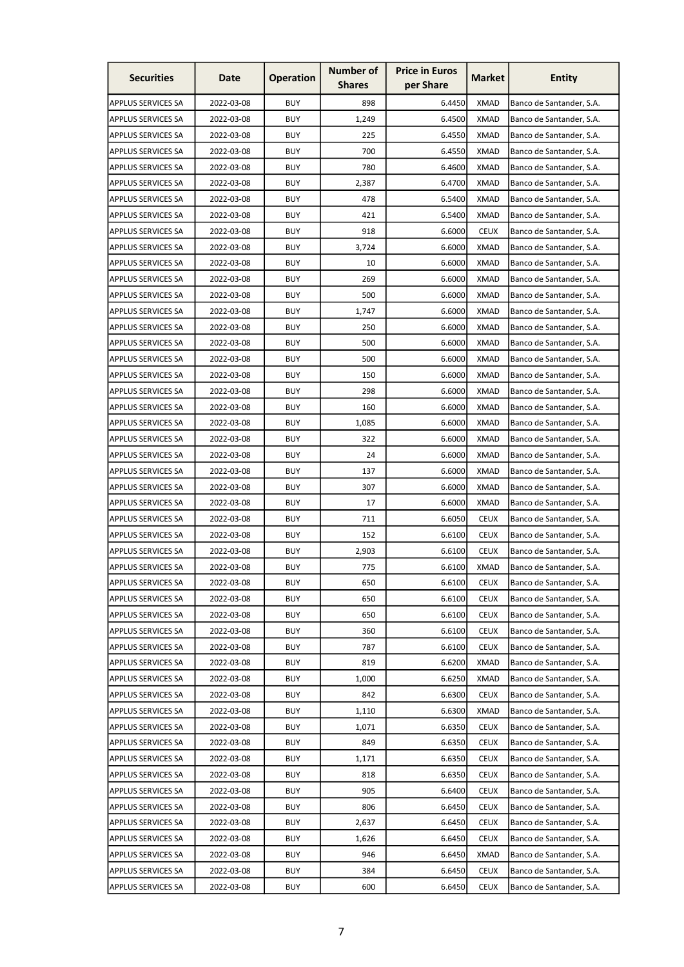| <b>Securities</b>         | Date       | <b>Operation</b> | <b>Number of</b><br><b>Shares</b> | <b>Price in Euros</b><br>per Share | <b>Market</b> | <b>Entity</b>            |
|---------------------------|------------|------------------|-----------------------------------|------------------------------------|---------------|--------------------------|
| <b>APPLUS SERVICES SA</b> | 2022-03-08 | <b>BUY</b>       | 898                               | 6.4450                             | <b>XMAD</b>   | Banco de Santander, S.A. |
| <b>APPLUS SERVICES SA</b> | 2022-03-08 | <b>BUY</b>       | 1,249                             | 6.4500                             | <b>XMAD</b>   | Banco de Santander, S.A. |
| <b>APPLUS SERVICES SA</b> | 2022-03-08 | <b>BUY</b>       | 225                               | 6.4550                             | <b>XMAD</b>   | Banco de Santander, S.A. |
| <b>APPLUS SERVICES SA</b> | 2022-03-08 | <b>BUY</b>       | 700                               | 6.4550                             | <b>XMAD</b>   | Banco de Santander, S.A. |
| <b>APPLUS SERVICES SA</b> | 2022-03-08 | <b>BUY</b>       | 780                               | 6.4600                             | <b>XMAD</b>   | Banco de Santander, S.A. |
| <b>APPLUS SERVICES SA</b> | 2022-03-08 | <b>BUY</b>       | 2,387                             | 6.4700                             | <b>XMAD</b>   | Banco de Santander, S.A. |
| <b>APPLUS SERVICES SA</b> | 2022-03-08 | BUY              | 478                               | 6.5400                             | XMAD          | Banco de Santander, S.A. |
| <b>APPLUS SERVICES SA</b> | 2022-03-08 | <b>BUY</b>       | 421                               | 6.5400                             | <b>XMAD</b>   | Banco de Santander, S.A. |
| <b>APPLUS SERVICES SA</b> | 2022-03-08 | <b>BUY</b>       | 918                               | 6.6000                             | <b>CEUX</b>   | Banco de Santander, S.A. |
| <b>APPLUS SERVICES SA</b> | 2022-03-08 | <b>BUY</b>       | 3,724                             | 6.6000                             | <b>XMAD</b>   | Banco de Santander, S.A. |
| <b>APPLUS SERVICES SA</b> | 2022-03-08 | <b>BUY</b>       | 10                                | 6.6000                             | <b>XMAD</b>   | Banco de Santander, S.A. |
| <b>APPLUS SERVICES SA</b> | 2022-03-08 | <b>BUY</b>       | 269                               | 6.6000                             | <b>XMAD</b>   | Banco de Santander, S.A. |
| <b>APPLUS SERVICES SA</b> | 2022-03-08 | <b>BUY</b>       | 500                               | 6.6000                             | XMAD          | Banco de Santander, S.A. |
| <b>APPLUS SERVICES SA</b> | 2022-03-08 | <b>BUY</b>       | 1,747                             | 6.6000                             | <b>XMAD</b>   | Banco de Santander, S.A. |
| <b>APPLUS SERVICES SA</b> | 2022-03-08 | <b>BUY</b>       | 250                               | 6.6000                             | <b>XMAD</b>   | Banco de Santander, S.A. |
| <b>APPLUS SERVICES SA</b> | 2022-03-08 | <b>BUY</b>       | 500                               | 6.6000                             | <b>XMAD</b>   | Banco de Santander, S.A. |
| <b>APPLUS SERVICES SA</b> | 2022-03-08 | <b>BUY</b>       | 500                               | 6.6000                             | <b>XMAD</b>   | Banco de Santander, S.A. |
| <b>APPLUS SERVICES SA</b> | 2022-03-08 | <b>BUY</b>       | 150                               | 6.6000                             | <b>XMAD</b>   | Banco de Santander, S.A. |
| <b>APPLUS SERVICES SA</b> | 2022-03-08 | <b>BUY</b>       | 298                               | 6.6000                             | <b>XMAD</b>   | Banco de Santander, S.A. |
| <b>APPLUS SERVICES SA</b> | 2022-03-08 | <b>BUY</b>       | 160                               | 6.6000                             | <b>XMAD</b>   | Banco de Santander, S.A. |
| <b>APPLUS SERVICES SA</b> | 2022-03-08 | <b>BUY</b>       | 1,085                             | 6.6000                             | <b>XMAD</b>   | Banco de Santander, S.A. |
| <b>APPLUS SERVICES SA</b> | 2022-03-08 | <b>BUY</b>       | 322                               | 6.6000                             | <b>XMAD</b>   | Banco de Santander, S.A. |
| <b>APPLUS SERVICES SA</b> | 2022-03-08 | <b>BUY</b>       | 24                                | 6.6000                             | <b>XMAD</b>   | Banco de Santander, S.A. |
| <b>APPLUS SERVICES SA</b> | 2022-03-08 | <b>BUY</b>       | 137                               | 6.6000                             | <b>XMAD</b>   | Banco de Santander, S.A. |
| <b>APPLUS SERVICES SA</b> | 2022-03-08 | <b>BUY</b>       | 307                               | 6.6000                             | <b>XMAD</b>   | Banco de Santander, S.A. |
| <b>APPLUS SERVICES SA</b> | 2022-03-08 | <b>BUY</b>       | 17                                | 6.6000                             | XMAD          | Banco de Santander, S.A. |
| <b>APPLUS SERVICES SA</b> | 2022-03-08 | <b>BUY</b>       | 711                               | 6.6050                             | <b>CEUX</b>   | Banco de Santander, S.A. |
| <b>APPLUS SERVICES SA</b> | 2022-03-08 | <b>BUY</b>       | 152                               | 6.6100                             | <b>CEUX</b>   | Banco de Santander, S.A. |
| <b>APPLUS SERVICES SA</b> | 2022-03-08 | <b>BUY</b>       | 2,903                             | 6.6100                             | <b>CEUX</b>   | Banco de Santander, S.A. |
| <b>APPLUS SERVICES SA</b> | 2022-03-08 | <b>BUY</b>       | 775                               | 6.6100                             | <b>XMAD</b>   | Banco de Santander, S.A. |
| <b>APPLUS SERVICES SA</b> | 2022-03-08 | <b>BUY</b>       | 650                               | 6.6100                             | <b>CEUX</b>   | Banco de Santander, S.A. |
| <b>APPLUS SERVICES SA</b> | 2022-03-08 | <b>BUY</b>       | 650                               | 6.6100                             | <b>CEUX</b>   | Banco de Santander, S.A. |
| <b>APPLUS SERVICES SA</b> | 2022-03-08 | <b>BUY</b>       | 650                               | 6.6100                             | <b>CEUX</b>   | Banco de Santander, S.A. |
| <b>APPLUS SERVICES SA</b> | 2022-03-08 | <b>BUY</b>       | 360                               | 6.6100                             | <b>CEUX</b>   | Banco de Santander, S.A. |
| <b>APPLUS SERVICES SA</b> | 2022-03-08 | <b>BUY</b>       | 787                               | 6.6100                             | <b>CEUX</b>   | Banco de Santander, S.A. |
| <b>APPLUS SERVICES SA</b> | 2022-03-08 | <b>BUY</b>       | 819                               | 6.6200                             | <b>XMAD</b>   | Banco de Santander, S.A. |
| <b>APPLUS SERVICES SA</b> | 2022-03-08 | <b>BUY</b>       | 1,000                             | 6.6250                             | <b>XMAD</b>   | Banco de Santander, S.A. |
| <b>APPLUS SERVICES SA</b> | 2022-03-08 | <b>BUY</b>       | 842                               | 6.6300                             | <b>CEUX</b>   | Banco de Santander, S.A. |
| <b>APPLUS SERVICES SA</b> | 2022-03-08 | <b>BUY</b>       | 1,110                             | 6.6300                             | <b>XMAD</b>   | Banco de Santander, S.A. |
| <b>APPLUS SERVICES SA</b> | 2022-03-08 | <b>BUY</b>       | 1,071                             | 6.6350                             | <b>CEUX</b>   | Banco de Santander, S.A. |
| <b>APPLUS SERVICES SA</b> | 2022-03-08 | <b>BUY</b>       | 849                               | 6.6350                             | <b>CEUX</b>   | Banco de Santander, S.A. |
| <b>APPLUS SERVICES SA</b> | 2022-03-08 | <b>BUY</b>       | 1,171                             | 6.6350                             | <b>CEUX</b>   | Banco de Santander, S.A. |
| <b>APPLUS SERVICES SA</b> | 2022-03-08 | <b>BUY</b>       | 818                               | 6.6350                             | <b>CEUX</b>   | Banco de Santander, S.A. |
| <b>APPLUS SERVICES SA</b> | 2022-03-08 | <b>BUY</b>       | 905                               | 6.6400                             | <b>CEUX</b>   | Banco de Santander, S.A. |
| <b>APPLUS SERVICES SA</b> | 2022-03-08 | <b>BUY</b>       | 806                               | 6.6450                             | <b>CEUX</b>   | Banco de Santander, S.A. |
| <b>APPLUS SERVICES SA</b> | 2022-03-08 | <b>BUY</b>       | 2,637                             | 6.6450                             | <b>CEUX</b>   | Banco de Santander, S.A. |
| <b>APPLUS SERVICES SA</b> | 2022-03-08 | <b>BUY</b>       | 1,626                             | 6.6450                             | <b>CEUX</b>   | Banco de Santander, S.A. |
| <b>APPLUS SERVICES SA</b> | 2022-03-08 | <b>BUY</b>       | 946                               | 6.6450                             | <b>XMAD</b>   | Banco de Santander, S.A. |
| <b>APPLUS SERVICES SA</b> | 2022-03-08 | <b>BUY</b>       | 384                               | 6.6450                             | <b>CEUX</b>   | Banco de Santander, S.A. |
| <b>APPLUS SERVICES SA</b> | 2022-03-08 | <b>BUY</b>       | 600                               | 6.6450                             | <b>CEUX</b>   | Banco de Santander, S.A. |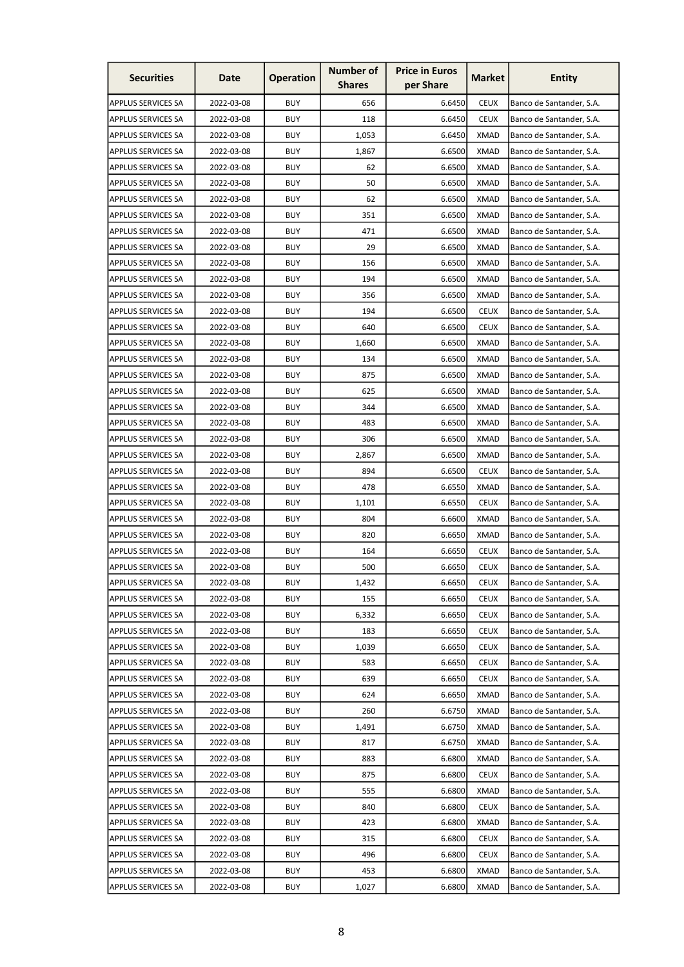| <b>Securities</b>         | Date       | <b>Operation</b> | <b>Number of</b><br><b>Shares</b> | <b>Price in Euros</b><br>per Share | <b>Market</b> | <b>Entity</b>            |
|---------------------------|------------|------------------|-----------------------------------|------------------------------------|---------------|--------------------------|
| <b>APPLUS SERVICES SA</b> | 2022-03-08 | <b>BUY</b>       | 656                               | 6.6450                             | <b>CEUX</b>   | Banco de Santander, S.A. |
| <b>APPLUS SERVICES SA</b> | 2022-03-08 | <b>BUY</b>       | 118                               | 6.6450                             | <b>CEUX</b>   | Banco de Santander, S.A. |
| <b>APPLUS SERVICES SA</b> | 2022-03-08 | <b>BUY</b>       | 1,053                             | 6.6450                             | <b>XMAD</b>   | Banco de Santander, S.A. |
| <b>APPLUS SERVICES SA</b> | 2022-03-08 | <b>BUY</b>       | 1,867                             | 6.6500                             | <b>XMAD</b>   | Banco de Santander, S.A. |
| <b>APPLUS SERVICES SA</b> | 2022-03-08 | <b>BUY</b>       | 62                                | 6.6500                             | <b>XMAD</b>   | Banco de Santander, S.A. |
| <b>APPLUS SERVICES SA</b> | 2022-03-08 | <b>BUY</b>       | 50                                | 6.6500                             | <b>XMAD</b>   | Banco de Santander, S.A. |
| <b>APPLUS SERVICES SA</b> | 2022-03-08 | <b>BUY</b>       | 62                                | 6.6500                             | XMAD          | Banco de Santander, S.A. |
| <b>APPLUS SERVICES SA</b> | 2022-03-08 | <b>BUY</b>       | 351                               | 6.6500                             | <b>XMAD</b>   | Banco de Santander, S.A. |
| <b>APPLUS SERVICES SA</b> | 2022-03-08 | <b>BUY</b>       | 471                               | 6.6500                             | <b>XMAD</b>   | Banco de Santander, S.A. |
| <b>APPLUS SERVICES SA</b> | 2022-03-08 | <b>BUY</b>       | 29                                | 6.6500                             | <b>XMAD</b>   | Banco de Santander, S.A. |
| <b>APPLUS SERVICES SA</b> | 2022-03-08 | <b>BUY</b>       | 156                               | 6.6500                             | <b>XMAD</b>   | Banco de Santander, S.A. |
| <b>APPLUS SERVICES SA</b> | 2022-03-08 | <b>BUY</b>       | 194                               | 6.6500                             | <b>XMAD</b>   | Banco de Santander, S.A. |
| <b>APPLUS SERVICES SA</b> | 2022-03-08 | <b>BUY</b>       | 356                               | 6.6500                             | XMAD          | Banco de Santander, S.A. |
| <b>APPLUS SERVICES SA</b> | 2022-03-08 | <b>BUY</b>       | 194                               | 6.6500                             | <b>CEUX</b>   | Banco de Santander, S.A. |
| <b>APPLUS SERVICES SA</b> | 2022-03-08 | <b>BUY</b>       | 640                               | 6.6500                             | <b>CEUX</b>   | Banco de Santander, S.A. |
| <b>APPLUS SERVICES SA</b> | 2022-03-08 | <b>BUY</b>       | 1,660                             | 6.6500                             | <b>XMAD</b>   | Banco de Santander, S.A. |
| <b>APPLUS SERVICES SA</b> | 2022-03-08 | <b>BUY</b>       | 134                               | 6.6500                             | <b>XMAD</b>   | Banco de Santander, S.A. |
| <b>APPLUS SERVICES SA</b> | 2022-03-08 | <b>BUY</b>       | 875                               | 6.6500                             | <b>XMAD</b>   | Banco de Santander, S.A. |
| <b>APPLUS SERVICES SA</b> | 2022-03-08 | <b>BUY</b>       | 625                               | 6.6500                             | <b>XMAD</b>   | Banco de Santander, S.A. |
| <b>APPLUS SERVICES SA</b> | 2022-03-08 | <b>BUY</b>       | 344                               | 6.6500                             | XMAD          | Banco de Santander, S.A. |
| <b>APPLUS SERVICES SA</b> | 2022-03-08 | <b>BUY</b>       | 483                               | 6.6500                             | <b>XMAD</b>   | Banco de Santander, S.A. |
| <b>APPLUS SERVICES SA</b> | 2022-03-08 | <b>BUY</b>       | 306                               | 6.6500                             | <b>XMAD</b>   | Banco de Santander, S.A. |
| <b>APPLUS SERVICES SA</b> | 2022-03-08 | <b>BUY</b>       | 2,867                             | 6.6500                             | <b>XMAD</b>   | Banco de Santander, S.A. |
| <b>APPLUS SERVICES SA</b> | 2022-03-08 | <b>BUY</b>       | 894                               | 6.6500                             | <b>CEUX</b>   | Banco de Santander, S.A. |
| <b>APPLUS SERVICES SA</b> | 2022-03-08 | <b>BUY</b>       | 478                               | 6.6550                             | <b>XMAD</b>   | Banco de Santander, S.A. |
| <b>APPLUS SERVICES SA</b> | 2022-03-08 | <b>BUY</b>       | 1,101                             | 6.6550                             | <b>CEUX</b>   | Banco de Santander, S.A. |
| <b>APPLUS SERVICES SA</b> | 2022-03-08 | <b>BUY</b>       | 804                               | 6.6600                             | <b>XMAD</b>   | Banco de Santander, S.A. |
| <b>APPLUS SERVICES SA</b> | 2022-03-08 | <b>BUY</b>       | 820                               | 6.6650                             | <b>XMAD</b>   | Banco de Santander, S.A. |
| <b>APPLUS SERVICES SA</b> | 2022-03-08 | <b>BUY</b>       | 164                               | 6.6650                             | <b>CEUX</b>   | Banco de Santander, S.A. |
| <b>APPLUS SERVICES SA</b> | 2022-03-08 | <b>BUY</b>       | 500                               | 6.6650                             | <b>CEUX</b>   | Banco de Santander, S.A. |
| <b>APPLUS SERVICES SA</b> | 2022-03-08 | <b>BUY</b>       | 1,432                             | 6.6650                             | <b>CEUX</b>   | Banco de Santander, S.A. |
| <b>APPLUS SERVICES SA</b> | 2022-03-08 | <b>BUY</b>       | 155                               | 6.6650                             | <b>CEUX</b>   | Banco de Santander, S.A. |
| <b>APPLUS SERVICES SA</b> | 2022-03-08 | <b>BUY</b>       | 6,332                             | 6.6650                             | <b>CEUX</b>   | Banco de Santander, S.A. |
| <b>APPLUS SERVICES SA</b> | 2022-03-08 | <b>BUY</b>       | 183                               | 6.6650                             | <b>CEUX</b>   | Banco de Santander, S.A. |
| <b>APPLUS SERVICES SA</b> | 2022-03-08 | <b>BUY</b>       | 1,039                             | 6.6650                             | <b>CEUX</b>   | Banco de Santander, S.A. |
| <b>APPLUS SERVICES SA</b> | 2022-03-08 | <b>BUY</b>       | 583                               | 6.6650                             | <b>CEUX</b>   | Banco de Santander, S.A. |
| <b>APPLUS SERVICES SA</b> | 2022-03-08 | <b>BUY</b>       | 639                               | 6.6650                             | <b>CEUX</b>   | Banco de Santander, S.A. |
| <b>APPLUS SERVICES SA</b> | 2022-03-08 | <b>BUY</b>       | 624                               | 6.6650                             | <b>XMAD</b>   | Banco de Santander, S.A. |
| <b>APPLUS SERVICES SA</b> | 2022-03-08 | <b>BUY</b>       | 260                               | 6.6750                             | <b>XMAD</b>   | Banco de Santander, S.A. |
| <b>APPLUS SERVICES SA</b> | 2022-03-08 | <b>BUY</b>       | 1,491                             | 6.6750                             | <b>XMAD</b>   | Banco de Santander, S.A. |
| <b>APPLUS SERVICES SA</b> | 2022-03-08 | <b>BUY</b>       | 817                               | 6.6750                             | <b>XMAD</b>   | Banco de Santander, S.A. |
| <b>APPLUS SERVICES SA</b> | 2022-03-08 | <b>BUY</b>       | 883                               | 6.6800                             | <b>XMAD</b>   | Banco de Santander, S.A. |
| <b>APPLUS SERVICES SA</b> | 2022-03-08 | <b>BUY</b>       | 875                               | 6.6800                             | <b>CEUX</b>   | Banco de Santander, S.A. |
| <b>APPLUS SERVICES SA</b> | 2022-03-08 | <b>BUY</b>       | 555                               | 6.6800                             | <b>XMAD</b>   | Banco de Santander, S.A. |
| <b>APPLUS SERVICES SA</b> | 2022-03-08 | <b>BUY</b>       | 840                               | 6.6800                             | <b>CEUX</b>   | Banco de Santander, S.A. |
| <b>APPLUS SERVICES SA</b> | 2022-03-08 | <b>BUY</b>       | 423                               | 6.6800                             | <b>XMAD</b>   | Banco de Santander, S.A. |
| <b>APPLUS SERVICES SA</b> | 2022-03-08 | <b>BUY</b>       | 315                               | 6.6800                             | <b>CEUX</b>   | Banco de Santander, S.A. |
| <b>APPLUS SERVICES SA</b> | 2022-03-08 | <b>BUY</b>       | 496                               | 6.6800                             | <b>CEUX</b>   | Banco de Santander, S.A. |
| <b>APPLUS SERVICES SA</b> | 2022-03-08 | <b>BUY</b>       | 453                               | 6.6800                             | <b>XMAD</b>   | Banco de Santander, S.A. |
| <b>APPLUS SERVICES SA</b> | 2022-03-08 | <b>BUY</b>       | 1,027                             | 6.6800                             | <b>XMAD</b>   | Banco de Santander, S.A. |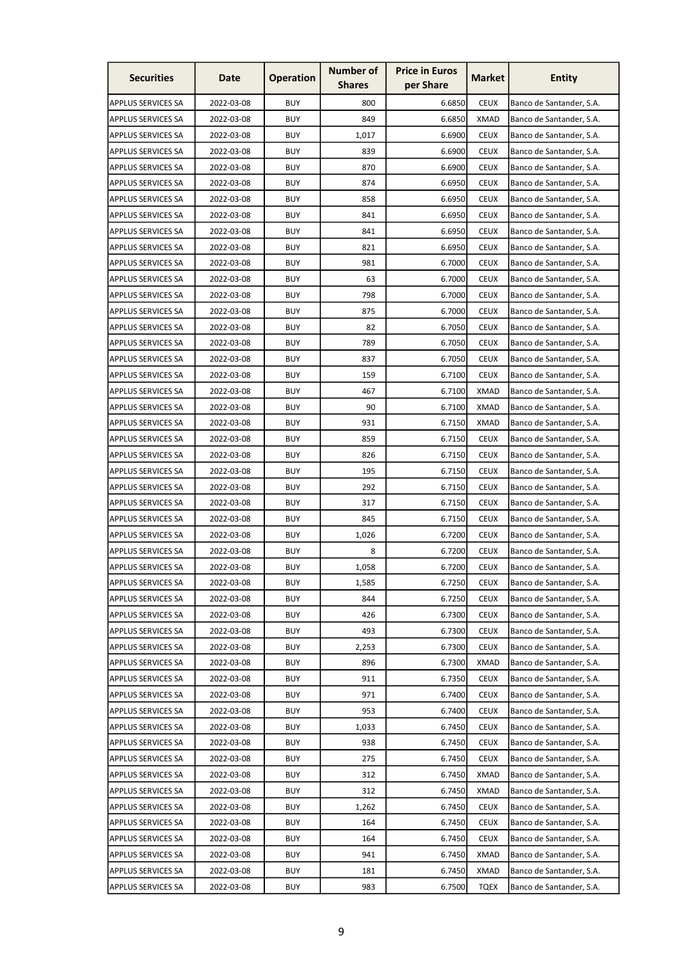| <b>Securities</b>         | Date       | <b>Operation</b> | <b>Number of</b><br><b>Shares</b> | <b>Price in Euros</b><br>per Share | <b>Market</b> | <b>Entity</b>            |
|---------------------------|------------|------------------|-----------------------------------|------------------------------------|---------------|--------------------------|
| <b>APPLUS SERVICES SA</b> | 2022-03-08 | <b>BUY</b>       | 800                               | 6.6850                             | <b>CEUX</b>   | Banco de Santander, S.A. |
| <b>APPLUS SERVICES SA</b> | 2022-03-08 | <b>BUY</b>       | 849                               | 6.6850                             | <b>XMAD</b>   | Banco de Santander, S.A. |
| <b>APPLUS SERVICES SA</b> | 2022-03-08 | <b>BUY</b>       | 1,017                             | 6.6900                             | <b>CEUX</b>   | Banco de Santander, S.A. |
| <b>APPLUS SERVICES SA</b> | 2022-03-08 | <b>BUY</b>       | 839                               | 6.6900                             | <b>CEUX</b>   | Banco de Santander, S.A. |
| <b>APPLUS SERVICES SA</b> | 2022-03-08 | <b>BUY</b>       | 870                               | 6.6900                             | <b>CEUX</b>   | Banco de Santander, S.A. |
| <b>APPLUS SERVICES SA</b> | 2022-03-08 | <b>BUY</b>       | 874                               | 6.6950                             | <b>CEUX</b>   | Banco de Santander, S.A. |
| <b>APPLUS SERVICES SA</b> | 2022-03-08 | <b>BUY</b>       | 858                               | 6.6950                             | <b>CEUX</b>   | Banco de Santander, S.A. |
| <b>APPLUS SERVICES SA</b> | 2022-03-08 | <b>BUY</b>       | 841                               | 6.6950                             | <b>CEUX</b>   | Banco de Santander, S.A. |
| <b>APPLUS SERVICES SA</b> | 2022-03-08 | <b>BUY</b>       | 841                               | 6.6950                             | <b>CEUX</b>   | Banco de Santander, S.A. |
| <b>APPLUS SERVICES SA</b> | 2022-03-08 | <b>BUY</b>       | 821                               | 6.6950                             | <b>CEUX</b>   | Banco de Santander, S.A. |
| <b>APPLUS SERVICES SA</b> | 2022-03-08 | <b>BUY</b>       | 981                               | 6.7000                             | <b>CEUX</b>   | Banco de Santander, S.A. |
| <b>APPLUS SERVICES SA</b> | 2022-03-08 | <b>BUY</b>       | 63                                | 6.7000                             | <b>CEUX</b>   | Banco de Santander, S.A. |
| <b>APPLUS SERVICES SA</b> | 2022-03-08 | <b>BUY</b>       | 798                               | 6.7000                             | <b>CEUX</b>   | Banco de Santander, S.A. |
| <b>APPLUS SERVICES SA</b> | 2022-03-08 | <b>BUY</b>       | 875                               | 6.7000                             | <b>CEUX</b>   | Banco de Santander, S.A. |
| <b>APPLUS SERVICES SA</b> | 2022-03-08 | <b>BUY</b>       | 82                                | 6.7050                             | <b>CEUX</b>   | Banco de Santander, S.A. |
| <b>APPLUS SERVICES SA</b> | 2022-03-08 | <b>BUY</b>       | 789                               | 6.7050                             | <b>CEUX</b>   | Banco de Santander, S.A. |
| <b>APPLUS SERVICES SA</b> | 2022-03-08 | <b>BUY</b>       | 837                               | 6.7050                             | <b>CEUX</b>   | Banco de Santander, S.A. |
| <b>APPLUS SERVICES SA</b> | 2022-03-08 | <b>BUY</b>       | 159                               | 6.7100                             | <b>CEUX</b>   | Banco de Santander, S.A. |
| <b>APPLUS SERVICES SA</b> | 2022-03-08 | <b>BUY</b>       | 467                               | 6.7100                             | <b>XMAD</b>   | Banco de Santander, S.A. |
| <b>APPLUS SERVICES SA</b> | 2022-03-08 | <b>BUY</b>       | 90                                | 6.7100                             | XMAD          | Banco de Santander, S.A. |
| <b>APPLUS SERVICES SA</b> | 2022-03-08 | <b>BUY</b>       | 931                               | 6.7150                             | <b>XMAD</b>   | Banco de Santander, S.A. |
| <b>APPLUS SERVICES SA</b> | 2022-03-08 | <b>BUY</b>       | 859                               | 6.7150                             | <b>CEUX</b>   | Banco de Santander, S.A. |
| <b>APPLUS SERVICES SA</b> | 2022-03-08 | <b>BUY</b>       | 826                               | 6.7150                             | <b>CEUX</b>   | Banco de Santander, S.A. |
| <b>APPLUS SERVICES SA</b> | 2022-03-08 | <b>BUY</b>       | 195                               | 6.7150                             | <b>CEUX</b>   | Banco de Santander, S.A. |
| <b>APPLUS SERVICES SA</b> | 2022-03-08 | <b>BUY</b>       | 292                               | 6.7150                             | <b>CEUX</b>   | Banco de Santander, S.A. |
| <b>APPLUS SERVICES SA</b> | 2022-03-08 | <b>BUY</b>       | 317                               | 6.7150                             | <b>CEUX</b>   | Banco de Santander, S.A. |
| <b>APPLUS SERVICES SA</b> | 2022-03-08 | <b>BUY</b>       | 845                               | 6.7150                             | <b>CEUX</b>   | Banco de Santander, S.A. |
| <b>APPLUS SERVICES SA</b> | 2022-03-08 | <b>BUY</b>       | 1,026                             | 6.7200                             | <b>CEUX</b>   | Banco de Santander, S.A. |
| APPLUS SERVICES SA        | 2022-03-08 | <b>BUY</b>       | 8                                 | 6.7200                             | <b>CEUX</b>   | Banco de Santander, S.A. |
| <b>APPLUS SERVICES SA</b> | 2022-03-08 | <b>BUY</b>       | 1,058                             | 6.7200                             | <b>CEUX</b>   | Banco de Santander, S.A. |
| <b>APPLUS SERVICES SA</b> | 2022-03-08 | <b>BUY</b>       | 1,585                             | 6.7250                             | <b>CEUX</b>   | Banco de Santander, S.A. |
| <b>APPLUS SERVICES SA</b> | 2022-03-08 | <b>BUY</b>       | 844                               | 6.7250                             | <b>CEUX</b>   | Banco de Santander, S.A. |
| <b>APPLUS SERVICES SA</b> | 2022-03-08 | <b>BUY</b>       | 426                               | 6.7300                             | <b>CEUX</b>   | Banco de Santander, S.A. |
| <b>APPLUS SERVICES SA</b> | 2022-03-08 | <b>BUY</b>       | 493                               | 6.7300                             | <b>CEUX</b>   | Banco de Santander, S.A. |
| <b>APPLUS SERVICES SA</b> | 2022-03-08 | <b>BUY</b>       | 2,253                             | 6.7300                             | <b>CEUX</b>   | Banco de Santander, S.A. |
| <b>APPLUS SERVICES SA</b> | 2022-03-08 | <b>BUY</b>       | 896                               | 6.7300                             | <b>XMAD</b>   | Banco de Santander, S.A. |
| <b>APPLUS SERVICES SA</b> | 2022-03-08 | <b>BUY</b>       | 911                               | 6.7350                             | <b>CEUX</b>   | Banco de Santander, S.A. |
| <b>APPLUS SERVICES SA</b> | 2022-03-08 | <b>BUY</b>       | 971                               | 6.7400                             | <b>CEUX</b>   | Banco de Santander, S.A. |
| <b>APPLUS SERVICES SA</b> | 2022-03-08 | <b>BUY</b>       | 953                               | 6.7400                             | <b>CEUX</b>   | Banco de Santander, S.A. |
| <b>APPLUS SERVICES SA</b> | 2022-03-08 | <b>BUY</b>       | 1,033                             | 6.7450                             | <b>CEUX</b>   | Banco de Santander, S.A. |
| <b>APPLUS SERVICES SA</b> | 2022-03-08 | <b>BUY</b>       | 938                               | 6.7450                             | <b>CEUX</b>   | Banco de Santander, S.A. |
| <b>APPLUS SERVICES SA</b> | 2022-03-08 | <b>BUY</b>       | 275                               | 6.7450                             | <b>CEUX</b>   | Banco de Santander, S.A. |
| <b>APPLUS SERVICES SA</b> | 2022-03-08 | <b>BUY</b>       | 312                               | 6.7450                             | <b>XMAD</b>   | Banco de Santander, S.A. |
| <b>APPLUS SERVICES SA</b> | 2022-03-08 | <b>BUY</b>       | 312                               | 6.7450                             | <b>XMAD</b>   | Banco de Santander, S.A. |
| <b>APPLUS SERVICES SA</b> | 2022-03-08 | <b>BUY</b>       | 1,262                             | 6.7450                             | <b>CEUX</b>   | Banco de Santander, S.A. |
| <b>APPLUS SERVICES SA</b> | 2022-03-08 | <b>BUY</b>       | 164                               | 6.7450                             | <b>CEUX</b>   | Banco de Santander, S.A. |
| <b>APPLUS SERVICES SA</b> | 2022-03-08 | <b>BUY</b>       | 164                               | 6.7450                             | <b>CEUX</b>   | Banco de Santander, S.A. |
| <b>APPLUS SERVICES SA</b> | 2022-03-08 | <b>BUY</b>       | 941                               | 6.7450                             | <b>XMAD</b>   | Banco de Santander, S.A. |
| APPLUS SERVICES SA        | 2022-03-08 | <b>BUY</b>       | 181                               | 6.7450                             | <b>XMAD</b>   | Banco de Santander, S.A. |
| <b>APPLUS SERVICES SA</b> | 2022-03-08 | <b>BUY</b>       | 983                               | 6.7500                             | <b>TQEX</b>   | Banco de Santander, S.A. |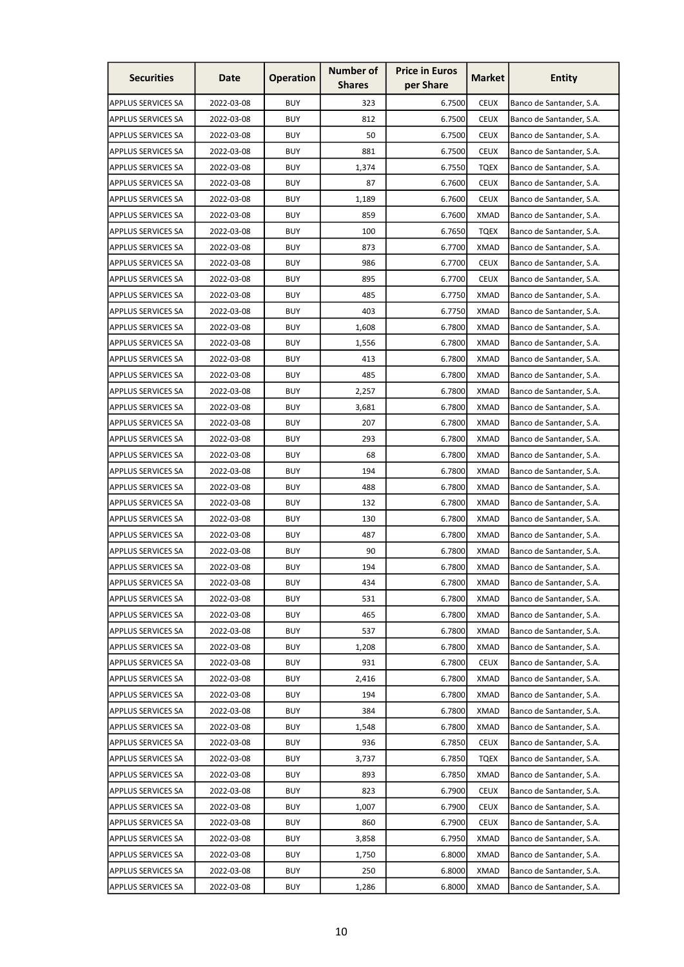| <b>Securities</b>         | Date       | <b>Operation</b> | <b>Number of</b><br><b>Shares</b> | <b>Price in Euros</b><br>per Share | <b>Market</b> | <b>Entity</b>            |
|---------------------------|------------|------------------|-----------------------------------|------------------------------------|---------------|--------------------------|
| APPLUS SERVICES SA        | 2022-03-08 | <b>BUY</b>       | 323                               | 6.7500                             | <b>CEUX</b>   | Banco de Santander, S.A. |
| <b>APPLUS SERVICES SA</b> | 2022-03-08 | <b>BUY</b>       | 812                               | 6.7500                             | <b>CEUX</b>   | Banco de Santander, S.A. |
| <b>APPLUS SERVICES SA</b> | 2022-03-08 | <b>BUY</b>       | 50                                | 6.7500                             | <b>CEUX</b>   | Banco de Santander, S.A. |
| APPLUS SERVICES SA        | 2022-03-08 | <b>BUY</b>       | 881                               | 6.7500                             | <b>CEUX</b>   | Banco de Santander, S.A. |
| <b>APPLUS SERVICES SA</b> | 2022-03-08 | <b>BUY</b>       | 1,374                             | 6.7550                             | <b>TQEX</b>   | Banco de Santander, S.A. |
| <b>APPLUS SERVICES SA</b> | 2022-03-08 | <b>BUY</b>       | 87                                | 6.7600                             | <b>CEUX</b>   | Banco de Santander, S.A. |
| APPLUS SERVICES SA        | 2022-03-08 | <b>BUY</b>       | 1,189                             | 6.7600                             | <b>CEUX</b>   | Banco de Santander, S.A. |
| <b>APPLUS SERVICES SA</b> | 2022-03-08 | <b>BUY</b>       | 859                               | 6.7600                             | <b>XMAD</b>   | Banco de Santander, S.A. |
| <b>APPLUS SERVICES SA</b> | 2022-03-08 | <b>BUY</b>       | 100                               | 6.7650                             | <b>TQEX</b>   | Banco de Santander, S.A. |
| <b>APPLUS SERVICES SA</b> | 2022-03-08 | <b>BUY</b>       | 873                               | 6.7700                             | <b>XMAD</b>   | Banco de Santander, S.A. |
| <b>APPLUS SERVICES SA</b> | 2022-03-08 | <b>BUY</b>       | 986                               | 6.7700                             | <b>CEUX</b>   | Banco de Santander, S.A. |
| <b>APPLUS SERVICES SA</b> | 2022-03-08 | <b>BUY</b>       | 895                               | 6.7700                             | <b>CEUX</b>   | Banco de Santander, S.A. |
| <b>APPLUS SERVICES SA</b> | 2022-03-08 | <b>BUY</b>       | 485                               | 6.7750                             | <b>XMAD</b>   | Banco de Santander, S.A. |
| <b>APPLUS SERVICES SA</b> | 2022-03-08 | <b>BUY</b>       | 403                               | 6.7750                             | XMAD          | Banco de Santander, S.A. |
| <b>APPLUS SERVICES SA</b> | 2022-03-08 | <b>BUY</b>       | 1,608                             | 6.7800                             | <b>XMAD</b>   | Banco de Santander, S.A. |
| <b>APPLUS SERVICES SA</b> | 2022-03-08 | <b>BUY</b>       | 1,556                             | 6.7800                             | <b>XMAD</b>   | Banco de Santander, S.A. |
| <b>APPLUS SERVICES SA</b> | 2022-03-08 | <b>BUY</b>       | 413                               | 6.7800                             | <b>XMAD</b>   | Banco de Santander, S.A. |
| <b>APPLUS SERVICES SA</b> | 2022-03-08 | <b>BUY</b>       | 485                               | 6.7800                             | XMAD          | Banco de Santander, S.A. |
| <b>APPLUS SERVICES SA</b> | 2022-03-08 | <b>BUY</b>       | 2,257                             | 6.7800                             | XMAD          | Banco de Santander, S.A. |
| <b>APPLUS SERVICES SA</b> | 2022-03-08 | <b>BUY</b>       | 3,681                             | 6.7800                             | XMAD          | Banco de Santander, S.A. |
| <b>APPLUS SERVICES SA</b> | 2022-03-08 | <b>BUY</b>       | 207                               | 6.7800                             | <b>XMAD</b>   | Banco de Santander, S.A. |
| <b>APPLUS SERVICES SA</b> | 2022-03-08 | <b>BUY</b>       | 293                               | 6.7800                             | <b>XMAD</b>   | Banco de Santander, S.A. |
| <b>APPLUS SERVICES SA</b> | 2022-03-08 | <b>BUY</b>       | 68                                | 6.7800                             | <b>XMAD</b>   | Banco de Santander, S.A. |
| <b>APPLUS SERVICES SA</b> | 2022-03-08 | <b>BUY</b>       | 194                               | 6.7800                             | <b>XMAD</b>   | Banco de Santander, S.A. |
| <b>APPLUS SERVICES SA</b> | 2022-03-08 | <b>BUY</b>       | 488                               | 6.7800                             | <b>XMAD</b>   | Banco de Santander, S.A. |
| <b>APPLUS SERVICES SA</b> | 2022-03-08 | <b>BUY</b>       | 132                               | 6.7800                             | XMAD          | Banco de Santander, S.A. |
| <b>APPLUS SERVICES SA</b> | 2022-03-08 | <b>BUY</b>       | 130                               | 6.7800                             | <b>XMAD</b>   | Banco de Santander, S.A. |
| <b>APPLUS SERVICES SA</b> | 2022-03-08 | <b>BUY</b>       | 487                               | 6.7800                             | <b>XMAD</b>   | Banco de Santander, S.A. |
| APPLUS SERVICES SA        | 2022-03-08 | <b>BUY</b>       | 90                                | 6.7800                             | <b>XMAD</b>   | Banco de Santander, S.A. |
| <b>APPLUS SERVICES SA</b> | 2022-03-08 | <b>BUY</b>       | 194                               | 6.7800                             | <b>XMAD</b>   | Banco de Santander, S.A. |
| <b>APPLUS SERVICES SA</b> | 2022-03-08 | <b>BUY</b>       | 434                               | 6.7800                             | <b>XMAD</b>   | Banco de Santander, S.A. |
| <b>APPLUS SERVICES SA</b> | 2022-03-08 | <b>BUY</b>       | 531                               | 6.7800                             | <b>XMAD</b>   | Banco de Santander, S.A. |
| <b>APPLUS SERVICES SA</b> | 2022-03-08 | <b>BUY</b>       | 465                               | 6.7800                             | <b>XMAD</b>   | Banco de Santander, S.A. |
| <b>APPLUS SERVICES SA</b> | 2022-03-08 | <b>BUY</b>       | 537                               | 6.7800                             | <b>XMAD</b>   | Banco de Santander, S.A. |
| <b>APPLUS SERVICES SA</b> | 2022-03-08 | <b>BUY</b>       | 1,208                             | 6.7800                             | <b>XMAD</b>   | Banco de Santander, S.A. |
| <b>APPLUS SERVICES SA</b> | 2022-03-08 | <b>BUY</b>       | 931                               | 6.7800                             | <b>CEUX</b>   | Banco de Santander, S.A. |
| <b>APPLUS SERVICES SA</b> | 2022-03-08 | <b>BUY</b>       | 2,416                             | 6.7800                             | <b>XMAD</b>   | Banco de Santander, S.A. |
| <b>APPLUS SERVICES SA</b> | 2022-03-08 | <b>BUY</b>       | 194                               | 6.7800                             | <b>XMAD</b>   | Banco de Santander, S.A. |
| APPLUS SERVICES SA        | 2022-03-08 | <b>BUY</b>       | 384                               | 6.7800                             | <b>XMAD</b>   | Banco de Santander, S.A. |
| <b>APPLUS SERVICES SA</b> | 2022-03-08 | <b>BUY</b>       | 1,548                             | 6.7800                             | <b>XMAD</b>   | Banco de Santander, S.A. |
| <b>APPLUS SERVICES SA</b> | 2022-03-08 | <b>BUY</b>       | 936                               | 6.7850                             | <b>CEUX</b>   | Banco de Santander, S.A. |
| <b>APPLUS SERVICES SA</b> | 2022-03-08 | <b>BUY</b>       | 3,737                             | 6.7850                             | <b>TQEX</b>   | Banco de Santander, S.A. |
| <b>APPLUS SERVICES SA</b> | 2022-03-08 | <b>BUY</b>       | 893                               | 6.7850                             | <b>XMAD</b>   | Banco de Santander, S.A. |
| <b>APPLUS SERVICES SA</b> | 2022-03-08 | <b>BUY</b>       | 823                               | 6.7900                             | <b>CEUX</b>   | Banco de Santander, S.A. |
| <b>APPLUS SERVICES SA</b> | 2022-03-08 | <b>BUY</b>       | 1,007                             | 6.7900                             | <b>CEUX</b>   | Banco de Santander, S.A. |
| <b>APPLUS SERVICES SA</b> | 2022-03-08 | <b>BUY</b>       | 860                               | 6.7900                             | <b>CEUX</b>   | Banco de Santander, S.A. |
| <b>APPLUS SERVICES SA</b> | 2022-03-08 | <b>BUY</b>       | 3,858                             | 6.7950                             | <b>XMAD</b>   | Banco de Santander, S.A. |
| APPLUS SERVICES SA        | 2022-03-08 | <b>BUY</b>       | 1,750                             | 6.8000                             | <b>XMAD</b>   | Banco de Santander, S.A. |
| APPLUS SERVICES SA        | 2022-03-08 | <b>BUY</b>       | 250                               | 6.8000                             | <b>XMAD</b>   | Banco de Santander, S.A. |
| APPLUS SERVICES SA        | 2022-03-08 | <b>BUY</b>       | 1,286                             | 6.8000                             | <b>XMAD</b>   | Banco de Santander, S.A. |
|                           |            |                  |                                   |                                    |               |                          |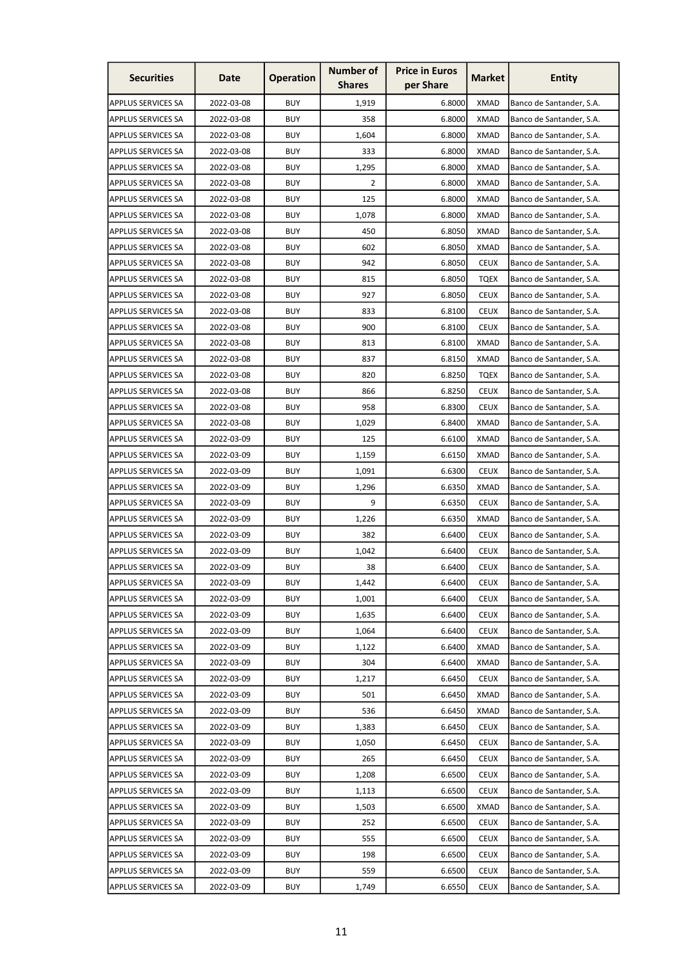| <b>Securities</b>         | Date       | <b>Operation</b> | <b>Number of</b><br><b>Shares</b> | <b>Price in Euros</b><br>per Share | <b>Market</b> | <b>Entity</b>            |
|---------------------------|------------|------------------|-----------------------------------|------------------------------------|---------------|--------------------------|
| <b>APPLUS SERVICES SA</b> | 2022-03-08 | <b>BUY</b>       | 1,919                             | 6.8000                             | <b>XMAD</b>   | Banco de Santander, S.A. |
| <b>APPLUS SERVICES SA</b> | 2022-03-08 | <b>BUY</b>       | 358                               | 6.8000                             | <b>XMAD</b>   | Banco de Santander, S.A. |
| <b>APPLUS SERVICES SA</b> | 2022-03-08 | <b>BUY</b>       | 1,604                             | 6.8000                             | <b>XMAD</b>   | Banco de Santander, S.A. |
| <b>APPLUS SERVICES SA</b> | 2022-03-08 | <b>BUY</b>       | 333                               | 6.8000                             | <b>XMAD</b>   | Banco de Santander, S.A. |
| <b>APPLUS SERVICES SA</b> | 2022-03-08 | <b>BUY</b>       | 1,295                             | 6.8000                             | <b>XMAD</b>   | Banco de Santander, S.A. |
| <b>APPLUS SERVICES SA</b> | 2022-03-08 | <b>BUY</b>       | 2                                 | 6.8000                             | <b>XMAD</b>   | Banco de Santander, S.A. |
| <b>APPLUS SERVICES SA</b> | 2022-03-08 | <b>BUY</b>       | 125                               | 6.8000                             | XMAD          | Banco de Santander, S.A. |
| <b>APPLUS SERVICES SA</b> | 2022-03-08 | <b>BUY</b>       | 1,078                             | 6.8000                             | <b>XMAD</b>   | Banco de Santander, S.A. |
| <b>APPLUS SERVICES SA</b> | 2022-03-08 | <b>BUY</b>       | 450                               | 6.8050                             | <b>XMAD</b>   | Banco de Santander, S.A. |
| <b>APPLUS SERVICES SA</b> | 2022-03-08 | <b>BUY</b>       | 602                               | 6.8050                             | <b>XMAD</b>   | Banco de Santander, S.A. |
| <b>APPLUS SERVICES SA</b> | 2022-03-08 | <b>BUY</b>       | 942                               | 6.8050                             | <b>CEUX</b>   | Banco de Santander, S.A. |
| <b>APPLUS SERVICES SA</b> | 2022-03-08 | <b>BUY</b>       | 815                               | 6.8050                             | <b>TQEX</b>   | Banco de Santander, S.A. |
| <b>APPLUS SERVICES SA</b> | 2022-03-08 | <b>BUY</b>       | 927                               | 6.8050                             | <b>CEUX</b>   | Banco de Santander, S.A. |
| <b>APPLUS SERVICES SA</b> | 2022-03-08 | <b>BUY</b>       | 833                               | 6.8100                             | <b>CEUX</b>   | Banco de Santander, S.A. |
| <b>APPLUS SERVICES SA</b> | 2022-03-08 | <b>BUY</b>       | 900                               | 6.8100                             | <b>CEUX</b>   | Banco de Santander, S.A. |
| <b>APPLUS SERVICES SA</b> | 2022-03-08 | <b>BUY</b>       | 813                               | 6.8100                             | <b>XMAD</b>   | Banco de Santander, S.A. |
| <b>APPLUS SERVICES SA</b> | 2022-03-08 | <b>BUY</b>       | 837                               | 6.8150                             | <b>XMAD</b>   | Banco de Santander, S.A. |
| <b>APPLUS SERVICES SA</b> | 2022-03-08 | <b>BUY</b>       | 820                               | 6.8250                             | <b>TOEX</b>   | Banco de Santander, S.A. |
| <b>APPLUS SERVICES SA</b> | 2022-03-08 | <b>BUY</b>       | 866                               | 6.8250                             | <b>CEUX</b>   | Banco de Santander, S.A. |
| <b>APPLUS SERVICES SA</b> | 2022-03-08 | <b>BUY</b>       | 958                               | 6.8300                             | <b>CEUX</b>   | Banco de Santander, S.A. |
| <b>APPLUS SERVICES SA</b> | 2022-03-08 | <b>BUY</b>       | 1,029                             | 6.8400                             | <b>XMAD</b>   | Banco de Santander, S.A. |
| <b>APPLUS SERVICES SA</b> | 2022-03-09 | <b>BUY</b>       | 125                               | 6.6100                             | <b>XMAD</b>   | Banco de Santander, S.A. |
| <b>APPLUS SERVICES SA</b> | 2022-03-09 | <b>BUY</b>       | 1,159                             | 6.6150                             | <b>XMAD</b>   | Banco de Santander, S.A. |
| <b>APPLUS SERVICES SA</b> | 2022-03-09 | <b>BUY</b>       | 1,091                             | 6.6300                             | <b>CEUX</b>   | Banco de Santander, S.A. |
| <b>APPLUS SERVICES SA</b> | 2022-03-09 | <b>BUY</b>       | 1,296                             | 6.6350                             | <b>XMAD</b>   | Banco de Santander, S.A. |
| <b>APPLUS SERVICES SA</b> | 2022-03-09 | <b>BUY</b>       | 9                                 | 6.6350                             | <b>CEUX</b>   | Banco de Santander, S.A. |
| <b>APPLUS SERVICES SA</b> | 2022-03-09 | <b>BUY</b>       | 1,226                             | 6.6350                             | <b>XMAD</b>   | Banco de Santander, S.A. |
| <b>APPLUS SERVICES SA</b> | 2022-03-09 | <b>BUY</b>       | 382                               | 6.6400                             | <b>CEUX</b>   | Banco de Santander, S.A. |
| APPLUS SERVICES SA        | 2022-03-09 | <b>BUY</b>       | 1,042                             | 6.6400                             | <b>CEUX</b>   | Banco de Santander, S.A. |
| <b>APPLUS SERVICES SA</b> | 2022-03-09 | <b>BUY</b>       | 38                                | 6.6400                             | <b>CEUX</b>   | Banco de Santander, S.A. |
| <b>APPLUS SERVICES SA</b> | 2022-03-09 | <b>BUY</b>       | 1,442                             | 6.6400                             | <b>CEUX</b>   | Banco de Santander, S.A. |
| <b>APPLUS SERVICES SA</b> | 2022-03-09 | <b>BUY</b>       | 1,001                             | 6.6400                             | <b>CEUX</b>   | Banco de Santander, S.A. |
| <b>APPLUS SERVICES SA</b> | 2022-03-09 | <b>BUY</b>       | 1,635                             | 6.6400                             | <b>CEUX</b>   | Banco de Santander, S.A. |
| <b>APPLUS SERVICES SA</b> | 2022-03-09 | <b>BUY</b>       | 1,064                             | 6.6400                             | <b>CEUX</b>   | Banco de Santander, S.A. |
| <b>APPLUS SERVICES SA</b> | 2022-03-09 | <b>BUY</b>       | 1,122                             | 6.6400                             | <b>XMAD</b>   | Banco de Santander, S.A. |
| <b>APPLUS SERVICES SA</b> | 2022-03-09 | <b>BUY</b>       | 304                               | 6.6400                             | <b>XMAD</b>   | Banco de Santander, S.A. |
| <b>APPLUS SERVICES SA</b> | 2022-03-09 | <b>BUY</b>       | 1,217                             | 6.6450                             | <b>CEUX</b>   | Banco de Santander, S.A. |
| <b>APPLUS SERVICES SA</b> | 2022-03-09 | <b>BUY</b>       | 501                               | 6.6450                             | <b>XMAD</b>   | Banco de Santander, S.A. |
| <b>APPLUS SERVICES SA</b> | 2022-03-09 | <b>BUY</b>       | 536                               | 6.6450                             | <b>XMAD</b>   | Banco de Santander, S.A. |
| <b>APPLUS SERVICES SA</b> | 2022-03-09 | <b>BUY</b>       | 1,383                             | 6.6450                             | <b>CEUX</b>   | Banco de Santander, S.A. |
| <b>APPLUS SERVICES SA</b> | 2022-03-09 | <b>BUY</b>       | 1,050                             | 6.6450                             | <b>CEUX</b>   | Banco de Santander, S.A. |
| <b>APPLUS SERVICES SA</b> | 2022-03-09 | <b>BUY</b>       | 265                               | 6.6450                             | <b>CEUX</b>   | Banco de Santander, S.A. |
| <b>APPLUS SERVICES SA</b> | 2022-03-09 | <b>BUY</b>       | 1,208                             | 6.6500                             | <b>CEUX</b>   | Banco de Santander, S.A. |
| <b>APPLUS SERVICES SA</b> | 2022-03-09 | <b>BUY</b>       | 1,113                             | 6.6500                             | <b>CEUX</b>   | Banco de Santander, S.A. |
| <b>APPLUS SERVICES SA</b> | 2022-03-09 | <b>BUY</b>       | 1,503                             | 6.6500                             | <b>XMAD</b>   | Banco de Santander, S.A. |
| <b>APPLUS SERVICES SA</b> | 2022-03-09 | <b>BUY</b>       | 252                               | 6.6500                             | <b>CEUX</b>   | Banco de Santander, S.A. |
| <b>APPLUS SERVICES SA</b> | 2022-03-09 | <b>BUY</b>       | 555                               | 6.6500                             | <b>CEUX</b>   | Banco de Santander, S.A. |
| APPLUS SERVICES SA        | 2022-03-09 | <b>BUY</b>       | 198                               | 6.6500                             | <b>CEUX</b>   | Banco de Santander, S.A. |
| APPLUS SERVICES SA        | 2022-03-09 | <b>BUY</b>       | 559                               | 6.6500                             | <b>CEUX</b>   | Banco de Santander, S.A. |
| <b>APPLUS SERVICES SA</b> | 2022-03-09 | <b>BUY</b>       | 1,749                             | 6.6550                             | <b>CEUX</b>   | Banco de Santander, S.A. |
|                           |            |                  |                                   |                                    |               |                          |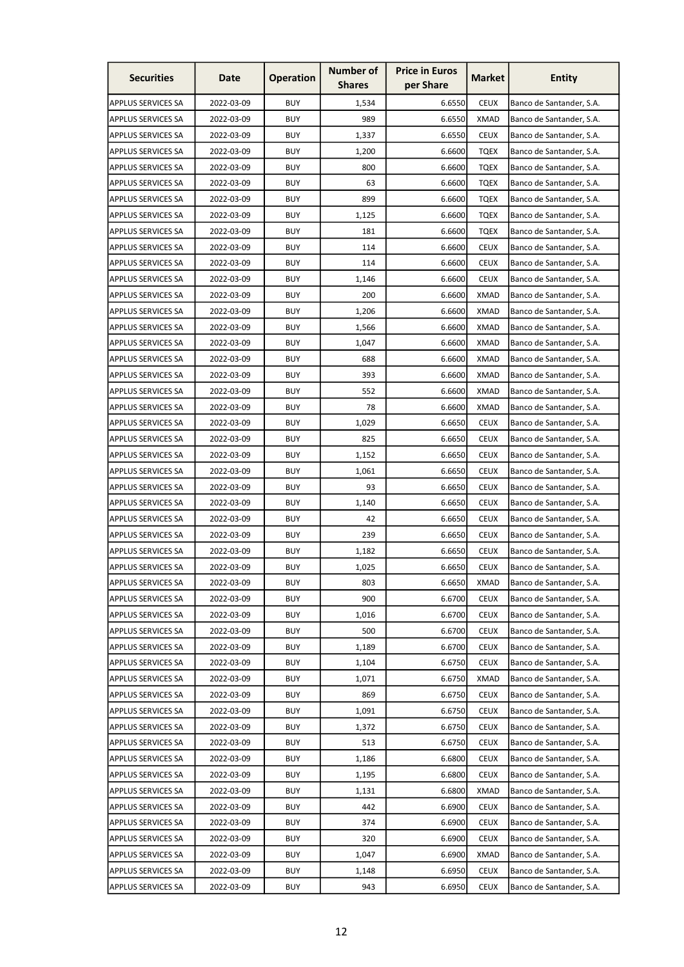| <b>Securities</b>         | Date       | <b>Operation</b> | <b>Number of</b><br><b>Shares</b> | <b>Price in Euros</b><br>per Share | Market      | <b>Entity</b>            |
|---------------------------|------------|------------------|-----------------------------------|------------------------------------|-------------|--------------------------|
| APPLUS SERVICES SA        | 2022-03-09 | <b>BUY</b>       | 1,534                             | 6.6550                             | <b>CEUX</b> | Banco de Santander, S.A. |
| <b>APPLUS SERVICES SA</b> | 2022-03-09 | <b>BUY</b>       | 989                               | 6.6550                             | <b>XMAD</b> | Banco de Santander, S.A. |
| <b>APPLUS SERVICES SA</b> | 2022-03-09 | <b>BUY</b>       | 1,337                             | 6.6550                             | <b>CEUX</b> | Banco de Santander, S.A. |
| <b>APPLUS SERVICES SA</b> | 2022-03-09 | <b>BUY</b>       | 1,200                             | 6.6600                             | <b>TQEX</b> | Banco de Santander, S.A. |
| <b>APPLUS SERVICES SA</b> | 2022-03-09 | <b>BUY</b>       | 800                               | 6.6600                             | <b>TQEX</b> | Banco de Santander, S.A. |
| <b>APPLUS SERVICES SA</b> | 2022-03-09 | <b>BUY</b>       | 63                                | 6.6600                             | <b>TQEX</b> | Banco de Santander, S.A. |
| <b>APPLUS SERVICES SA</b> | 2022-03-09 | <b>BUY</b>       | 899                               | 6.6600                             | <b>TQEX</b> | Banco de Santander, S.A. |
| <b>APPLUS SERVICES SA</b> | 2022-03-09 | <b>BUY</b>       | 1,125                             | 6.6600                             | <b>TQEX</b> | Banco de Santander, S.A. |
| <b>APPLUS SERVICES SA</b> | 2022-03-09 | <b>BUY</b>       | 181                               | 6.6600                             | <b>TQEX</b> | Banco de Santander, S.A. |
| APPLUS SERVICES SA        | 2022-03-09 | <b>BUY</b>       | 114                               | 6.6600                             | <b>CEUX</b> | Banco de Santander, S.A. |
| <b>APPLUS SERVICES SA</b> | 2022-03-09 | <b>BUY</b>       | 114                               | 6.6600                             | <b>CEUX</b> | Banco de Santander, S.A. |
| <b>APPLUS SERVICES SA</b> | 2022-03-09 | <b>BUY</b>       | 1,146                             | 6.6600                             | <b>CEUX</b> | Banco de Santander, S.A. |
| <b>APPLUS SERVICES SA</b> | 2022-03-09 | <b>BUY</b>       | 200                               | 6.6600                             | <b>XMAD</b> | Banco de Santander, S.A. |
| <b>APPLUS SERVICES SA</b> | 2022-03-09 | <b>BUY</b>       | 1,206                             | 6.6600                             | XMAD        | Banco de Santander, S.A. |
| <b>APPLUS SERVICES SA</b> | 2022-03-09 | <b>BUY</b>       | 1,566                             | 6.6600                             | <b>XMAD</b> | Banco de Santander, S.A. |
| <b>APPLUS SERVICES SA</b> | 2022-03-09 | <b>BUY</b>       | 1,047                             | 6.6600                             | <b>XMAD</b> | Banco de Santander, S.A. |
| <b>APPLUS SERVICES SA</b> | 2022-03-09 | <b>BUY</b>       | 688                               | 6.6600                             | <b>XMAD</b> | Banco de Santander, S.A. |
| <b>APPLUS SERVICES SA</b> | 2022-03-09 | <b>BUY</b>       | 393                               | 6.6600                             | <b>XMAD</b> | Banco de Santander, S.A. |
| <b>APPLUS SERVICES SA</b> | 2022-03-09 | <b>BUY</b>       | 552                               | 6.6600                             | XMAD        | Banco de Santander, S.A. |
| <b>APPLUS SERVICES SA</b> | 2022-03-09 | <b>BUY</b>       | 78                                | 6.6600                             | XMAD        | Banco de Santander, S.A. |
| <b>APPLUS SERVICES SA</b> | 2022-03-09 | <b>BUY</b>       | 1,029                             | 6.6650                             | <b>CEUX</b> | Banco de Santander, S.A. |
| APPLUS SERVICES SA        | 2022-03-09 | <b>BUY</b>       | 825                               | 6.6650                             | <b>CEUX</b> | Banco de Santander, S.A. |
| <b>APPLUS SERVICES SA</b> | 2022-03-09 | <b>BUY</b>       | 1,152                             | 6.6650                             | <b>CEUX</b> | Banco de Santander, S.A. |
| <b>APPLUS SERVICES SA</b> | 2022-03-09 | <b>BUY</b>       | 1,061                             | 6.6650                             | <b>CEUX</b> | Banco de Santander, S.A. |
| <b>APPLUS SERVICES SA</b> | 2022-03-09 | <b>BUY</b>       | 93                                | 6.6650                             | <b>CEUX</b> | Banco de Santander, S.A. |
| <b>APPLUS SERVICES SA</b> | 2022-03-09 | <b>BUY</b>       | 1,140                             | 6.6650                             | <b>CEUX</b> | Banco de Santander, S.A. |
| <b>APPLUS SERVICES SA</b> | 2022-03-09 | <b>BUY</b>       | 42                                | 6.6650                             | <b>CEUX</b> | Banco de Santander, S.A. |
| <b>APPLUS SERVICES SA</b> | 2022-03-09 | <b>BUY</b>       | 239                               | 6.6650                             | <b>CEUX</b> | Banco de Santander, S.A. |
| <b>APPLUS SERVICES SA</b> | 2022-03-09 | <b>BUY</b>       | 1,182                             | 6.6650                             | <b>CEUX</b> | Banco de Santander, S.A. |
| <b>APPLUS SERVICES SA</b> | 2022-03-09 | <b>BUY</b>       | 1,025                             | 6.6650                             | <b>CEUX</b> | Banco de Santander, S.A. |
| <b>APPLUS SERVICES SA</b> | 2022-03-09 | <b>BUY</b>       | 803                               | 6.6650                             | <b>XMAD</b> | Banco de Santander, S.A. |
| <b>APPLUS SERVICES SA</b> | 2022-03-09 | <b>BUY</b>       | 900                               | 6.6700                             | <b>CEUX</b> | Banco de Santander, S.A. |
| <b>APPLUS SERVICES SA</b> | 2022-03-09 | <b>BUY</b>       | 1,016                             | 6.6700                             | <b>CEUX</b> | Banco de Santander, S.A. |
| <b>APPLUS SERVICES SA</b> | 2022-03-09 | <b>BUY</b>       | 500                               | 6.6700                             | <b>CEUX</b> | Banco de Santander, S.A. |
| <b>APPLUS SERVICES SA</b> | 2022-03-09 | <b>BUY</b>       | 1,189                             | 6.6700                             | <b>CEUX</b> | Banco de Santander, S.A. |
| <b>APPLUS SERVICES SA</b> | 2022-03-09 | <b>BUY</b>       | 1,104                             | 6.6750                             | <b>CEUX</b> | Banco de Santander, S.A. |
| <b>APPLUS SERVICES SA</b> | 2022-03-09 | <b>BUY</b>       | 1,071                             | 6.6750                             | <b>XMAD</b> | Banco de Santander, S.A. |
| <b>APPLUS SERVICES SA</b> | 2022-03-09 | <b>BUY</b>       | 869                               | 6.6750                             | <b>CEUX</b> | Banco de Santander, S.A. |
| <b>APPLUS SERVICES SA</b> | 2022-03-09 | <b>BUY</b>       | 1,091                             | 6.6750                             | <b>CEUX</b> | Banco de Santander, S.A. |
| <b>APPLUS SERVICES SA</b> | 2022-03-09 | <b>BUY</b>       | 1,372                             | 6.6750                             | <b>CEUX</b> | Banco de Santander, S.A. |
| <b>APPLUS SERVICES SA</b> | 2022-03-09 | <b>BUY</b>       | 513                               | 6.6750                             | <b>CEUX</b> | Banco de Santander, S.A. |
| <b>APPLUS SERVICES SA</b> | 2022-03-09 | <b>BUY</b>       | 1,186                             | 6.6800                             | <b>CEUX</b> | Banco de Santander, S.A. |
| <b>APPLUS SERVICES SA</b> | 2022-03-09 | <b>BUY</b>       | 1,195                             | 6.6800                             | <b>CEUX</b> | Banco de Santander, S.A. |
| <b>APPLUS SERVICES SA</b> | 2022-03-09 | <b>BUY</b>       | 1,131                             | 6.6800                             | <b>XMAD</b> | Banco de Santander, S.A. |
| <b>APPLUS SERVICES SA</b> | 2022-03-09 | <b>BUY</b>       | 442                               | 6.6900                             | <b>CEUX</b> | Banco de Santander, S.A. |
| <b>APPLUS SERVICES SA</b> | 2022-03-09 | <b>BUY</b>       | 374                               | 6.6900                             | <b>CEUX</b> | Banco de Santander, S.A. |
| <b>APPLUS SERVICES SA</b> | 2022-03-09 | <b>BUY</b>       | 320                               | 6.6900                             | <b>CEUX</b> | Banco de Santander, S.A. |
| <b>APPLUS SERVICES SA</b> | 2022-03-09 | <b>BUY</b>       | 1,047                             | 6.6900                             | <b>XMAD</b> | Banco de Santander, S.A. |
| <b>APPLUS SERVICES SA</b> | 2022-03-09 | <b>BUY</b>       | 1,148                             | 6.6950                             | <b>CEUX</b> | Banco de Santander, S.A. |
| APPLUS SERVICES SA        | 2022-03-09 | <b>BUY</b>       | 943                               | 6.6950                             | <b>CEUX</b> | Banco de Santander, S.A. |
|                           |            |                  |                                   |                                    |             |                          |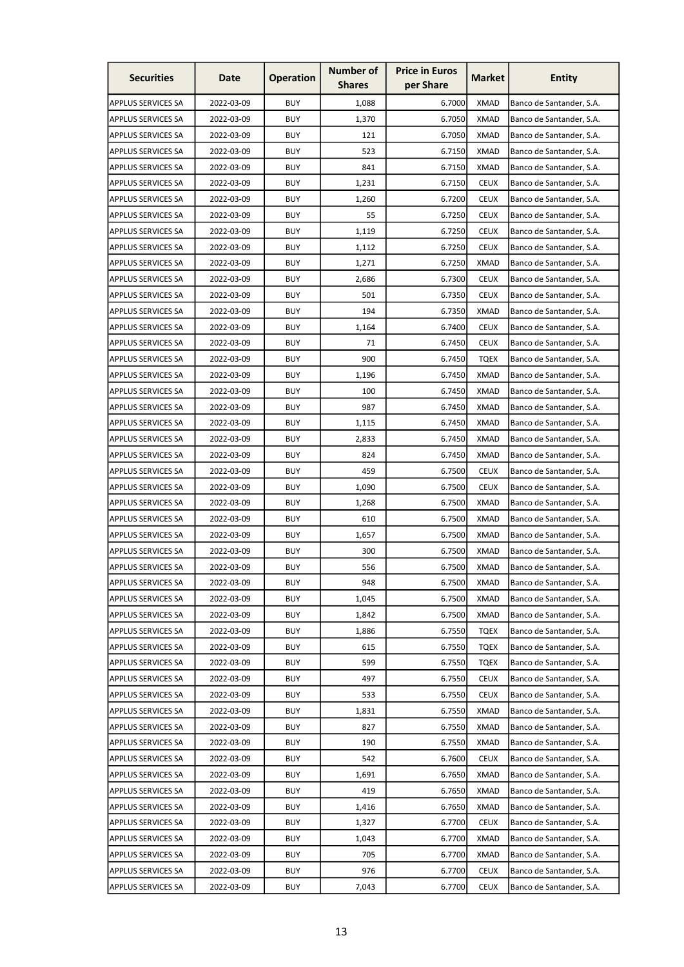| <b>Securities</b>         | Date       | <b>Operation</b> | <b>Number of</b><br><b>Shares</b> | <b>Price in Euros</b><br>per Share | <b>Market</b> | <b>Entity</b>            |
|---------------------------|------------|------------------|-----------------------------------|------------------------------------|---------------|--------------------------|
| <b>APPLUS SERVICES SA</b> | 2022-03-09 | <b>BUY</b>       | 1,088                             | 6.7000                             | <b>XMAD</b>   | Banco de Santander, S.A. |
| <b>APPLUS SERVICES SA</b> | 2022-03-09 | <b>BUY</b>       | 1,370                             | 6.7050                             | <b>XMAD</b>   | Banco de Santander, S.A. |
| <b>APPLUS SERVICES SA</b> | 2022-03-09 | <b>BUY</b>       | 121                               | 6.7050                             | <b>XMAD</b>   | Banco de Santander, S.A. |
| <b>APPLUS SERVICES SA</b> | 2022-03-09 | <b>BUY</b>       | 523                               | 6.7150                             | <b>XMAD</b>   | Banco de Santander, S.A. |
| <b>APPLUS SERVICES SA</b> | 2022-03-09 | <b>BUY</b>       | 841                               | 6.7150                             | <b>XMAD</b>   | Banco de Santander, S.A. |
| <b>APPLUS SERVICES SA</b> | 2022-03-09 | <b>BUY</b>       | 1,231                             | 6.7150                             | <b>CEUX</b>   | Banco de Santander, S.A. |
| <b>APPLUS SERVICES SA</b> | 2022-03-09 | <b>BUY</b>       | 1,260                             | 6.7200                             | <b>CEUX</b>   | Banco de Santander, S.A. |
| <b>APPLUS SERVICES SA</b> | 2022-03-09 | <b>BUY</b>       | 55                                | 6.7250                             | <b>CEUX</b>   | Banco de Santander, S.A. |
| <b>APPLUS SERVICES SA</b> | 2022-03-09 | <b>BUY</b>       | 1,119                             | 6.7250                             | <b>CEUX</b>   | Banco de Santander, S.A. |
| <b>APPLUS SERVICES SA</b> | 2022-03-09 | <b>BUY</b>       | 1,112                             | 6.7250                             | <b>CEUX</b>   | Banco de Santander, S.A. |
| <b>APPLUS SERVICES SA</b> | 2022-03-09 | <b>BUY</b>       | 1,271                             | 6.7250                             | <b>XMAD</b>   | Banco de Santander, S.A. |
| <b>APPLUS SERVICES SA</b> | 2022-03-09 | <b>BUY</b>       | 2,686                             | 6.7300                             | <b>CEUX</b>   | Banco de Santander, S.A. |
| <b>APPLUS SERVICES SA</b> | 2022-03-09 | <b>BUY</b>       | 501                               | 6.7350                             | <b>CEUX</b>   | Banco de Santander, S.A. |
| <b>APPLUS SERVICES SA</b> | 2022-03-09 | <b>BUY</b>       | 194                               | 6.7350                             | <b>XMAD</b>   | Banco de Santander, S.A. |
| <b>APPLUS SERVICES SA</b> | 2022-03-09 | <b>BUY</b>       | 1,164                             | 6.7400                             | <b>CEUX</b>   | Banco de Santander, S.A. |
| APPLUS SERVICES SA        | 2022-03-09 | <b>BUY</b>       | 71                                | 6.7450                             | <b>CEUX</b>   | Banco de Santander, S.A. |
| <b>APPLUS SERVICES SA</b> | 2022-03-09 | <b>BUY</b>       | 900                               | 6.7450                             | <b>TQEX</b>   | Banco de Santander, S.A. |
| <b>APPLUS SERVICES SA</b> | 2022-03-09 | <b>BUY</b>       | 1,196                             | 6.7450                             | <b>XMAD</b>   | Banco de Santander, S.A. |
| <b>APPLUS SERVICES SA</b> | 2022-03-09 | <b>BUY</b>       | 100                               | 6.7450                             | <b>XMAD</b>   | Banco de Santander, S.A. |
| <b>APPLUS SERVICES SA</b> | 2022-03-09 | <b>BUY</b>       | 987                               | 6.7450                             | <b>XMAD</b>   | Banco de Santander, S.A. |
| <b>APPLUS SERVICES SA</b> | 2022-03-09 | <b>BUY</b>       | 1,115                             | 6.7450                             | <b>XMAD</b>   | Banco de Santander, S.A. |
| <b>APPLUS SERVICES SA</b> | 2022-03-09 | <b>BUY</b>       | 2,833                             | 6.7450                             | <b>XMAD</b>   | Banco de Santander, S.A. |
| <b>APPLUS SERVICES SA</b> | 2022-03-09 | <b>BUY</b>       | 824                               | 6.7450                             | <b>XMAD</b>   | Banco de Santander, S.A. |
| <b>APPLUS SERVICES SA</b> | 2022-03-09 | <b>BUY</b>       | 459                               | 6.7500                             | <b>CEUX</b>   | Banco de Santander, S.A. |
| <b>APPLUS SERVICES SA</b> | 2022-03-09 | <b>BUY</b>       | 1,090                             | 6.7500                             | <b>CEUX</b>   | Banco de Santander, S.A. |
| <b>APPLUS SERVICES SA</b> | 2022-03-09 | <b>BUY</b>       | 1,268                             | 6.7500                             | XMAD          | Banco de Santander, S.A. |
| <b>APPLUS SERVICES SA</b> | 2022-03-09 | <b>BUY</b>       | 610                               | 6.7500                             | <b>XMAD</b>   | Banco de Santander, S.A. |
| APPLUS SERVICES SA        | 2022-03-09 | <b>BUY</b>       | 1.657                             | 6.7500                             | <b>XMAD</b>   | Banco de Santander, S.A. |
| <b>APPLUS SERVICES SA</b> | 2022-03-09 | <b>BUY</b>       | 300                               | 6.7500                             | <b>XMAD</b>   | Banco de Santander, S.A. |
| <b>APPLUS SERVICES SA</b> | 2022-03-09 | <b>BUY</b>       | 556                               | 6.7500                             | <b>XMAD</b>   | Banco de Santander, S.A. |
| <b>APPLUS SERVICES SA</b> | 2022-03-09 | <b>BUY</b>       | 948                               | 6.7500                             | <b>XMAD</b>   | Banco de Santander, S.A. |
| <b>APPLUS SERVICES SA</b> | 2022-03-09 | <b>BUY</b>       | 1,045                             | 6.7500                             | <b>XMAD</b>   | Banco de Santander, S.A. |
| <b>APPLUS SERVICES SA</b> | 2022-03-09 | <b>BUY</b>       | 1,842                             | 6.7500                             | <b>XMAD</b>   | Banco de Santander, S.A. |
| <b>APPLUS SERVICES SA</b> | 2022-03-09 | <b>BUY</b>       | 1,886                             | 6.7550                             | <b>TQEX</b>   | Banco de Santander, S.A. |
| <b>APPLUS SERVICES SA</b> | 2022-03-09 | <b>BUY</b>       | 615                               | 6.7550                             | <b>TQEX</b>   | Banco de Santander, S.A. |
| <b>APPLUS SERVICES SA</b> | 2022-03-09 | <b>BUY</b>       | 599                               | 6.7550                             | <b>TQEX</b>   | Banco de Santander, S.A. |
| <b>APPLUS SERVICES SA</b> | 2022-03-09 | <b>BUY</b>       | 497                               | 6.7550                             | <b>CEUX</b>   | Banco de Santander, S.A. |
| <b>APPLUS SERVICES SA</b> | 2022-03-09 | <b>BUY</b>       | 533                               | 6.7550                             | <b>CEUX</b>   | Banco de Santander, S.A. |
| <b>APPLUS SERVICES SA</b> | 2022-03-09 | <b>BUY</b>       | 1,831                             | 6.7550                             | <b>XMAD</b>   | Banco de Santander, S.A. |
| <b>APPLUS SERVICES SA</b> | 2022-03-09 | <b>BUY</b>       | 827                               | 6.7550                             | <b>XMAD</b>   | Banco de Santander, S.A. |
| <b>APPLUS SERVICES SA</b> | 2022-03-09 | <b>BUY</b>       | 190                               | 6.7550                             | <b>XMAD</b>   | Banco de Santander, S.A. |
| <b>APPLUS SERVICES SA</b> | 2022-03-09 | <b>BUY</b>       | 542                               | 6.7600                             | <b>CEUX</b>   | Banco de Santander, S.A. |
| <b>APPLUS SERVICES SA</b> | 2022-03-09 | <b>BUY</b>       | 1,691                             | 6.7650                             | <b>XMAD</b>   | Banco de Santander, S.A. |
| <b>APPLUS SERVICES SA</b> | 2022-03-09 | <b>BUY</b>       | 419                               | 6.7650                             | XMAD          | Banco de Santander, S.A. |
| <b>APPLUS SERVICES SA</b> | 2022-03-09 | <b>BUY</b>       | 1,416                             | 6.7650                             | <b>XMAD</b>   | Banco de Santander, S.A. |
| <b>APPLUS SERVICES SA</b> | 2022-03-09 | <b>BUY</b>       | 1,327                             | 6.7700                             | <b>CEUX</b>   | Banco de Santander, S.A. |
| <b>APPLUS SERVICES SA</b> | 2022-03-09 | <b>BUY</b>       | 1,043                             | 6.7700                             | <b>XMAD</b>   | Banco de Santander, S.A. |
| <b>APPLUS SERVICES SA</b> | 2022-03-09 | <b>BUY</b>       | 705                               | 6.7700                             | <b>XMAD</b>   | Banco de Santander, S.A. |
| <b>APPLUS SERVICES SA</b> | 2022-03-09 | <b>BUY</b>       | 976                               | 6.7700                             | <b>CEUX</b>   | Banco de Santander, S.A. |
| <b>APPLUS SERVICES SA</b> | 2022-03-09 | <b>BUY</b>       | 7,043                             | 6.7700                             | <b>CEUX</b>   | Banco de Santander, S.A. |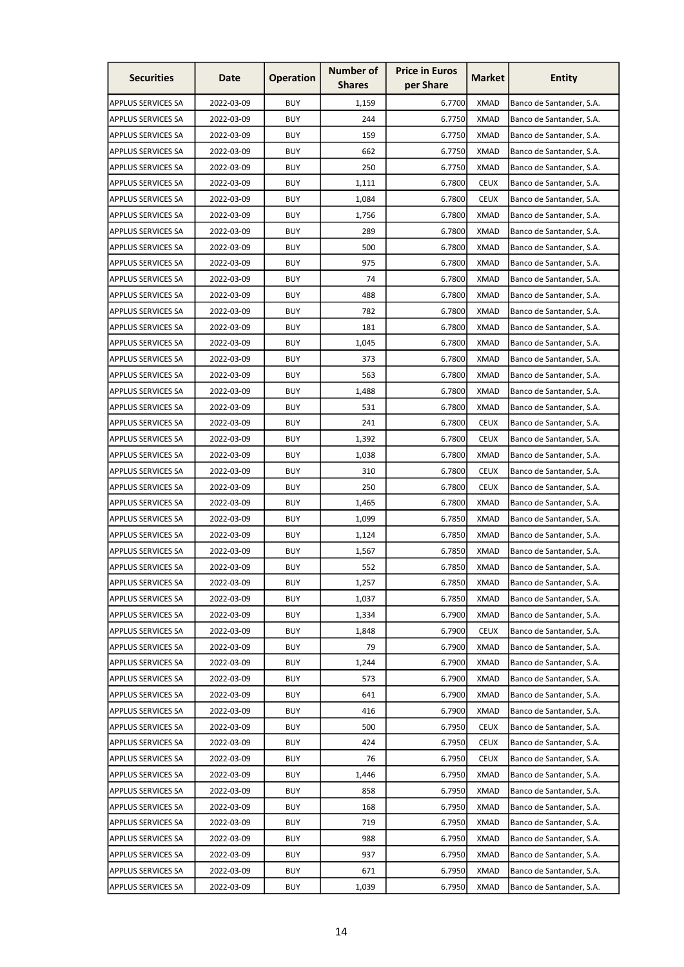| <b>Securities</b>         | Date       | <b>Operation</b> | <b>Number of</b><br><b>Shares</b> | <b>Price in Euros</b><br>per Share | <b>Market</b> | Entity                   |
|---------------------------|------------|------------------|-----------------------------------|------------------------------------|---------------|--------------------------|
| <b>APPLUS SERVICES SA</b> | 2022-03-09 | <b>BUY</b>       | 1,159                             | 6.7700                             | <b>XMAD</b>   | Banco de Santander, S.A. |
| <b>APPLUS SERVICES SA</b> | 2022-03-09 | <b>BUY</b>       | 244                               | 6.7750                             | <b>XMAD</b>   | Banco de Santander, S.A. |
| <b>APPLUS SERVICES SA</b> | 2022-03-09 | <b>BUY</b>       | 159                               | 6.7750                             | <b>XMAD</b>   | Banco de Santander, S.A. |
| <b>APPLUS SERVICES SA</b> | 2022-03-09 | <b>BUY</b>       | 662                               | 6.7750                             | <b>XMAD</b>   | Banco de Santander, S.A. |
| <b>APPLUS SERVICES SA</b> | 2022-03-09 | <b>BUY</b>       | 250                               | 6.7750                             | <b>XMAD</b>   | Banco de Santander, S.A. |
| <b>APPLUS SERVICES SA</b> | 2022-03-09 | <b>BUY</b>       | 1,111                             | 6.7800                             | <b>CEUX</b>   | Banco de Santander, S.A. |
| <b>APPLUS SERVICES SA</b> | 2022-03-09 | BUY              | 1,084                             | 6.7800                             | <b>CEUX</b>   | Banco de Santander, S.A. |
| <b>APPLUS SERVICES SA</b> | 2022-03-09 | <b>BUY</b>       | 1,756                             | 6.7800                             | <b>XMAD</b>   | Banco de Santander, S.A. |
| <b>APPLUS SERVICES SA</b> | 2022-03-09 | <b>BUY</b>       | 289                               | 6.7800                             | <b>XMAD</b>   | Banco de Santander, S.A. |
| <b>APPLUS SERVICES SA</b> | 2022-03-09 | <b>BUY</b>       | 500                               | 6.7800                             | <b>XMAD</b>   | Banco de Santander, S.A. |
| <b>APPLUS SERVICES SA</b> | 2022-03-09 | <b>BUY</b>       | 975                               | 6.7800                             | <b>XMAD</b>   | Banco de Santander, S.A. |
| <b>APPLUS SERVICES SA</b> | 2022-03-09 | <b>BUY</b>       | 74                                | 6.7800                             | <b>XMAD</b>   | Banco de Santander, S.A. |
| <b>APPLUS SERVICES SA</b> | 2022-03-09 | <b>BUY</b>       | 488                               | 6.7800                             | XMAD          | Banco de Santander, S.A. |
| <b>APPLUS SERVICES SA</b> | 2022-03-09 | <b>BUY</b>       | 782                               | 6.7800                             | <b>XMAD</b>   | Banco de Santander, S.A. |
| <b>APPLUS SERVICES SA</b> | 2022-03-09 | <b>BUY</b>       | 181                               | 6.7800                             | <b>XMAD</b>   | Banco de Santander, S.A. |
| <b>APPLUS SERVICES SA</b> | 2022-03-09 | <b>BUY</b>       | 1,045                             | 6.7800                             | <b>XMAD</b>   | Banco de Santander, S.A. |
| <b>APPLUS SERVICES SA</b> | 2022-03-09 | <b>BUY</b>       | 373                               | 6.7800                             | <b>XMAD</b>   | Banco de Santander, S.A. |
| <b>APPLUS SERVICES SA</b> | 2022-03-09 | <b>BUY</b>       | 563                               | 6.7800                             | <b>XMAD</b>   | Banco de Santander, S.A. |
| <b>APPLUS SERVICES SA</b> | 2022-03-09 | <b>BUY</b>       | 1,488                             | 6.7800                             | <b>XMAD</b>   | Banco de Santander, S.A. |
| <b>APPLUS SERVICES SA</b> | 2022-03-09 | <b>BUY</b>       | 531                               | 6.7800                             | <b>XMAD</b>   | Banco de Santander, S.A. |
| <b>APPLUS SERVICES SA</b> | 2022-03-09 | <b>BUY</b>       | 241                               | 6.7800                             | <b>CEUX</b>   | Banco de Santander, S.A. |
| <b>APPLUS SERVICES SA</b> | 2022-03-09 | <b>BUY</b>       | 1,392                             | 6.7800                             | <b>CEUX</b>   | Banco de Santander, S.A. |
| <b>APPLUS SERVICES SA</b> | 2022-03-09 | <b>BUY</b>       | 1,038                             | 6.7800                             | <b>XMAD</b>   | Banco de Santander, S.A. |
| <b>APPLUS SERVICES SA</b> | 2022-03-09 | <b>BUY</b>       | 310                               | 6.7800                             | <b>CEUX</b>   | Banco de Santander, S.A. |
| <b>APPLUS SERVICES SA</b> | 2022-03-09 | <b>BUY</b>       | 250                               | 6.7800                             | <b>CEUX</b>   | Banco de Santander, S.A. |
| <b>APPLUS SERVICES SA</b> | 2022-03-09 | <b>BUY</b>       | 1,465                             | 6.7800                             | XMAD          | Banco de Santander, S.A. |
| <b>APPLUS SERVICES SA</b> | 2022-03-09 | <b>BUY</b>       | 1,099                             | 6.7850                             | <b>XMAD</b>   | Banco de Santander, S.A. |
| <b>APPLUS SERVICES SA</b> | 2022-03-09 | <b>BUY</b>       | 1,124                             | 6.7850                             | <b>XMAD</b>   | Banco de Santander, S.A. |
| <b>APPLUS SERVICES SA</b> | 2022-03-09 | <b>BUY</b>       | 1,567                             | 6.7850                             | <b>XMAD</b>   | Banco de Santander, S.A. |
| <b>APPLUS SERVICES SA</b> | 2022-03-09 | <b>BUY</b>       | 552                               | 6.7850                             | <b>XMAD</b>   | Banco de Santander, S.A. |
| <b>APPLUS SERVICES SA</b> | 2022-03-09 | <b>BUY</b>       | 1,257                             | 6.7850                             | <b>XMAD</b>   | Banco de Santander, S.A. |
| <b>APPLUS SERVICES SA</b> | 2022-03-09 | <b>BUY</b>       | 1,037                             | 6.7850                             | XMAD          | Banco de Santander, S.A. |
| <b>APPLUS SERVICES SA</b> | 2022-03-09 | <b>BUY</b>       | 1,334                             | 6.7900                             | <b>XMAD</b>   | Banco de Santander, S.A. |
| <b>APPLUS SERVICES SA</b> | 2022-03-09 | <b>BUY</b>       | 1,848                             | 6.7900                             | <b>CEUX</b>   | Banco de Santander, S.A. |
| <b>APPLUS SERVICES SA</b> | 2022-03-09 | <b>BUY</b>       | 79                                | 6.7900                             | <b>XMAD</b>   | Banco de Santander, S.A. |
| <b>APPLUS SERVICES SA</b> | 2022-03-09 | <b>BUY</b>       | 1,244                             | 6.7900                             | <b>XMAD</b>   | Banco de Santander, S.A. |
| <b>APPLUS SERVICES SA</b> | 2022-03-09 | <b>BUY</b>       | 573                               | 6.7900                             | <b>XMAD</b>   | Banco de Santander, S.A. |
| <b>APPLUS SERVICES SA</b> | 2022-03-09 | <b>BUY</b>       | 641                               | 6.7900                             | <b>XMAD</b>   | Banco de Santander, S.A. |
| <b>APPLUS SERVICES SA</b> | 2022-03-09 | <b>BUY</b>       | 416                               | 6.7900                             | <b>XMAD</b>   | Banco de Santander, S.A. |
| <b>APPLUS SERVICES SA</b> | 2022-03-09 | <b>BUY</b>       | 500                               | 6.7950                             | <b>CEUX</b>   | Banco de Santander, S.A. |
| <b>APPLUS SERVICES SA</b> | 2022-03-09 | <b>BUY</b>       | 424                               | 6.7950                             | <b>CEUX</b>   | Banco de Santander, S.A. |
| APPLUS SERVICES SA        | 2022-03-09 | <b>BUY</b>       | 76                                | 6.7950                             | <b>CEUX</b>   | Banco de Santander, S.A. |
| <b>APPLUS SERVICES SA</b> | 2022-03-09 | <b>BUY</b>       | 1,446                             | 6.7950                             | <b>XMAD</b>   | Banco de Santander, S.A. |
| <b>APPLUS SERVICES SA</b> | 2022-03-09 | <b>BUY</b>       | 858                               | 6.7950                             | <b>XMAD</b>   | Banco de Santander, S.A. |
| <b>APPLUS SERVICES SA</b> | 2022-03-09 | <b>BUY</b>       | 168                               | 6.7950                             | <b>XMAD</b>   | Banco de Santander, S.A. |
| <b>APPLUS SERVICES SA</b> | 2022-03-09 | <b>BUY</b>       | 719                               | 6.7950                             | <b>XMAD</b>   | Banco de Santander, S.A. |
| <b>APPLUS SERVICES SA</b> | 2022-03-09 | <b>BUY</b>       | 988                               | 6.7950                             | <b>XMAD</b>   | Banco de Santander, S.A. |
| <b>APPLUS SERVICES SA</b> | 2022-03-09 | <b>BUY</b>       | 937                               | 6.7950                             | <b>XMAD</b>   | Banco de Santander, S.A. |
| <b>APPLUS SERVICES SA</b> | 2022-03-09 | <b>BUY</b>       | 671                               | 6.7950                             | <b>XMAD</b>   | Banco de Santander, S.A. |
| <b>APPLUS SERVICES SA</b> | 2022-03-09 | <b>BUY</b>       | 1,039                             | 6.7950                             | <b>XMAD</b>   | Banco de Santander, S.A. |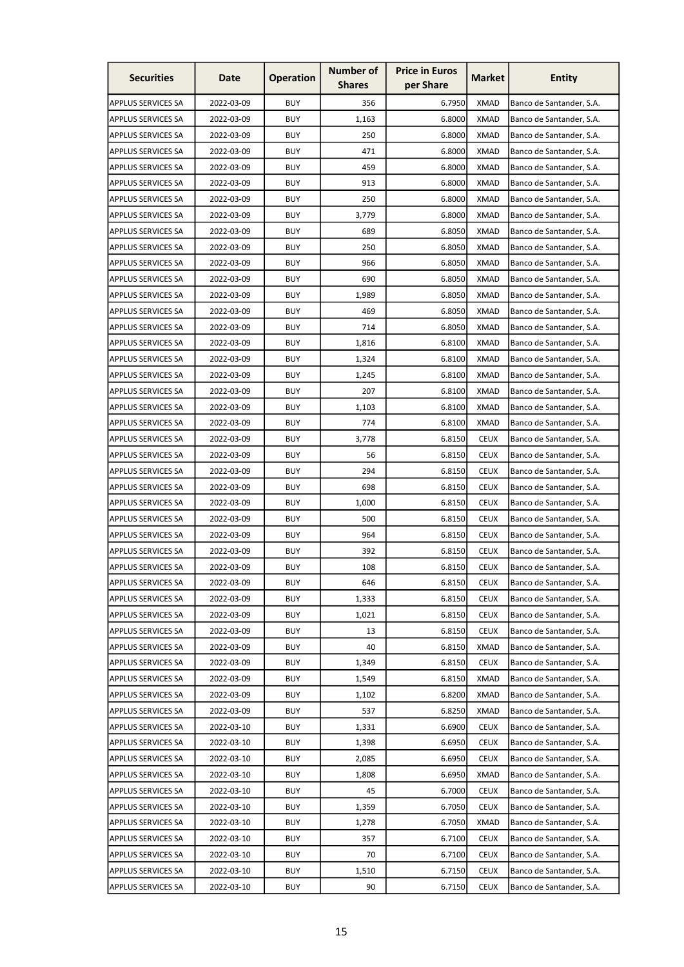| <b>Securities</b>         | Date       | <b>Operation</b> | <b>Number of</b><br><b>Shares</b> | <b>Price in Euros</b><br>per Share | <b>Market</b> | <b>Entity</b>            |
|---------------------------|------------|------------------|-----------------------------------|------------------------------------|---------------|--------------------------|
| <b>APPLUS SERVICES SA</b> | 2022-03-09 | <b>BUY</b>       | 356                               | 6.7950                             | <b>XMAD</b>   | Banco de Santander, S.A. |
| <b>APPLUS SERVICES SA</b> | 2022-03-09 | <b>BUY</b>       | 1,163                             | 6.8000                             | <b>XMAD</b>   | Banco de Santander, S.A. |
| <b>APPLUS SERVICES SA</b> | 2022-03-09 | <b>BUY</b>       | 250                               | 6.8000                             | <b>XMAD</b>   | Banco de Santander, S.A. |
| <b>APPLUS SERVICES SA</b> | 2022-03-09 | <b>BUY</b>       | 471                               | 6.8000                             | <b>XMAD</b>   | Banco de Santander, S.A. |
| <b>APPLUS SERVICES SA</b> | 2022-03-09 | <b>BUY</b>       | 459                               | 6.8000                             | <b>XMAD</b>   | Banco de Santander, S.A. |
| <b>APPLUS SERVICES SA</b> | 2022-03-09 | <b>BUY</b>       | 913                               | 6.8000                             | <b>XMAD</b>   | Banco de Santander, S.A. |
| <b>APPLUS SERVICES SA</b> | 2022-03-09 | <b>BUY</b>       | 250                               | 6.8000                             | XMAD          | Banco de Santander, S.A. |
| <b>APPLUS SERVICES SA</b> | 2022-03-09 | <b>BUY</b>       | 3,779                             | 6.8000                             | <b>XMAD</b>   | Banco de Santander, S.A. |
| <b>APPLUS SERVICES SA</b> | 2022-03-09 | <b>BUY</b>       | 689                               | 6.8050                             | <b>XMAD</b>   | Banco de Santander, S.A. |
| <b>APPLUS SERVICES SA</b> | 2022-03-09 | <b>BUY</b>       | 250                               | 6.8050                             | <b>XMAD</b>   | Banco de Santander, S.A. |
| <b>APPLUS SERVICES SA</b> | 2022-03-09 | <b>BUY</b>       | 966                               | 6.8050                             | <b>XMAD</b>   | Banco de Santander, S.A. |
| <b>APPLUS SERVICES SA</b> | 2022-03-09 | <b>BUY</b>       | 690                               | 6.8050                             | <b>XMAD</b>   | Banco de Santander, S.A. |
| <b>APPLUS SERVICES SA</b> | 2022-03-09 | <b>BUY</b>       | 1,989                             | 6.8050                             | XMAD          | Banco de Santander, S.A. |
| <b>APPLUS SERVICES SA</b> | 2022-03-09 | <b>BUY</b>       | 469                               | 6.8050                             | <b>XMAD</b>   | Banco de Santander, S.A. |
| <b>APPLUS SERVICES SA</b> | 2022-03-09 | <b>BUY</b>       | 714                               | 6.8050                             | <b>XMAD</b>   | Banco de Santander, S.A. |
| <b>APPLUS SERVICES SA</b> | 2022-03-09 | <b>BUY</b>       | 1,816                             | 6.8100                             | <b>XMAD</b>   | Banco de Santander, S.A. |
| <b>APPLUS SERVICES SA</b> | 2022-03-09 | <b>BUY</b>       | 1,324                             | 6.8100                             | <b>XMAD</b>   | Banco de Santander, S.A. |
| <b>APPLUS SERVICES SA</b> | 2022-03-09 | <b>BUY</b>       | 1,245                             | 6.8100                             | <b>XMAD</b>   | Banco de Santander, S.A. |
| <b>APPLUS SERVICES SA</b> | 2022-03-09 | <b>BUY</b>       | 207                               | 6.8100                             | <b>XMAD</b>   | Banco de Santander, S.A. |
| <b>APPLUS SERVICES SA</b> | 2022-03-09 | <b>BUY</b>       | 1,103                             | 6.8100                             | XMAD          | Banco de Santander, S.A. |
| <b>APPLUS SERVICES SA</b> | 2022-03-09 | <b>BUY</b>       | 774                               | 6.8100                             | <b>XMAD</b>   | Banco de Santander, S.A. |
| <b>APPLUS SERVICES SA</b> | 2022-03-09 | <b>BUY</b>       | 3,778                             | 6.8150                             | <b>CEUX</b>   | Banco de Santander, S.A. |
| <b>APPLUS SERVICES SA</b> | 2022-03-09 | <b>BUY</b>       | 56                                | 6.8150                             | <b>CEUX</b>   | Banco de Santander, S.A. |
| <b>APPLUS SERVICES SA</b> | 2022-03-09 | <b>BUY</b>       | 294                               | 6.8150                             | <b>CEUX</b>   | Banco de Santander, S.A. |
| <b>APPLUS SERVICES SA</b> | 2022-03-09 | <b>BUY</b>       | 698                               | 6.8150                             | <b>CEUX</b>   | Banco de Santander, S.A. |
| <b>APPLUS SERVICES SA</b> | 2022-03-09 | <b>BUY</b>       | 1,000                             | 6.8150                             | <b>CEUX</b>   | Banco de Santander, S.A. |
| <b>APPLUS SERVICES SA</b> | 2022-03-09 | <b>BUY</b>       | 500                               | 6.8150                             | <b>CEUX</b>   | Banco de Santander, S.A. |
| <b>APPLUS SERVICES SA</b> | 2022-03-09 | <b>BUY</b>       | 964                               | 6.8150                             | <b>CEUX</b>   | Banco de Santander, S.A. |
| <b>APPLUS SERVICES SA</b> | 2022-03-09 | <b>BUY</b>       | 392                               | 6.8150                             | <b>CEUX</b>   | Banco de Santander, S.A. |
| <b>APPLUS SERVICES SA</b> | 2022-03-09 | <b>BUY</b>       | 108                               | 6.8150                             | <b>CEUX</b>   | Banco de Santander, S.A. |
| APPLUS SERVICES SA        | 2022-03-09 | <b>BUY</b>       | 646                               | 6.8150                             | <b>CEUX</b>   | Banco de Santander, S.A. |
| <b>APPLUS SERVICES SA</b> | 2022-03-09 | <b>BUY</b>       | 1,333                             | 6.8150                             | <b>CEUX</b>   | Banco de Santander, S.A. |
| <b>APPLUS SERVICES SA</b> | 2022-03-09 | <b>BUY</b>       | 1,021                             | 6.8150                             | <b>CEUX</b>   | Banco de Santander, S.A. |
| <b>APPLUS SERVICES SA</b> | 2022-03-09 | <b>BUY</b>       | 13                                | 6.8150                             | <b>CEUX</b>   | Banco de Santander, S.A. |
| <b>APPLUS SERVICES SA</b> | 2022-03-09 | <b>BUY</b>       | 40                                | 6.8150                             | <b>XMAD</b>   | Banco de Santander, S.A. |
| <b>APPLUS SERVICES SA</b> | 2022-03-09 | <b>BUY</b>       | 1,349                             | 6.8150                             | <b>CEUX</b>   | Banco de Santander, S.A. |
| <b>APPLUS SERVICES SA</b> | 2022-03-09 | <b>BUY</b>       | 1,549                             | 6.8150                             | <b>XMAD</b>   | Banco de Santander, S.A. |
| <b>APPLUS SERVICES SA</b> | 2022-03-09 | <b>BUY</b>       | 1,102                             | 6.8200                             | <b>XMAD</b>   | Banco de Santander, S.A. |
| <b>APPLUS SERVICES SA</b> | 2022-03-09 | <b>BUY</b>       | 537                               | 6.8250                             | <b>XMAD</b>   | Banco de Santander, S.A. |
| <b>APPLUS SERVICES SA</b> | 2022-03-10 | <b>BUY</b>       | 1,331                             | 6.6900                             | <b>CEUX</b>   | Banco de Santander, S.A. |
| <b>APPLUS SERVICES SA</b> | 2022-03-10 | <b>BUY</b>       | 1,398                             | 6.6950                             | <b>CEUX</b>   | Banco de Santander, S.A. |
| APPLUS SERVICES SA        | 2022-03-10 | <b>BUY</b>       | 2,085                             | 6.6950                             | <b>CEUX</b>   | Banco de Santander, S.A. |
| <b>APPLUS SERVICES SA</b> | 2022-03-10 | <b>BUY</b>       | 1,808                             | 6.6950                             | <b>XMAD</b>   | Banco de Santander, S.A. |
| <b>APPLUS SERVICES SA</b> | 2022-03-10 | <b>BUY</b>       | 45                                | 6.7000                             | <b>CEUX</b>   | Banco de Santander, S.A. |
| <b>APPLUS SERVICES SA</b> | 2022-03-10 | <b>BUY</b>       | 1,359                             | 6.7050                             | <b>CEUX</b>   | Banco de Santander, S.A. |
| <b>APPLUS SERVICES SA</b> | 2022-03-10 | <b>BUY</b>       | 1,278                             | 6.7050                             | <b>XMAD</b>   | Banco de Santander, S.A. |
| <b>APPLUS SERVICES SA</b> | 2022-03-10 | <b>BUY</b>       | 357                               | 6.7100                             | <b>CEUX</b>   | Banco de Santander, S.A. |
| <b>APPLUS SERVICES SA</b> | 2022-03-10 | <b>BUY</b>       | 70                                | 6.7100                             | <b>CEUX</b>   | Banco de Santander, S.A. |
| <b>APPLUS SERVICES SA</b> | 2022-03-10 | <b>BUY</b>       | 1,510                             | 6.7150                             | <b>CEUX</b>   | Banco de Santander, S.A. |
| <b>APPLUS SERVICES SA</b> | 2022-03-10 | <b>BUY</b>       | 90                                | 6.7150                             | <b>CEUX</b>   | Banco de Santander, S.A. |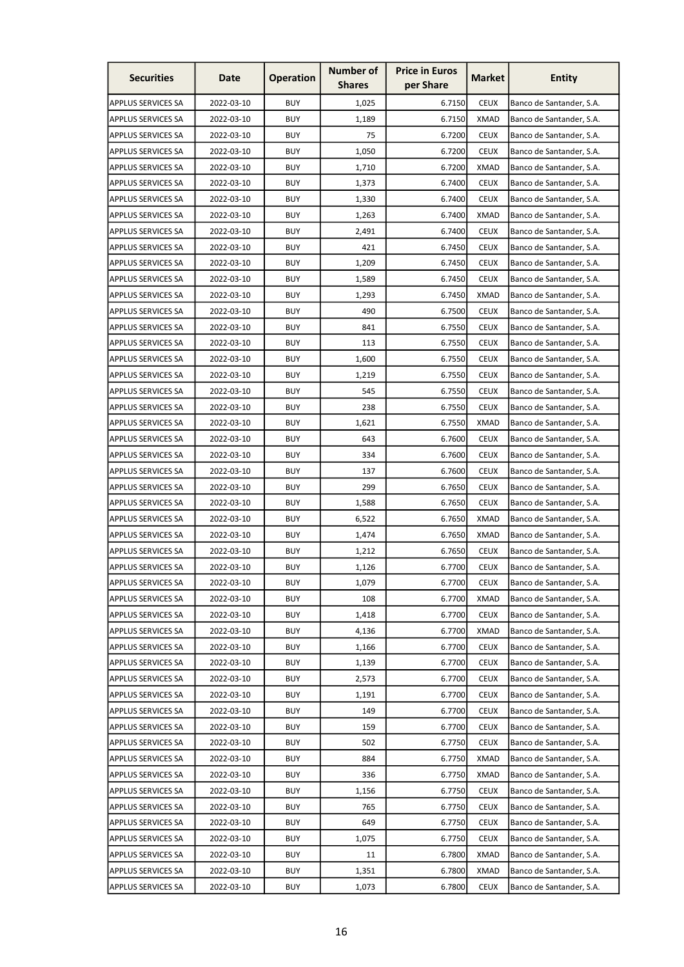| <b>Securities</b>         | Date       | <b>Operation</b> | <b>Number of</b><br><b>Shares</b> | <b>Price in Euros</b><br>per Share | <b>Market</b> | <b>Entity</b>            |
|---------------------------|------------|------------------|-----------------------------------|------------------------------------|---------------|--------------------------|
| <b>APPLUS SERVICES SA</b> | 2022-03-10 | <b>BUY</b>       | 1,025                             | 6.7150                             | <b>CEUX</b>   | Banco de Santander, S.A. |
| <b>APPLUS SERVICES SA</b> | 2022-03-10 | <b>BUY</b>       | 1,189                             | 6.7150                             | <b>XMAD</b>   | Banco de Santander, S.A. |
| <b>APPLUS SERVICES SA</b> | 2022-03-10 | <b>BUY</b>       | 75                                | 6.7200                             | <b>CEUX</b>   | Banco de Santander, S.A. |
| <b>APPLUS SERVICES SA</b> | 2022-03-10 | <b>BUY</b>       | 1,050                             | 6.7200                             | <b>CEUX</b>   | Banco de Santander, S.A. |
| <b>APPLUS SERVICES SA</b> | 2022-03-10 | <b>BUY</b>       | 1,710                             | 6.7200                             | <b>XMAD</b>   | Banco de Santander, S.A. |
| <b>APPLUS SERVICES SA</b> | 2022-03-10 | <b>BUY</b>       | 1,373                             | 6.7400                             | <b>CEUX</b>   | Banco de Santander, S.A. |
| <b>APPLUS SERVICES SA</b> | 2022-03-10 | <b>BUY</b>       | 1,330                             | 6.7400                             | <b>CEUX</b>   | Banco de Santander, S.A. |
| <b>APPLUS SERVICES SA</b> | 2022-03-10 | <b>BUY</b>       | 1,263                             | 6.7400                             | <b>XMAD</b>   | Banco de Santander, S.A. |
| <b>APPLUS SERVICES SA</b> | 2022-03-10 | <b>BUY</b>       | 2,491                             | 6.7400                             | <b>CEUX</b>   | Banco de Santander, S.A. |
| <b>APPLUS SERVICES SA</b> | 2022-03-10 | <b>BUY</b>       | 421                               | 6.7450                             | <b>CEUX</b>   | Banco de Santander, S.A. |
| <b>APPLUS SERVICES SA</b> | 2022-03-10 | <b>BUY</b>       | 1,209                             | 6.7450                             | <b>CEUX</b>   | Banco de Santander, S.A. |
| <b>APPLUS SERVICES SA</b> | 2022-03-10 | <b>BUY</b>       | 1,589                             | 6.7450                             | <b>CEUX</b>   | Banco de Santander, S.A. |
| <b>APPLUS SERVICES SA</b> | 2022-03-10 | <b>BUY</b>       | 1,293                             | 6.7450                             | <b>XMAD</b>   | Banco de Santander, S.A. |
| <b>APPLUS SERVICES SA</b> | 2022-03-10 | <b>BUY</b>       | 490                               | 6.7500                             | <b>CEUX</b>   | Banco de Santander, S.A. |
| <b>APPLUS SERVICES SA</b> | 2022-03-10 | <b>BUY</b>       | 841                               | 6.7550                             | <b>CEUX</b>   | Banco de Santander, S.A. |
| <b>APPLUS SERVICES SA</b> | 2022-03-10 | <b>BUY</b>       | 113                               | 6.7550                             | <b>CEUX</b>   | Banco de Santander, S.A. |
| <b>APPLUS SERVICES SA</b> | 2022-03-10 | <b>BUY</b>       | 1,600                             | 6.7550                             | <b>CEUX</b>   | Banco de Santander, S.A. |
| <b>APPLUS SERVICES SA</b> | 2022-03-10 | <b>BUY</b>       | 1,219                             | 6.7550                             | <b>CEUX</b>   | Banco de Santander, S.A. |
| <b>APPLUS SERVICES SA</b> | 2022-03-10 | <b>BUY</b>       | 545                               | 6.7550                             | <b>CEUX</b>   | Banco de Santander, S.A. |
| <b>APPLUS SERVICES SA</b> | 2022-03-10 | <b>BUY</b>       | 238                               | 6.7550                             | <b>CEUX</b>   | Banco de Santander, S.A. |
| <b>APPLUS SERVICES SA</b> | 2022-03-10 | <b>BUY</b>       | 1,621                             | 6.7550                             | <b>XMAD</b>   | Banco de Santander, S.A. |
| <b>APPLUS SERVICES SA</b> | 2022-03-10 | <b>BUY</b>       | 643                               | 6.7600                             | <b>CEUX</b>   | Banco de Santander, S.A. |
| <b>APPLUS SERVICES SA</b> | 2022-03-10 | <b>BUY</b>       | 334                               | 6.7600                             | <b>CEUX</b>   | Banco de Santander, S.A. |
| <b>APPLUS SERVICES SA</b> | 2022-03-10 | <b>BUY</b>       | 137                               | 6.7600                             | <b>CEUX</b>   | Banco de Santander, S.A. |
| <b>APPLUS SERVICES SA</b> | 2022-03-10 | <b>BUY</b>       | 299                               | 6.7650                             | <b>CEUX</b>   | Banco de Santander, S.A. |
| <b>APPLUS SERVICES SA</b> | 2022-03-10 | <b>BUY</b>       | 1,588                             | 6.7650                             | <b>CEUX</b>   | Banco de Santander, S.A. |
| <b>APPLUS SERVICES SA</b> | 2022-03-10 | <b>BUY</b>       | 6,522                             | 6.7650                             | <b>XMAD</b>   | Banco de Santander, S.A. |
| <b>APPLUS SERVICES SA</b> | 2022-03-10 | <b>BUY</b>       | 1,474                             | 6.7650                             | <b>XMAD</b>   | Banco de Santander, S.A. |
| APPLUS SERVICES SA        | 2022-03-10 | <b>BUY</b>       | 1,212                             | 6.7650                             | <b>CEUX</b>   | Banco de Santander, S.A. |
| <b>APPLUS SERVICES SA</b> | 2022-03-10 | <b>BUY</b>       | 1,126                             | 6.7700                             | <b>CEUX</b>   | Banco de Santander, S.A. |
| <b>APPLUS SERVICES SA</b> | 2022-03-10 | <b>BUY</b>       | 1,079                             | 6.7700                             | <b>CEUX</b>   | Banco de Santander, S.A. |
| <b>APPLUS SERVICES SA</b> | 2022-03-10 | <b>BUY</b>       | 108                               | 6.7700                             | XMAD          | Banco de Santander, S.A. |
| <b>APPLUS SERVICES SA</b> | 2022-03-10 | <b>BUY</b>       | 1,418                             | 6.7700                             | <b>CEUX</b>   | Banco de Santander, S.A. |
| <b>APPLUS SERVICES SA</b> | 2022-03-10 | <b>BUY</b>       | 4,136                             | 6.7700                             | <b>XMAD</b>   | Banco de Santander, S.A. |
| <b>APPLUS SERVICES SA</b> | 2022-03-10 | <b>BUY</b>       | 1,166                             | 6.7700                             | <b>CEUX</b>   | Banco de Santander, S.A. |
| <b>APPLUS SERVICES SA</b> | 2022-03-10 | <b>BUY</b>       | 1,139                             | 6.7700                             | <b>CEUX</b>   | Banco de Santander, S.A. |
| <b>APPLUS SERVICES SA</b> | 2022-03-10 | <b>BUY</b>       | 2,573                             | 6.7700                             | <b>CEUX</b>   | Banco de Santander, S.A. |
| <b>APPLUS SERVICES SA</b> | 2022-03-10 | <b>BUY</b>       | 1,191                             | 6.7700                             | <b>CEUX</b>   | Banco de Santander, S.A. |
| APPLUS SERVICES SA        | 2022-03-10 | <b>BUY</b>       | 149                               | 6.7700                             | <b>CEUX</b>   | Banco de Santander, S.A. |
| <b>APPLUS SERVICES SA</b> | 2022-03-10 | <b>BUY</b>       | 159                               | 6.7700                             | <b>CEUX</b>   | Banco de Santander, S.A. |
| <b>APPLUS SERVICES SA</b> | 2022-03-10 | <b>BUY</b>       | 502                               | 6.7750                             | <b>CEUX</b>   | Banco de Santander, S.A. |
| <b>APPLUS SERVICES SA</b> | 2022-03-10 | <b>BUY</b>       | 884                               | 6.7750                             | <b>XMAD</b>   | Banco de Santander, S.A. |
| <b>APPLUS SERVICES SA</b> | 2022-03-10 | <b>BUY</b>       | 336                               | 6.7750                             | <b>XMAD</b>   | Banco de Santander, S.A. |
| <b>APPLUS SERVICES SA</b> | 2022-03-10 | <b>BUY</b>       | 1,156                             | 6.7750                             | <b>CEUX</b>   | Banco de Santander, S.A. |
| <b>APPLUS SERVICES SA</b> | 2022-03-10 | <b>BUY</b>       | 765                               | 6.7750                             | <b>CEUX</b>   | Banco de Santander, S.A. |
| <b>APPLUS SERVICES SA</b> | 2022-03-10 | <b>BUY</b>       | 649                               | 6.7750                             | <b>CEUX</b>   | Banco de Santander, S.A. |
| <b>APPLUS SERVICES SA</b> | 2022-03-10 | <b>BUY</b>       | 1,075                             | 6.7750                             | <b>CEUX</b>   | Banco de Santander, S.A. |
| APPLUS SERVICES SA        | 2022-03-10 | <b>BUY</b>       | 11                                | 6.7800                             | <b>XMAD</b>   | Banco de Santander, S.A. |
| APPLUS SERVICES SA        | 2022-03-10 | <b>BUY</b>       | 1,351                             | 6.7800                             | <b>XMAD</b>   | Banco de Santander, S.A. |
| APPLUS SERVICES SA        | 2022-03-10 | <b>BUY</b>       | 1,073                             | 6.7800                             | <b>CEUX</b>   | Banco de Santander, S.A. |
|                           |            |                  |                                   |                                    |               |                          |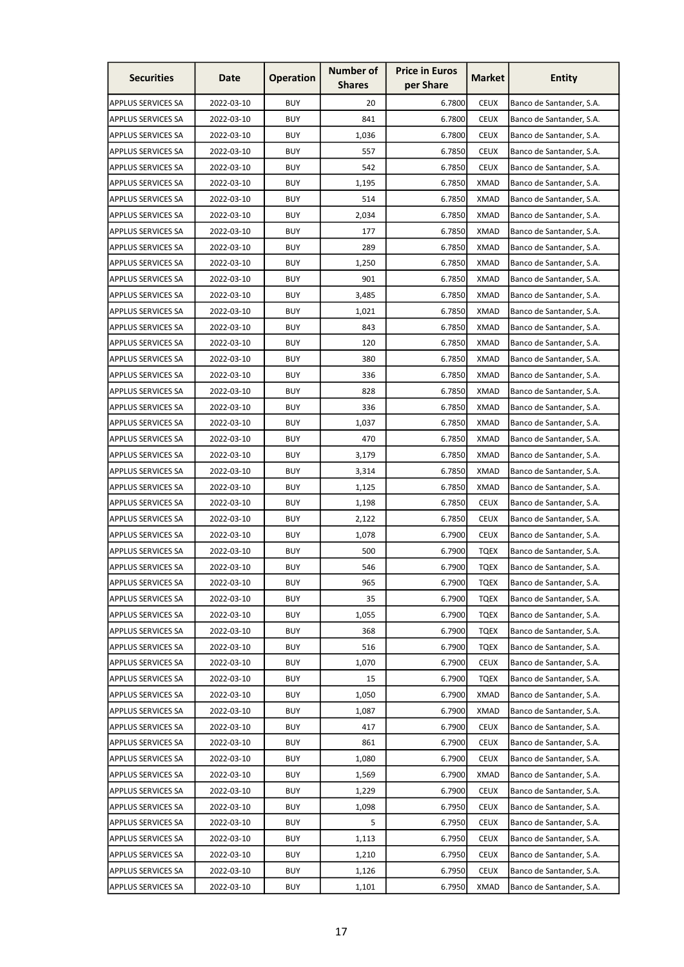| <b>Securities</b>         | Date       | <b>Operation</b> | <b>Number of</b><br><b>Shares</b> | <b>Price in Euros</b><br>per Share | <b>Market</b> | <b>Entity</b>            |
|---------------------------|------------|------------------|-----------------------------------|------------------------------------|---------------|--------------------------|
| <b>APPLUS SERVICES SA</b> | 2022-03-10 | <b>BUY</b>       | 20                                | 6.7800                             | <b>CEUX</b>   | Banco de Santander, S.A. |
| <b>APPLUS SERVICES SA</b> | 2022-03-10 | <b>BUY</b>       | 841                               | 6.7800                             | <b>CEUX</b>   | Banco de Santander, S.A. |
| <b>APPLUS SERVICES SA</b> | 2022-03-10 | <b>BUY</b>       | 1,036                             | 6.7800                             | <b>CEUX</b>   | Banco de Santander, S.A. |
| <b>APPLUS SERVICES SA</b> | 2022-03-10 | <b>BUY</b>       | 557                               | 6.7850                             | <b>CEUX</b>   | Banco de Santander, S.A. |
| <b>APPLUS SERVICES SA</b> | 2022-03-10 | <b>BUY</b>       | 542                               | 6.7850                             | <b>CEUX</b>   | Banco de Santander, S.A. |
| <b>APPLUS SERVICES SA</b> | 2022-03-10 | <b>BUY</b>       | 1,195                             | 6.7850                             | <b>XMAD</b>   | Banco de Santander, S.A. |
| APPLUS SERVICES SA        | 2022-03-10 | <b>BUY</b>       | 514                               | 6.7850                             | XMAD          | Banco de Santander, S.A. |
| <b>APPLUS SERVICES SA</b> | 2022-03-10 | <b>BUY</b>       | 2,034                             | 6.7850                             | <b>XMAD</b>   | Banco de Santander, S.A. |
| <b>APPLUS SERVICES SA</b> | 2022-03-10 | <b>BUY</b>       | 177                               | 6.7850                             | <b>XMAD</b>   | Banco de Santander, S.A. |
| <b>APPLUS SERVICES SA</b> | 2022-03-10 | <b>BUY</b>       | 289                               | 6.7850                             | <b>XMAD</b>   | Banco de Santander, S.A. |
| <b>APPLUS SERVICES SA</b> | 2022-03-10 | <b>BUY</b>       | 1,250                             | 6.7850                             | <b>XMAD</b>   | Banco de Santander, S.A. |
| <b>APPLUS SERVICES SA</b> | 2022-03-10 | <b>BUY</b>       | 901                               | 6.7850                             | XMAD          | Banco de Santander, S.A. |
| <b>APPLUS SERVICES SA</b> | 2022-03-10 | <b>BUY</b>       | 3,485                             | 6.7850                             | <b>XMAD</b>   | Banco de Santander, S.A. |
| <b>APPLUS SERVICES SA</b> | 2022-03-10 | <b>BUY</b>       | 1,021                             | 6.7850                             | XMAD          | Banco de Santander, S.A. |
| <b>APPLUS SERVICES SA</b> | 2022-03-10 | <b>BUY</b>       | 843                               | 6.7850                             | <b>XMAD</b>   | Banco de Santander, S.A. |
| <b>APPLUS SERVICES SA</b> | 2022-03-10 | <b>BUY</b>       | 120                               | 6.7850                             | <b>XMAD</b>   | Banco de Santander, S.A. |
| <b>APPLUS SERVICES SA</b> | 2022-03-10 | <b>BUY</b>       | 380                               | 6.7850                             | <b>XMAD</b>   | Banco de Santander, S.A. |
| <b>APPLUS SERVICES SA</b> | 2022-03-10 | <b>BUY</b>       | 336                               | 6.7850                             | <b>XMAD</b>   | Banco de Santander, S.A. |
| <b>APPLUS SERVICES SA</b> | 2022-03-10 | <b>BUY</b>       | 828                               | 6.7850                             | XMAD          | Banco de Santander, S.A. |
| <b>APPLUS SERVICES SA</b> | 2022-03-10 | <b>BUY</b>       | 336                               | 6.7850                             | XMAD          | Banco de Santander, S.A. |
| <b>APPLUS SERVICES SA</b> | 2022-03-10 | <b>BUY</b>       | 1,037                             | 6.7850                             | <b>XMAD</b>   | Banco de Santander, S.A. |
| <b>APPLUS SERVICES SA</b> | 2022-03-10 | <b>BUY</b>       | 470                               | 6.7850                             | <b>XMAD</b>   | Banco de Santander, S.A. |
| <b>APPLUS SERVICES SA</b> | 2022-03-10 | <b>BUY</b>       | 3,179                             | 6.7850                             | <b>XMAD</b>   | Banco de Santander, S.A. |
| <b>APPLUS SERVICES SA</b> | 2022-03-10 | <b>BUY</b>       | 3,314                             | 6.7850                             | <b>XMAD</b>   | Banco de Santander, S.A. |
| <b>APPLUS SERVICES SA</b> | 2022-03-10 | <b>BUY</b>       | 1,125                             | 6.7850                             | <b>XMAD</b>   | Banco de Santander, S.A. |
| <b>APPLUS SERVICES SA</b> | 2022-03-10 | <b>BUY</b>       | 1,198                             | 6.7850                             | <b>CEUX</b>   | Banco de Santander, S.A. |
| <b>APPLUS SERVICES SA</b> | 2022-03-10 | <b>BUY</b>       | 2,122                             | 6.7850                             | <b>CEUX</b>   | Banco de Santander, S.A. |
| <b>APPLUS SERVICES SA</b> | 2022-03-10 | <b>BUY</b>       | 1,078                             | 6.7900                             | <b>CEUX</b>   | Banco de Santander, S.A. |
| APPLUS SERVICES SA        | 2022-03-10 | <b>BUY</b>       | 500                               | 6.7900                             | <b>TQEX</b>   | Banco de Santander, S.A. |
| <b>APPLUS SERVICES SA</b> | 2022-03-10 | <b>BUY</b>       | 546                               | 6.7900                             | <b>TQEX</b>   | Banco de Santander, S.A. |
| <b>APPLUS SERVICES SA</b> | 2022-03-10 | <b>BUY</b>       | 965                               | 6.7900                             | <b>TQEX</b>   | Banco de Santander, S.A. |
| <b>APPLUS SERVICES SA</b> | 2022-03-10 | <b>BUY</b>       | 35                                | 6.7900                             | <b>TQEX</b>   | Banco de Santander, S.A. |
| <b>APPLUS SERVICES SA</b> | 2022-03-10 | <b>BUY</b>       | 1,055                             | 6.7900                             | <b>TQEX</b>   | Banco de Santander, S.A. |
| <b>APPLUS SERVICES SA</b> | 2022-03-10 | <b>BUY</b>       | 368                               | 6.7900                             | <b>TQEX</b>   | Banco de Santander, S.A. |
| <b>APPLUS SERVICES SA</b> | 2022-03-10 | <b>BUY</b>       | 516                               | 6.7900                             | <b>TQEX</b>   | Banco de Santander, S.A. |
| <b>APPLUS SERVICES SA</b> | 2022-03-10 | <b>BUY</b>       | 1,070                             | 6.7900                             | <b>CEUX</b>   | Banco de Santander, S.A. |
| <b>APPLUS SERVICES SA</b> | 2022-03-10 | <b>BUY</b>       | 15                                | 6.7900                             | <b>TQEX</b>   | Banco de Santander, S.A. |
| <b>APPLUS SERVICES SA</b> | 2022-03-10 | <b>BUY</b>       | 1,050                             | 6.7900                             | <b>XMAD</b>   | Banco de Santander, S.A. |
| APPLUS SERVICES SA        | 2022-03-10 | <b>BUY</b>       | 1,087                             | 6.7900                             | <b>XMAD</b>   | Banco de Santander, S.A. |
| <b>APPLUS SERVICES SA</b> | 2022-03-10 | <b>BUY</b>       | 417                               | 6.7900                             | <b>CEUX</b>   | Banco de Santander, S.A. |
| <b>APPLUS SERVICES SA</b> | 2022-03-10 | <b>BUY</b>       | 861                               | 6.7900                             | <b>CEUX</b>   | Banco de Santander, S.A. |
| <b>APPLUS SERVICES SA</b> | 2022-03-10 | <b>BUY</b>       | 1,080                             | 6.7900                             | <b>CEUX</b>   | Banco de Santander, S.A. |
| <b>APPLUS SERVICES SA</b> | 2022-03-10 | <b>BUY</b>       | 1,569                             | 6.7900                             | <b>XMAD</b>   | Banco de Santander, S.A. |
| <b>APPLUS SERVICES SA</b> | 2022-03-10 | <b>BUY</b>       | 1,229                             | 6.7900                             | <b>CEUX</b>   | Banco de Santander, S.A. |
| <b>APPLUS SERVICES SA</b> | 2022-03-10 | <b>BUY</b>       | 1,098                             | 6.7950                             | <b>CEUX</b>   | Banco de Santander, S.A. |
| <b>APPLUS SERVICES SA</b> | 2022-03-10 | <b>BUY</b>       | 5                                 | 6.7950                             | <b>CEUX</b>   | Banco de Santander, S.A. |
| <b>APPLUS SERVICES SA</b> | 2022-03-10 | <b>BUY</b>       | 1,113                             | 6.7950                             | <b>CEUX</b>   | Banco de Santander, S.A. |
| APPLUS SERVICES SA        | 2022-03-10 | <b>BUY</b>       | 1,210                             | 6.7950                             | <b>CEUX</b>   | Banco de Santander, S.A. |
| APPLUS SERVICES SA        | 2022-03-10 | <b>BUY</b>       | 1,126                             | 6.7950                             | <b>CEUX</b>   | Banco de Santander, S.A. |
| <b>APPLUS SERVICES SA</b> | 2022-03-10 | <b>BUY</b>       | 1,101                             | 6.7950                             | <b>XMAD</b>   | Banco de Santander, S.A. |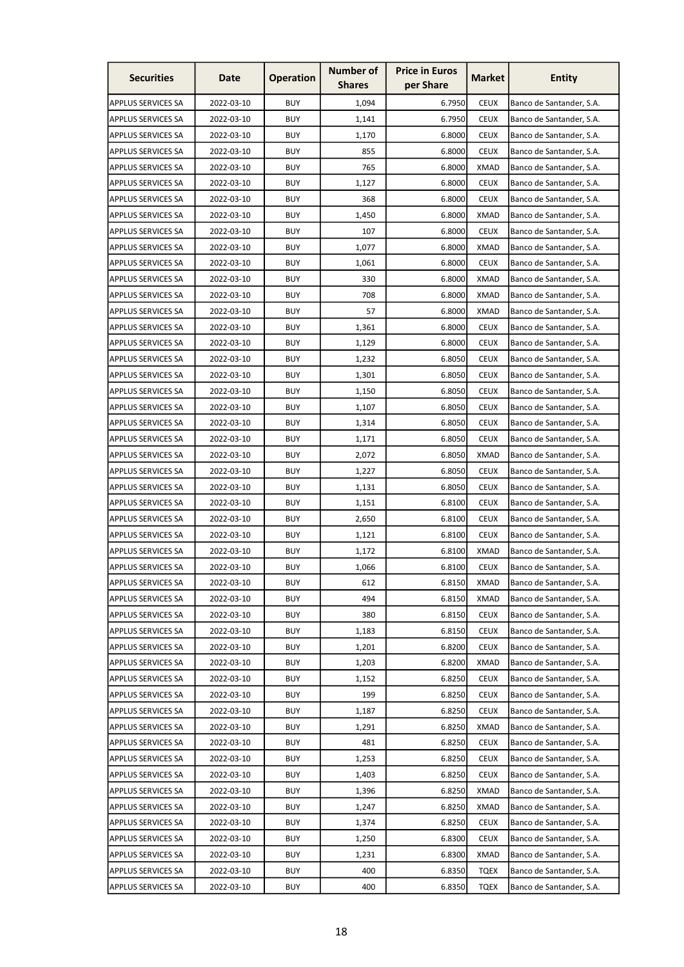| <b>Securities</b>         | Date       | <b>Operation</b>         | <b>Number of</b><br><b>Shares</b> | <b>Price in Euros</b><br>per Share | <b>Market</b> | <b>Entity</b>            |
|---------------------------|------------|--------------------------|-----------------------------------|------------------------------------|---------------|--------------------------|
| <b>APPLUS SERVICES SA</b> | 2022-03-10 | <b>BUY</b>               | 1,094                             | 6.7950                             | <b>CEUX</b>   | Banco de Santander, S.A. |
| <b>APPLUS SERVICES SA</b> | 2022-03-10 | <b>BUY</b>               | 1,141                             | 6.7950                             | <b>CEUX</b>   | Banco de Santander, S.A. |
| <b>APPLUS SERVICES SA</b> | 2022-03-10 | <b>BUY</b>               | 1,170                             | 6.8000                             | <b>CEUX</b>   | Banco de Santander, S.A. |
| <b>APPLUS SERVICES SA</b> | 2022-03-10 | <b>BUY</b>               | 855                               | 6.8000                             | <b>CEUX</b>   | Banco de Santander, S.A. |
| <b>APPLUS SERVICES SA</b> | 2022-03-10 | <b>BUY</b>               | 765                               | 6.8000                             | <b>XMAD</b>   | Banco de Santander, S.A. |
| <b>APPLUS SERVICES SA</b> | 2022-03-10 | <b>BUY</b>               | 1,127                             | 6.8000                             | <b>CEUX</b>   | Banco de Santander, S.A. |
| <b>APPLUS SERVICES SA</b> | 2022-03-10 | <b>BUY</b>               | 368                               | 6.8000                             | <b>CEUX</b>   | Banco de Santander, S.A. |
| <b>APPLUS SERVICES SA</b> | 2022-03-10 | <b>BUY</b>               | 1,450                             | 6.8000                             | <b>XMAD</b>   | Banco de Santander, S.A. |
| <b>APPLUS SERVICES SA</b> | 2022-03-10 | <b>BUY</b>               | 107                               | 6.8000                             | <b>CEUX</b>   | Banco de Santander, S.A. |
| <b>APPLUS SERVICES SA</b> | 2022-03-10 | <b>BUY</b>               | 1,077                             | 6.8000                             | <b>XMAD</b>   | Banco de Santander, S.A. |
| <b>APPLUS SERVICES SA</b> | 2022-03-10 | <b>BUY</b>               | 1,061                             | 6.8000                             | <b>CEUX</b>   | Banco de Santander, S.A. |
| <b>APPLUS SERVICES SA</b> | 2022-03-10 | <b>BUY</b>               | 330                               | 6.8000                             | <b>XMAD</b>   | Banco de Santander, S.A. |
| <b>APPLUS SERVICES SA</b> | 2022-03-10 | <b>BUY</b>               | 708                               | 6.8000                             | <b>XMAD</b>   | Banco de Santander, S.A. |
| <b>APPLUS SERVICES SA</b> | 2022-03-10 | <b>BUY</b>               | 57                                | 6.8000                             | XMAD          | Banco de Santander, S.A. |
| <b>APPLUS SERVICES SA</b> | 2022-03-10 | <b>BUY</b>               | 1,361                             | 6.8000                             | <b>CEUX</b>   | Banco de Santander, S.A. |
| <b>APPLUS SERVICES SA</b> | 2022-03-10 | <b>BUY</b>               | 1,129                             | 6.8000                             | <b>CEUX</b>   | Banco de Santander, S.A. |
| <b>APPLUS SERVICES SA</b> | 2022-03-10 | <b>BUY</b>               | 1,232                             | 6.8050                             | <b>CEUX</b>   | Banco de Santander, S.A. |
| <b>APPLUS SERVICES SA</b> | 2022-03-10 | <b>BUY</b>               | 1,301                             | 6.8050                             | <b>CEUX</b>   | Banco de Santander, S.A. |
| <b>APPLUS SERVICES SA</b> | 2022-03-10 | <b>BUY</b>               | 1,150                             | 6.8050                             | <b>CEUX</b>   | Banco de Santander, S.A. |
| <b>APPLUS SERVICES SA</b> | 2022-03-10 | <b>BUY</b>               | 1,107                             | 6.8050                             | <b>CEUX</b>   | Banco de Santander, S.A. |
| <b>APPLUS SERVICES SA</b> | 2022-03-10 | <b>BUY</b>               |                                   |                                    | <b>CEUX</b>   |                          |
|                           |            | <b>BUY</b>               | 1,314                             | 6.8050                             | <b>CEUX</b>   | Banco de Santander, S.A. |
| <b>APPLUS SERVICES SA</b> | 2022-03-10 |                          | 1,171                             | 6.8050                             |               | Banco de Santander, S.A. |
| <b>APPLUS SERVICES SA</b> | 2022-03-10 | <b>BUY</b><br><b>BUY</b> | 2,072                             | 6.8050                             | <b>XMAD</b>   | Banco de Santander, S.A. |
| <b>APPLUS SERVICES SA</b> | 2022-03-10 |                          | 1,227                             | 6.8050                             | <b>CEUX</b>   | Banco de Santander, S.A. |
| <b>APPLUS SERVICES SA</b> | 2022-03-10 | <b>BUY</b>               | 1,131                             | 6.8050                             | <b>CEUX</b>   | Banco de Santander, S.A. |
| <b>APPLUS SERVICES SA</b> | 2022-03-10 | <b>BUY</b>               | 1,151                             | 6.8100                             | <b>CEUX</b>   | Banco de Santander, S.A. |
| <b>APPLUS SERVICES SA</b> | 2022-03-10 | <b>BUY</b>               | 2,650                             | 6.8100                             | <b>CEUX</b>   | Banco de Santander, S.A. |
| <b>APPLUS SERVICES SA</b> | 2022-03-10 | <b>BUY</b>               | 1,121                             | 6.8100                             | <b>CEUX</b>   | Banco de Santander, S.A. |
| APPLUS SERVICES SA        | 2022-03-10 | <b>BUY</b>               | 1,172                             | 6.8100                             | <b>XMAD</b>   | Banco de Santander, S.A. |
| <b>APPLUS SERVICES SA</b> | 2022-03-10 | <b>BUY</b>               | 1,066                             | 6.8100                             | <b>CEUX</b>   | Banco de Santander, S.A. |
| <b>APPLUS SERVICES SA</b> | 2022-03-10 | <b>BUY</b>               | 612                               | 6.8150                             | <b>XMAD</b>   | Banco de Santander, S.A. |
| <b>APPLUS SERVICES SA</b> | 2022-03-10 | <b>BUY</b>               | 494                               | 6.8150                             | <b>XMAD</b>   | Banco de Santander, S.A. |
| <b>APPLUS SERVICES SA</b> | 2022-03-10 | <b>BUY</b>               | 380                               | 6.8150                             | <b>CEUX</b>   | Banco de Santander, S.A. |
| <b>APPLUS SERVICES SA</b> | 2022-03-10 | <b>BUY</b>               | 1,183                             | 6.8150                             | <b>CEUX</b>   | Banco de Santander, S.A. |
| <b>APPLUS SERVICES SA</b> | 2022-03-10 | <b>BUY</b>               | 1,201                             | 6.8200                             | <b>CEUX</b>   | Banco de Santander, S.A. |
| <b>APPLUS SERVICES SA</b> | 2022-03-10 | <b>BUY</b>               | 1,203                             | 6.8200                             | <b>XMAD</b>   | Banco de Santander, S.A. |
| <b>APPLUS SERVICES SA</b> | 2022-03-10 | <b>BUY</b>               | 1,152                             | 6.8250                             | <b>CEUX</b>   | Banco de Santander, S.A. |
| <b>APPLUS SERVICES SA</b> | 2022-03-10 | <b>BUY</b>               | 199                               | 6.8250                             | <b>CEUX</b>   | Banco de Santander, S.A. |
| <b>APPLUS SERVICES SA</b> | 2022-03-10 | <b>BUY</b>               | 1,187                             | 6.8250                             | <b>CEUX</b>   | Banco de Santander, S.A. |
| <b>APPLUS SERVICES SA</b> | 2022-03-10 | <b>BUY</b>               | 1,291                             | 6.8250                             | <b>XMAD</b>   | Banco de Santander, S.A. |
| <b>APPLUS SERVICES SA</b> | 2022-03-10 | <b>BUY</b>               | 481                               | 6.8250                             | <b>CEUX</b>   | Banco de Santander, S.A. |
| <b>APPLUS SERVICES SA</b> | 2022-03-10 | <b>BUY</b>               | 1,253                             | 6.8250                             | <b>CEUX</b>   | Banco de Santander, S.A. |
| <b>APPLUS SERVICES SA</b> | 2022-03-10 | <b>BUY</b>               | 1,403                             | 6.8250                             | <b>CEUX</b>   | Banco de Santander, S.A. |
| <b>APPLUS SERVICES SA</b> | 2022-03-10 | <b>BUY</b>               | 1,396                             | 6.8250                             | <b>XMAD</b>   | Banco de Santander, S.A. |
| <b>APPLUS SERVICES SA</b> | 2022-03-10 | <b>BUY</b>               | 1,247                             | 6.8250                             | <b>XMAD</b>   | Banco de Santander, S.A. |
| <b>APPLUS SERVICES SA</b> | 2022-03-10 | <b>BUY</b>               | 1,374                             | 6.8250                             | <b>CEUX</b>   | Banco de Santander, S.A. |
| <b>APPLUS SERVICES SA</b> | 2022-03-10 | <b>BUY</b>               | 1,250                             | 6.8300                             | <b>CEUX</b>   | Banco de Santander, S.A. |
| APPLUS SERVICES SA        | 2022-03-10 | <b>BUY</b>               | 1,231                             | 6.8300                             | <b>XMAD</b>   | Banco de Santander, S.A. |
| APPLUS SERVICES SA        | 2022-03-10 | <b>BUY</b>               | 400                               | 6.8350                             | <b>TQEX</b>   | Banco de Santander, S.A. |
| <b>APPLUS SERVICES SA</b> | 2022-03-10 | <b>BUY</b>               | 400                               | 6.8350                             | <b>TQEX</b>   | Banco de Santander, S.A. |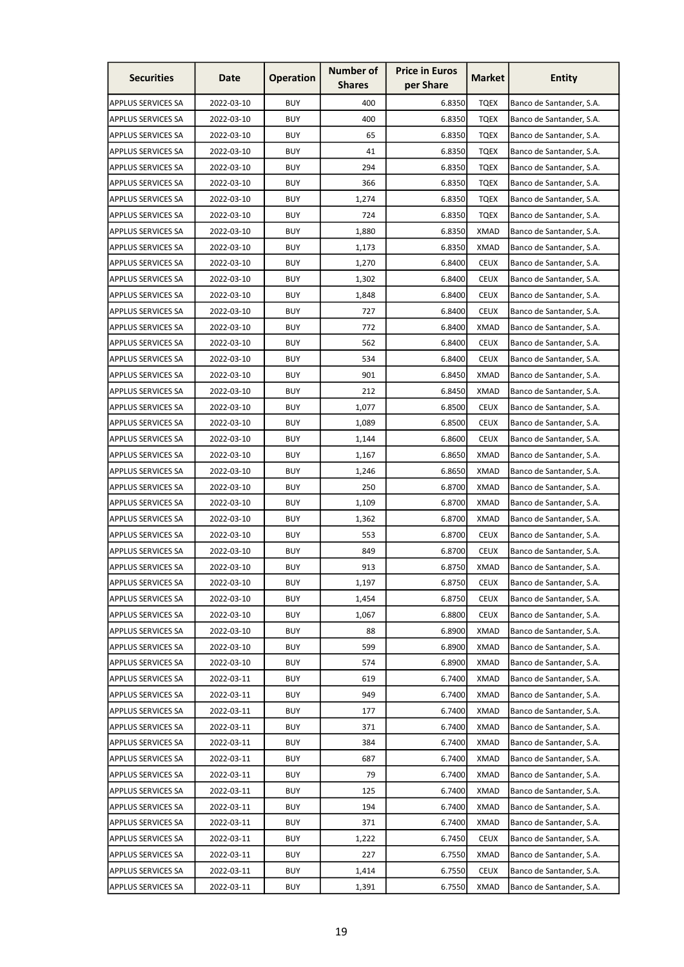| <b>Securities</b>         | Date       | <b>Operation</b> | <b>Number of</b><br><b>Shares</b> | <b>Price in Euros</b><br>per Share | <b>Market</b> | <b>Entity</b>            |
|---------------------------|------------|------------------|-----------------------------------|------------------------------------|---------------|--------------------------|
| <b>APPLUS SERVICES SA</b> | 2022-03-10 | <b>BUY</b>       | 400                               | 6.8350                             | <b>TQEX</b>   | Banco de Santander, S.A. |
| <b>APPLUS SERVICES SA</b> | 2022-03-10 | <b>BUY</b>       | 400                               | 6.8350                             | <b>TQEX</b>   | Banco de Santander, S.A. |
| <b>APPLUS SERVICES SA</b> | 2022-03-10 | <b>BUY</b>       | 65                                | 6.8350                             | <b>TOEX</b>   | Banco de Santander, S.A. |
| <b>APPLUS SERVICES SA</b> | 2022-03-10 | <b>BUY</b>       | 41                                | 6.8350                             | TQEX          | Banco de Santander, S.A. |
| <b>APPLUS SERVICES SA</b> | 2022-03-10 | <b>BUY</b>       | 294                               | 6.8350                             | <b>TQEX</b>   | Banco de Santander, S.A. |
| <b>APPLUS SERVICES SA</b> | 2022-03-10 | <b>BUY</b>       | 366                               | 6.8350                             | <b>TQEX</b>   | Banco de Santander, S.A. |
| <b>APPLUS SERVICES SA</b> | 2022-03-10 | <b>BUY</b>       | 1,274                             | 6.8350                             | TQEX          | Banco de Santander, S.A. |
| <b>APPLUS SERVICES SA</b> | 2022-03-10 | <b>BUY</b>       | 724                               | 6.8350                             | <b>TQEX</b>   | Banco de Santander, S.A. |
| <b>APPLUS SERVICES SA</b> | 2022-03-10 | <b>BUY</b>       | 1,880                             | 6.8350                             | <b>XMAD</b>   | Banco de Santander, S.A. |
| <b>APPLUS SERVICES SA</b> | 2022-03-10 | <b>BUY</b>       | 1,173                             | 6.8350                             | <b>XMAD</b>   | Banco de Santander, S.A. |
| <b>APPLUS SERVICES SA</b> | 2022-03-10 | <b>BUY</b>       | 1,270                             | 6.8400                             | <b>CEUX</b>   | Banco de Santander, S.A. |
| <b>APPLUS SERVICES SA</b> | 2022-03-10 | <b>BUY</b>       | 1,302                             | 6.8400                             | <b>CEUX</b>   | Banco de Santander, S.A. |
| <b>APPLUS SERVICES SA</b> | 2022-03-10 | <b>BUY</b>       | 1,848                             | 6.8400                             | <b>CEUX</b>   | Banco de Santander, S.A. |
| <b>APPLUS SERVICES SA</b> | 2022-03-10 | <b>BUY</b>       | 727                               | 6.8400                             | <b>CEUX</b>   | Banco de Santander, S.A. |
| <b>APPLUS SERVICES SA</b> | 2022-03-10 | <b>BUY</b>       | 772                               | 6.8400                             | <b>XMAD</b>   | Banco de Santander, S.A. |
| <b>APPLUS SERVICES SA</b> | 2022-03-10 | <b>BUY</b>       | 562                               | 6.8400                             | <b>CEUX</b>   | Banco de Santander, S.A. |
| <b>APPLUS SERVICES SA</b> | 2022-03-10 | <b>BUY</b>       | 534                               | 6.8400                             | <b>CEUX</b>   | Banco de Santander, S.A. |
| <b>APPLUS SERVICES SA</b> | 2022-03-10 | <b>BUY</b>       | 901                               | 6.8450                             | <b>XMAD</b>   | Banco de Santander, S.A. |
| <b>APPLUS SERVICES SA</b> | 2022-03-10 | <b>BUY</b>       | 212                               | 6.8450                             | XMAD          | Banco de Santander, S.A. |
| <b>APPLUS SERVICES SA</b> | 2022-03-10 | <b>BUY</b>       | 1,077                             | 6.8500                             | <b>CEUX</b>   | Banco de Santander, S.A. |
| <b>APPLUS SERVICES SA</b> | 2022-03-10 | <b>BUY</b>       | 1,089                             | 6.8500                             | <b>CEUX</b>   | Banco de Santander, S.A. |
| <b>APPLUS SERVICES SA</b> | 2022-03-10 | <b>BUY</b>       | 1,144                             | 6.8600                             | <b>CEUX</b>   | Banco de Santander, S.A. |
| <b>APPLUS SERVICES SA</b> | 2022-03-10 | <b>BUY</b>       | 1,167                             | 6.8650                             | <b>XMAD</b>   | Banco de Santander, S.A. |
| <b>APPLUS SERVICES SA</b> | 2022-03-10 | <b>BUY</b>       | 1,246                             | 6.8650                             | <b>XMAD</b>   | Banco de Santander, S.A. |
| <b>APPLUS SERVICES SA</b> | 2022-03-10 | <b>BUY</b>       | 250                               | 6.8700                             | <b>XMAD</b>   | Banco de Santander, S.A. |
| <b>APPLUS SERVICES SA</b> | 2022-03-10 | <b>BUY</b>       | 1,109                             | 6.8700                             | XMAD          | Banco de Santander, S.A. |
| <b>APPLUS SERVICES SA</b> | 2022-03-10 | <b>BUY</b>       | 1,362                             | 6.8700                             | <b>XMAD</b>   | Banco de Santander, S.A. |
| <b>APPLUS SERVICES SA</b> | 2022-03-10 | <b>BUY</b>       | 553                               | 6.8700                             | <b>CEUX</b>   | Banco de Santander, S.A. |
| APPLUS SERVICES SA        | 2022-03-10 | <b>BUY</b>       | 849                               | 6.8700                             | <b>CEUX</b>   | Banco de Santander, S.A. |
| <b>APPLUS SERVICES SA</b> | 2022-03-10 | <b>BUY</b>       | 913                               | 6.8750                             | <b>XMAD</b>   | Banco de Santander, S.A. |
| <b>APPLUS SERVICES SA</b> | 2022-03-10 | <b>BUY</b>       | 1,197                             | 6.8750                             | <b>CEUX</b>   | Banco de Santander, S.A. |
| <b>APPLUS SERVICES SA</b> | 2022-03-10 | <b>BUY</b>       | 1,454                             | 6.8750                             | <b>CEUX</b>   | Banco de Santander, S.A. |
| <b>APPLUS SERVICES SA</b> | 2022-03-10 | <b>BUY</b>       | 1,067                             | 6.8800                             | <b>CEUX</b>   | Banco de Santander, S.A. |
| <b>APPLUS SERVICES SA</b> | 2022-03-10 | <b>BUY</b>       | 88                                | 6.8900                             | <b>XMAD</b>   | Banco de Santander, S.A. |
| <b>APPLUS SERVICES SA</b> | 2022-03-10 | <b>BUY</b>       | 599                               | 6.8900                             | <b>XMAD</b>   | Banco de Santander, S.A. |
| <b>APPLUS SERVICES SA</b> | 2022-03-10 | <b>BUY</b>       | 574                               | 6.8900                             | <b>XMAD</b>   | Banco de Santander, S.A. |
| <b>APPLUS SERVICES SA</b> | 2022-03-11 | <b>BUY</b>       | 619                               | 6.7400                             | <b>XMAD</b>   | Banco de Santander, S.A. |
| <b>APPLUS SERVICES SA</b> | 2022-03-11 | <b>BUY</b>       | 949                               | 6.7400                             | <b>XMAD</b>   | Banco de Santander, S.A. |
| APPLUS SERVICES SA        | 2022-03-11 | <b>BUY</b>       | 177                               | 6.7400                             | <b>XMAD</b>   | Banco de Santander, S.A. |
| <b>APPLUS SERVICES SA</b> | 2022-03-11 | <b>BUY</b>       | 371                               | 6.7400                             | <b>XMAD</b>   | Banco de Santander, S.A. |
| <b>APPLUS SERVICES SA</b> | 2022-03-11 | <b>BUY</b>       | 384                               | 6.7400                             | <b>XMAD</b>   | Banco de Santander, S.A. |
| <b>APPLUS SERVICES SA</b> | 2022-03-11 | <b>BUY</b>       | 687                               | 6.7400                             | <b>XMAD</b>   | Banco de Santander, S.A. |
| <b>APPLUS SERVICES SA</b> | 2022-03-11 | <b>BUY</b>       | 79                                | 6.7400                             | <b>XMAD</b>   | Banco de Santander, S.A. |
| <b>APPLUS SERVICES SA</b> | 2022-03-11 | <b>BUY</b>       | 125                               | 6.7400                             | <b>XMAD</b>   | Banco de Santander, S.A. |
| <b>APPLUS SERVICES SA</b> | 2022-03-11 | <b>BUY</b>       | 194                               | 6.7400                             | <b>XMAD</b>   | Banco de Santander, S.A. |
| <b>APPLUS SERVICES SA</b> | 2022-03-11 | <b>BUY</b>       | 371                               | 6.7400                             | <b>XMAD</b>   | Banco de Santander, S.A. |
| <b>APPLUS SERVICES SA</b> | 2022-03-11 | <b>BUY</b>       | 1,222                             | 6.7450                             | <b>CEUX</b>   | Banco de Santander, S.A. |
| APPLUS SERVICES SA        | 2022-03-11 | <b>BUY</b>       | 227                               | 6.7550                             | <b>XMAD</b>   | Banco de Santander, S.A. |
| APPLUS SERVICES SA        | 2022-03-11 | <b>BUY</b>       | 1,414                             | 6.7550                             | <b>CEUX</b>   | Banco de Santander, S.A. |
| <b>APPLUS SERVICES SA</b> | 2022-03-11 | <b>BUY</b>       | 1,391                             | 6.7550                             | <b>XMAD</b>   | Banco de Santander, S.A. |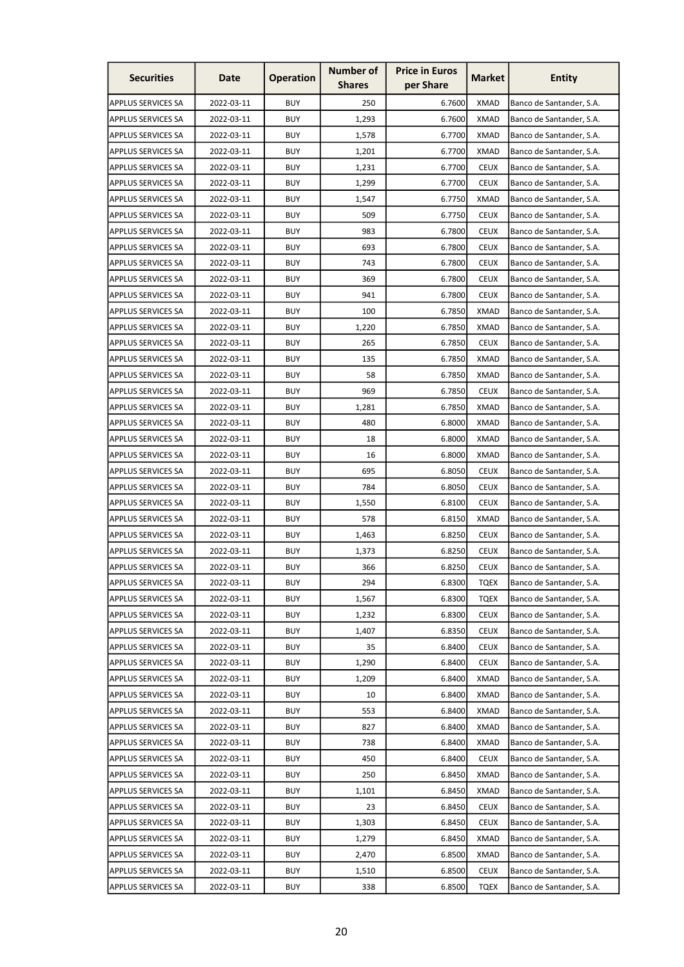| <b>Securities</b>         | Date       | <b>Operation</b> | <b>Number of</b><br><b>Shares</b> | <b>Price in Euros</b><br>per Share | <b>Market</b> | <b>Entity</b>            |
|---------------------------|------------|------------------|-----------------------------------|------------------------------------|---------------|--------------------------|
| <b>APPLUS SERVICES SA</b> | 2022-03-11 | <b>BUY</b>       | 250                               | 6.7600                             | <b>XMAD</b>   | Banco de Santander, S.A. |
| <b>APPLUS SERVICES SA</b> | 2022-03-11 | <b>BUY</b>       | 1,293                             | 6.7600                             | <b>XMAD</b>   | Banco de Santander, S.A. |
| <b>APPLUS SERVICES SA</b> | 2022-03-11 | <b>BUY</b>       | 1,578                             | 6.7700                             | <b>XMAD</b>   | Banco de Santander, S.A. |
| <b>APPLUS SERVICES SA</b> | 2022-03-11 | <b>BUY</b>       | 1,201                             | 6.7700                             | <b>XMAD</b>   | Banco de Santander, S.A. |
| <b>APPLUS SERVICES SA</b> | 2022-03-11 | <b>BUY</b>       | 1,231                             | 6.7700                             | <b>CEUX</b>   | Banco de Santander, S.A. |
| <b>APPLUS SERVICES SA</b> | 2022-03-11 | <b>BUY</b>       | 1,299                             | 6.7700                             | <b>CEUX</b>   | Banco de Santander, S.A. |
| <b>APPLUS SERVICES SA</b> | 2022-03-11 | <b>BUY</b>       | 1,547                             | 6.7750                             | <b>XMAD</b>   | Banco de Santander, S.A. |
| <b>APPLUS SERVICES SA</b> | 2022-03-11 | <b>BUY</b>       | 509                               | 6.7750                             | <b>CEUX</b>   | Banco de Santander, S.A. |
| <b>APPLUS SERVICES SA</b> | 2022-03-11 | <b>BUY</b>       | 983                               | 6.7800                             | <b>CEUX</b>   | Banco de Santander, S.A. |
| <b>APPLUS SERVICES SA</b> | 2022-03-11 | <b>BUY</b>       | 693                               | 6.7800                             | <b>CEUX</b>   | Banco de Santander, S.A. |
| <b>APPLUS SERVICES SA</b> | 2022-03-11 | <b>BUY</b>       | 743                               | 6.7800                             | <b>CEUX</b>   | Banco de Santander, S.A. |
| <b>APPLUS SERVICES SA</b> | 2022-03-11 | <b>BUY</b>       | 369                               | 6.7800                             | <b>CEUX</b>   | Banco de Santander, S.A. |
| <b>APPLUS SERVICES SA</b> | 2022-03-11 | <b>BUY</b>       | 941                               | 6.7800                             | <b>CEUX</b>   | Banco de Santander, S.A. |
| <b>APPLUS SERVICES SA</b> | 2022-03-11 | <b>BUY</b>       | 100                               | 6.7850                             | <b>XMAD</b>   | Banco de Santander, S.A. |
| <b>APPLUS SERVICES SA</b> | 2022-03-11 | <b>BUY</b>       | 1,220                             | 6.7850                             | <b>XMAD</b>   | Banco de Santander, S.A. |
| <b>APPLUS SERVICES SA</b> | 2022-03-11 | <b>BUY</b>       | 265                               | 6.7850                             | <b>CEUX</b>   | Banco de Santander, S.A. |
| <b>APPLUS SERVICES SA</b> | 2022-03-11 | <b>BUY</b>       | 135                               | 6.7850                             | <b>XMAD</b>   | Banco de Santander, S.A. |
| <b>APPLUS SERVICES SA</b> | 2022-03-11 | <b>BUY</b>       | 58                                | 6.7850                             | <b>XMAD</b>   | Banco de Santander, S.A. |
| <b>APPLUS SERVICES SA</b> | 2022-03-11 | <b>BUY</b>       | 969                               | 6.7850                             | <b>CEUX</b>   | Banco de Santander, S.A. |
| <b>APPLUS SERVICES SA</b> | 2022-03-11 | <b>BUY</b>       | 1,281                             | 6.7850                             | XMAD          | Banco de Santander, S.A. |
| <b>APPLUS SERVICES SA</b> | 2022-03-11 | <b>BUY</b>       | 480                               | 6.8000                             | <b>XMAD</b>   | Banco de Santander, S.A. |
| <b>APPLUS SERVICES SA</b> | 2022-03-11 | <b>BUY</b>       | 18                                | 6.8000                             | <b>XMAD</b>   | Banco de Santander, S.A. |
| <b>APPLUS SERVICES SA</b> | 2022-03-11 | <b>BUY</b>       | 16                                | 6.8000                             | <b>XMAD</b>   | Banco de Santander, S.A. |
| <b>APPLUS SERVICES SA</b> | 2022-03-11 | <b>BUY</b>       | 695                               | 6.8050                             | <b>CEUX</b>   | Banco de Santander, S.A. |
| <b>APPLUS SERVICES SA</b> | 2022-03-11 | <b>BUY</b>       | 784                               | 6.8050                             | <b>CEUX</b>   | Banco de Santander, S.A. |
| <b>APPLUS SERVICES SA</b> | 2022-03-11 | <b>BUY</b>       | 1,550                             | 6.8100                             | <b>CEUX</b>   | Banco de Santander, S.A. |
| <b>APPLUS SERVICES SA</b> | 2022-03-11 | <b>BUY</b>       | 578                               | 6.8150                             | <b>XMAD</b>   | Banco de Santander, S.A. |
| <b>APPLUS SERVICES SA</b> | 2022-03-11 | <b>BUY</b>       | 1,463                             | 6.8250                             | <b>CEUX</b>   | Banco de Santander, S.A. |
| <b>APPLUS SERVICES SA</b> | 2022-03-11 | <b>BUY</b>       | 1,373                             | 6.8250                             | <b>CEUX</b>   | Banco de Santander, S.A. |
| <b>APPLUS SERVICES SA</b> | 2022-03-11 | <b>BUY</b>       | 366                               | 6.8250                             | <b>CEUX</b>   | Banco de Santander, S.A. |
| APPLUS SERVICES SA        | 2022-03-11 | <b>BUY</b>       | 294                               | 6.8300                             | <b>TQEX</b>   | Banco de Santander, S.A. |
| <b>APPLUS SERVICES SA</b> | 2022-03-11 | <b>BUY</b>       | 1,567                             | 6.8300                             | <b>TQEX</b>   | Banco de Santander, S.A. |
| <b>APPLUS SERVICES SA</b> | 2022-03-11 | <b>BUY</b>       | 1,232                             | 6.8300                             | <b>CEUX</b>   | Banco de Santander, S.A. |
| <b>APPLUS SERVICES SA</b> | 2022-03-11 | <b>BUY</b>       | 1,407                             | 6.8350                             | <b>CEUX</b>   | Banco de Santander, S.A. |
| <b>APPLUS SERVICES SA</b> | 2022-03-11 | <b>BUY</b>       | 35                                | 6.8400                             | <b>CEUX</b>   | Banco de Santander, S.A. |
| <b>APPLUS SERVICES SA</b> | 2022-03-11 | <b>BUY</b>       | 1,290                             | 6.8400                             | <b>CEUX</b>   | Banco de Santander, S.A. |
| <b>APPLUS SERVICES SA</b> | 2022-03-11 | <b>BUY</b>       | 1,209                             | 6.8400                             | <b>XMAD</b>   | Banco de Santander, S.A. |
| <b>APPLUS SERVICES SA</b> | 2022-03-11 | <b>BUY</b>       | 10                                | 6.8400                             | <b>XMAD</b>   | Banco de Santander, S.A. |
| <b>APPLUS SERVICES SA</b> | 2022-03-11 | <b>BUY</b>       | 553                               | 6.8400                             | <b>XMAD</b>   | Banco de Santander, S.A. |
| <b>APPLUS SERVICES SA</b> | 2022-03-11 | <b>BUY</b>       | 827                               | 6.8400                             | <b>XMAD</b>   | Banco de Santander, S.A. |
| <b>APPLUS SERVICES SA</b> | 2022-03-11 | <b>BUY</b>       | 738                               | 6.8400                             | <b>XMAD</b>   | Banco de Santander, S.A. |
| APPLUS SERVICES SA        | 2022-03-11 | <b>BUY</b>       | 450                               | 6.8400                             | <b>CEUX</b>   | Banco de Santander, S.A. |
| <b>APPLUS SERVICES SA</b> | 2022-03-11 | <b>BUY</b>       | 250                               | 6.8450                             | <b>XMAD</b>   | Banco de Santander, S.A. |
| <b>APPLUS SERVICES SA</b> | 2022-03-11 | <b>BUY</b>       | 1,101                             | 6.8450                             | <b>XMAD</b>   | Banco de Santander, S.A. |
| <b>APPLUS SERVICES SA</b> | 2022-03-11 | <b>BUY</b>       | 23                                | 6.8450                             | <b>CEUX</b>   | Banco de Santander, S.A. |
| <b>APPLUS SERVICES SA</b> | 2022-03-11 | <b>BUY</b>       | 1,303                             | 6.8450                             | <b>CEUX</b>   | Banco de Santander, S.A. |
| <b>APPLUS SERVICES SA</b> | 2022-03-11 | <b>BUY</b>       | 1,279                             | 6.8450                             | <b>XMAD</b>   | Banco de Santander, S.A. |
| <b>APPLUS SERVICES SA</b> | 2022-03-11 | <b>BUY</b>       | 2,470                             | 6.8500                             | <b>XMAD</b>   | Banco de Santander, S.A. |
| <b>APPLUS SERVICES SA</b> | 2022-03-11 | <b>BUY</b>       | 1,510                             | 6.8500                             | <b>CEUX</b>   | Banco de Santander, S.A. |
| <b>APPLUS SERVICES SA</b> | 2022-03-11 | <b>BUY</b>       | 338                               | 6.8500                             | <b>TQEX</b>   | Banco de Santander, S.A. |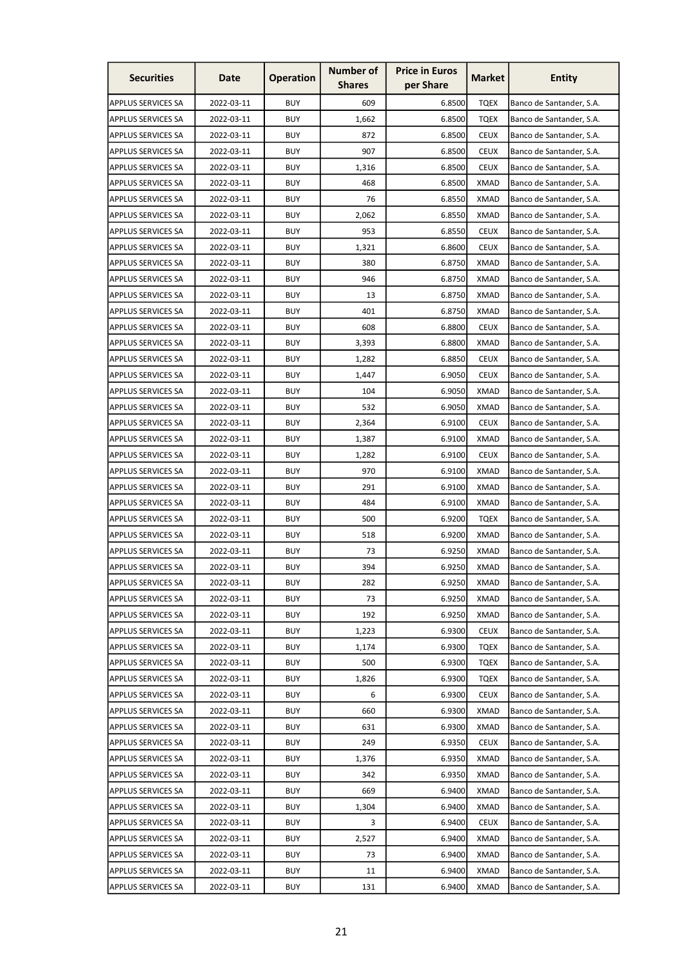| <b>Securities</b>         | Date       | <b>Operation</b> | <b>Number of</b><br><b>Shares</b> | <b>Price in Euros</b><br>per Share | <b>Market</b> | <b>Entity</b>            |
|---------------------------|------------|------------------|-----------------------------------|------------------------------------|---------------|--------------------------|
| <b>APPLUS SERVICES SA</b> | 2022-03-11 | <b>BUY</b>       | 609                               | 6.8500                             | <b>TQEX</b>   | Banco de Santander, S.A. |
| <b>APPLUS SERVICES SA</b> | 2022-03-11 | <b>BUY</b>       | 1,662                             | 6.8500                             | <b>TQEX</b>   | Banco de Santander, S.A. |
| <b>APPLUS SERVICES SA</b> | 2022-03-11 | <b>BUY</b>       | 872                               | 6.8500                             | <b>CEUX</b>   | Banco de Santander, S.A. |
| <b>APPLUS SERVICES SA</b> | 2022-03-11 | <b>BUY</b>       | 907                               | 6.8500                             | <b>CEUX</b>   | Banco de Santander, S.A. |
| <b>APPLUS SERVICES SA</b> | 2022-03-11 | <b>BUY</b>       | 1,316                             | 6.8500                             | <b>CEUX</b>   | Banco de Santander, S.A. |
| <b>APPLUS SERVICES SA</b> | 2022-03-11 | <b>BUY</b>       | 468                               | 6.8500                             | <b>XMAD</b>   | Banco de Santander, S.A. |
| <b>APPLUS SERVICES SA</b> | 2022-03-11 | <b>BUY</b>       | 76                                | 6.8550                             | XMAD          | Banco de Santander, S.A. |
| <b>APPLUS SERVICES SA</b> | 2022-03-11 | <b>BUY</b>       | 2,062                             | 6.8550                             | <b>XMAD</b>   | Banco de Santander, S.A. |
| <b>APPLUS SERVICES SA</b> | 2022-03-11 | <b>BUY</b>       | 953                               | 6.8550                             | <b>CEUX</b>   | Banco de Santander, S.A. |
| <b>APPLUS SERVICES SA</b> | 2022-03-11 | <b>BUY</b>       | 1,321                             | 6.8600                             | <b>CEUX</b>   | Banco de Santander, S.A. |
| <b>APPLUS SERVICES SA</b> | 2022-03-11 | <b>BUY</b>       | 380                               | 6.8750                             | <b>XMAD</b>   | Banco de Santander, S.A. |
| <b>APPLUS SERVICES SA</b> | 2022-03-11 | <b>BUY</b>       | 946                               | 6.8750                             | XMAD          | Banco de Santander, S.A. |
| <b>APPLUS SERVICES SA</b> | 2022-03-11 | <b>BUY</b>       | 13                                | 6.8750                             | <b>XMAD</b>   | Banco de Santander, S.A. |
| <b>APPLUS SERVICES SA</b> | 2022-03-11 | <b>BUY</b>       | 401                               | 6.8750                             | XMAD          | Banco de Santander, S.A. |
| <b>APPLUS SERVICES SA</b> | 2022-03-11 | <b>BUY</b>       | 608                               | 6.8800                             | <b>CEUX</b>   | Banco de Santander, S.A. |
| <b>APPLUS SERVICES SA</b> | 2022-03-11 | <b>BUY</b>       | 3,393                             | 6.8800                             | <b>XMAD</b>   | Banco de Santander, S.A. |
| <b>APPLUS SERVICES SA</b> | 2022-03-11 | <b>BUY</b>       | 1,282                             | 6.8850                             | <b>CEUX</b>   | Banco de Santander, S.A. |
| <b>APPLUS SERVICES SA</b> | 2022-03-11 | <b>BUY</b>       | 1,447                             | 6.9050                             | <b>CEUX</b>   | Banco de Santander, S.A. |
| <b>APPLUS SERVICES SA</b> | 2022-03-11 | <b>BUY</b>       | 104                               | 6.9050                             | XMAD          | Banco de Santander, S.A. |
| <b>APPLUS SERVICES SA</b> | 2022-03-11 | <b>BUY</b>       | 532                               | 6.9050                             | XMAD          | Banco de Santander, S.A. |
| <b>APPLUS SERVICES SA</b> | 2022-03-11 | <b>BUY</b>       | 2,364                             | 6.9100                             | <b>CEUX</b>   | Banco de Santander, S.A. |
| <b>APPLUS SERVICES SA</b> | 2022-03-11 | <b>BUY</b>       | 1,387                             | 6.9100                             | <b>XMAD</b>   | Banco de Santander, S.A. |
| <b>APPLUS SERVICES SA</b> | 2022-03-11 | <b>BUY</b>       | 1,282                             | 6.9100                             | <b>CEUX</b>   | Banco de Santander, S.A. |
| <b>APPLUS SERVICES SA</b> | 2022-03-11 | <b>BUY</b>       | 970                               | 6.9100                             | <b>XMAD</b>   | Banco de Santander, S.A. |
| <b>APPLUS SERVICES SA</b> | 2022-03-11 | <b>BUY</b>       | 291                               | 6.9100                             | <b>XMAD</b>   | Banco de Santander, S.A. |
| <b>APPLUS SERVICES SA</b> | 2022-03-11 | <b>BUY</b>       | 484                               | 6.9100                             | XMAD          | Banco de Santander, S.A. |
| <b>APPLUS SERVICES SA</b> | 2022-03-11 | <b>BUY</b>       | 500                               | 6.9200                             | <b>TQEX</b>   | Banco de Santander, S.A. |
| <b>APPLUS SERVICES SA</b> | 2022-03-11 | <b>BUY</b>       | 518                               | 6.9200                             | <b>XMAD</b>   | Banco de Santander, S.A. |
| APPLUS SERVICES SA        | 2022-03-11 | <b>BUY</b>       | 73                                | 6.9250                             | <b>XMAD</b>   | Banco de Santander, S.A. |
| <b>APPLUS SERVICES SA</b> | 2022-03-11 | <b>BUY</b>       | 394                               | 6.9250                             | <b>XMAD</b>   | Banco de Santander, S.A. |
| <b>APPLUS SERVICES SA</b> | 2022-03-11 | <b>BUY</b>       | 282                               | 6.9250                             | <b>XMAD</b>   | Banco de Santander, S.A. |
| <b>APPLUS SERVICES SA</b> | 2022-03-11 | <b>BUY</b>       | 73                                | 6.9250                             | <b>XMAD</b>   | Banco de Santander, S.A. |
| <b>APPLUS SERVICES SA</b> | 2022-03-11 | <b>BUY</b>       | 192                               | 6.9250                             | <b>XMAD</b>   | Banco de Santander, S.A. |
| <b>APPLUS SERVICES SA</b> | 2022-03-11 | <b>BUY</b>       | 1,223                             | 6.9300                             | <b>CEUX</b>   | Banco de Santander, S.A. |
| <b>APPLUS SERVICES SA</b> | 2022-03-11 | <b>BUY</b>       | 1,174                             | 6.9300                             | <b>TQEX</b>   | Banco de Santander, S.A. |
| <b>APPLUS SERVICES SA</b> | 2022-03-11 | <b>BUY</b>       | 500                               | 6.9300                             | <b>TQEX</b>   | Banco de Santander, S.A. |
| <b>APPLUS SERVICES SA</b> | 2022-03-11 | <b>BUY</b>       | 1,826                             | 6.9300                             | <b>TQEX</b>   | Banco de Santander, S.A. |
| <b>APPLUS SERVICES SA</b> | 2022-03-11 | <b>BUY</b>       | 6                                 | 6.9300                             | <b>CEUX</b>   | Banco de Santander, S.A. |
| <b>APPLUS SERVICES SA</b> | 2022-03-11 | <b>BUY</b>       | 660                               | 6.9300                             | XMAD          | Banco de Santander, S.A. |
| <b>APPLUS SERVICES SA</b> | 2022-03-11 | <b>BUY</b>       | 631                               | 6.9300                             | <b>XMAD</b>   | Banco de Santander, S.A. |
| <b>APPLUS SERVICES SA</b> | 2022-03-11 | <b>BUY</b>       | 249                               | 6.9350                             | <b>CEUX</b>   | Banco de Santander, S.A. |
| <b>APPLUS SERVICES SA</b> | 2022-03-11 | <b>BUY</b>       | 1,376                             | 6.9350                             | <b>XMAD</b>   | Banco de Santander, S.A. |
| <b>APPLUS SERVICES SA</b> | 2022-03-11 | <b>BUY</b>       | 342                               | 6.9350                             | <b>XMAD</b>   | Banco de Santander, S.A. |
| <b>APPLUS SERVICES SA</b> | 2022-03-11 | <b>BUY</b>       | 669                               | 6.9400                             | <b>XMAD</b>   | Banco de Santander, S.A. |
| <b>APPLUS SERVICES SA</b> | 2022-03-11 | <b>BUY</b>       | 1,304                             | 6.9400                             | <b>XMAD</b>   | Banco de Santander, S.A. |
| <b>APPLUS SERVICES SA</b> | 2022-03-11 | <b>BUY</b>       | 3                                 | 6.9400                             | <b>CEUX</b>   | Banco de Santander, S.A. |
| <b>APPLUS SERVICES SA</b> | 2022-03-11 | <b>BUY</b>       | 2,527                             | 6.9400                             | <b>XMAD</b>   | Banco de Santander, S.A. |
| <b>APPLUS SERVICES SA</b> | 2022-03-11 | <b>BUY</b>       | 73                                | 6.9400                             | <b>XMAD</b>   | Banco de Santander, S.A. |
| APPLUS SERVICES SA        | 2022-03-11 | <b>BUY</b>       | 11                                | 6.9400                             | <b>XMAD</b>   | Banco de Santander, S.A. |
| <b>APPLUS SERVICES SA</b> | 2022-03-11 | <b>BUY</b>       | 131                               | 6.9400                             | <b>XMAD</b>   | Banco de Santander, S.A. |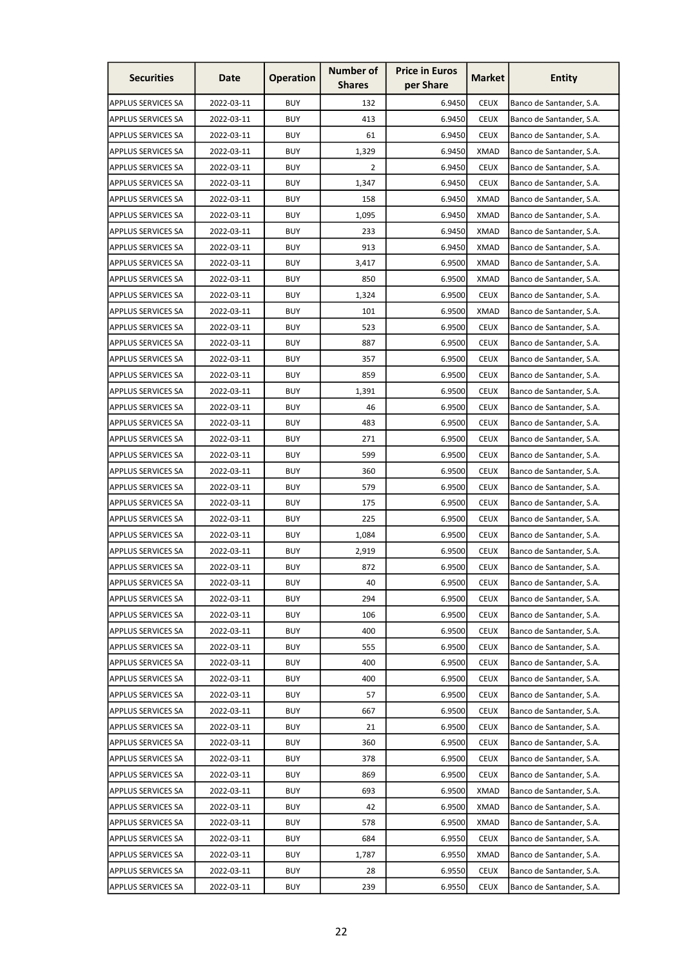| <b>Securities</b>         | Date       | <b>Operation</b> | <b>Number of</b><br><b>Shares</b> | <b>Price in Euros</b><br>per Share | <b>Market</b> | <b>Entity</b>            |
|---------------------------|------------|------------------|-----------------------------------|------------------------------------|---------------|--------------------------|
| <b>APPLUS SERVICES SA</b> | 2022-03-11 | <b>BUY</b>       | 132                               | 6.9450                             | <b>CEUX</b>   | Banco de Santander, S.A. |
| <b>APPLUS SERVICES SA</b> | 2022-03-11 | <b>BUY</b>       | 413                               | 6.9450                             | <b>CEUX</b>   | Banco de Santander, S.A. |
| <b>APPLUS SERVICES SA</b> | 2022-03-11 | <b>BUY</b>       | 61                                | 6.9450                             | <b>CEUX</b>   | Banco de Santander, S.A. |
| <b>APPLUS SERVICES SA</b> | 2022-03-11 | <b>BUY</b>       | 1,329                             | 6.9450                             | <b>XMAD</b>   | Banco de Santander, S.A. |
| <b>APPLUS SERVICES SA</b> | 2022-03-11 | <b>BUY</b>       | 2                                 | 6.9450                             | <b>CEUX</b>   | Banco de Santander, S.A. |
| <b>APPLUS SERVICES SA</b> | 2022-03-11 | <b>BUY</b>       | 1,347                             | 6.9450                             | <b>CEUX</b>   | Banco de Santander, S.A. |
| <b>APPLUS SERVICES SA</b> | 2022-03-11 | <b>BUY</b>       | 158                               | 6.9450                             | XMAD          | Banco de Santander, S.A. |
| <b>APPLUS SERVICES SA</b> | 2022-03-11 | <b>BUY</b>       | 1,095                             | 6.9450                             | <b>XMAD</b>   | Banco de Santander, S.A. |
| <b>APPLUS SERVICES SA</b> | 2022-03-11 | <b>BUY</b>       | 233                               | 6.9450                             | <b>XMAD</b>   | Banco de Santander, S.A. |
| <b>APPLUS SERVICES SA</b> | 2022-03-11 | <b>BUY</b>       | 913                               | 6.9450                             | <b>XMAD</b>   | Banco de Santander, S.A. |
| <b>APPLUS SERVICES SA</b> | 2022-03-11 | <b>BUY</b>       | 3,417                             | 6.9500                             | <b>XMAD</b>   | Banco de Santander, S.A. |
| <b>APPLUS SERVICES SA</b> | 2022-03-11 | <b>BUY</b>       | 850                               | 6.9500                             | XMAD          | Banco de Santander, S.A. |
| <b>APPLUS SERVICES SA</b> | 2022-03-11 | <b>BUY</b>       | 1,324                             | 6.9500                             | <b>CEUX</b>   | Banco de Santander, S.A. |
| <b>APPLUS SERVICES SA</b> | 2022-03-11 | <b>BUY</b>       | 101                               | 6.9500                             | <b>XMAD</b>   | Banco de Santander, S.A. |
| <b>APPLUS SERVICES SA</b> | 2022-03-11 | <b>BUY</b>       | 523                               | 6.9500                             | <b>CEUX</b>   | Banco de Santander, S.A. |
| <b>APPLUS SERVICES SA</b> | 2022-03-11 | <b>BUY</b>       | 887                               | 6.9500                             | <b>CEUX</b>   | Banco de Santander, S.A. |
| <b>APPLUS SERVICES SA</b> | 2022-03-11 | <b>BUY</b>       | 357                               | 6.9500                             | <b>CEUX</b>   | Banco de Santander, S.A. |
| <b>APPLUS SERVICES SA</b> | 2022-03-11 | <b>BUY</b>       | 859                               | 6.9500                             | <b>CEUX</b>   | Banco de Santander, S.A. |
| <b>APPLUS SERVICES SA</b> | 2022-03-11 | <b>BUY</b>       | 1,391                             | 6.9500                             | <b>CEUX</b>   | Banco de Santander, S.A. |
| <b>APPLUS SERVICES SA</b> | 2022-03-11 | <b>BUY</b>       | 46                                | 6.9500                             | <b>CEUX</b>   | Banco de Santander, S.A. |
| <b>APPLUS SERVICES SA</b> | 2022-03-11 | <b>BUY</b>       | 483                               | 6.9500                             | <b>CEUX</b>   | Banco de Santander, S.A. |
| <b>APPLUS SERVICES SA</b> | 2022-03-11 | <b>BUY</b>       | 271                               | 6.9500                             | <b>CEUX</b>   | Banco de Santander, S.A. |
| <b>APPLUS SERVICES SA</b> | 2022-03-11 | <b>BUY</b>       | 599                               | 6.9500                             | <b>CEUX</b>   | Banco de Santander, S.A. |
| <b>APPLUS SERVICES SA</b> | 2022-03-11 | <b>BUY</b>       | 360                               | 6.9500                             | <b>CEUX</b>   | Banco de Santander, S.A. |
| <b>APPLUS SERVICES SA</b> | 2022-03-11 | <b>BUY</b>       | 579                               | 6.9500                             | <b>CEUX</b>   | Banco de Santander, S.A. |
| <b>APPLUS SERVICES SA</b> | 2022-03-11 | <b>BUY</b>       | 175                               | 6.9500                             | <b>CEUX</b>   | Banco de Santander, S.A. |
| <b>APPLUS SERVICES SA</b> | 2022-03-11 | <b>BUY</b>       | 225                               | 6.9500                             | <b>CEUX</b>   | Banco de Santander, S.A. |
| <b>APPLUS SERVICES SA</b> | 2022-03-11 | <b>BUY</b>       | 1,084                             | 6.9500                             | <b>CEUX</b>   | Banco de Santander, S.A. |
| APPLUS SERVICES SA        | 2022-03-11 | <b>BUY</b>       | 2,919                             | 6.9500                             | <b>CEUX</b>   | Banco de Santander, S.A. |
| <b>APPLUS SERVICES SA</b> | 2022-03-11 | <b>BUY</b>       | 872                               | 6.9500                             | <b>CEUX</b>   | Banco de Santander, S.A. |
| <b>APPLUS SERVICES SA</b> | 2022-03-11 | <b>BUY</b>       | 40                                | 6.9500                             | <b>CEUX</b>   | Banco de Santander, S.A. |
| <b>APPLUS SERVICES SA</b> | 2022-03-11 | <b>BUY</b>       | 294                               | 6.9500                             | <b>CEUX</b>   | Banco de Santander, S.A. |
| <b>APPLUS SERVICES SA</b> | 2022-03-11 | <b>BUY</b>       | 106                               | 6.9500                             | <b>CEUX</b>   | Banco de Santander, S.A. |
| <b>APPLUS SERVICES SA</b> | 2022-03-11 | <b>BUY</b>       | 400                               | 6.9500                             | <b>CEUX</b>   | Banco de Santander, S.A. |
| <b>APPLUS SERVICES SA</b> | 2022-03-11 | <b>BUY</b>       | 555                               | 6.9500                             | <b>CEUX</b>   | Banco de Santander, S.A. |
| <b>APPLUS SERVICES SA</b> | 2022-03-11 | <b>BUY</b>       | 400                               | 6.9500                             | <b>CEUX</b>   | Banco de Santander, S.A. |
| <b>APPLUS SERVICES SA</b> | 2022-03-11 | <b>BUY</b>       | 400                               | 6.9500                             | <b>CEUX</b>   | Banco de Santander, S.A. |
| <b>APPLUS SERVICES SA</b> | 2022-03-11 | <b>BUY</b>       | 57                                | 6.9500                             | <b>CEUX</b>   | Banco de Santander, S.A. |
| <b>APPLUS SERVICES SA</b> | 2022-03-11 | <b>BUY</b>       | 667                               | 6.9500                             | <b>CEUX</b>   | Banco de Santander, S.A. |
| <b>APPLUS SERVICES SA</b> | 2022-03-11 | <b>BUY</b>       | 21                                | 6.9500                             | <b>CEUX</b>   | Banco de Santander, S.A. |
| <b>APPLUS SERVICES SA</b> | 2022-03-11 | <b>BUY</b>       | 360                               | 6.9500                             | <b>CEUX</b>   | Banco de Santander, S.A. |
| <b>APPLUS SERVICES SA</b> | 2022-03-11 | <b>BUY</b>       | 378                               | 6.9500                             | <b>CEUX</b>   | Banco de Santander, S.A. |
| <b>APPLUS SERVICES SA</b> | 2022-03-11 | <b>BUY</b>       | 869                               | 6.9500                             | <b>CEUX</b>   | Banco de Santander, S.A. |
| <b>APPLUS SERVICES SA</b> | 2022-03-11 | <b>BUY</b>       | 693                               | 6.9500                             | <b>XMAD</b>   | Banco de Santander, S.A. |
| <b>APPLUS SERVICES SA</b> | 2022-03-11 | <b>BUY</b>       | 42                                | 6.9500                             | XMAD          | Banco de Santander, S.A. |
| <b>APPLUS SERVICES SA</b> | 2022-03-11 | <b>BUY</b>       | 578                               | 6.9500                             | <b>XMAD</b>   | Banco de Santander, S.A. |
| <b>APPLUS SERVICES SA</b> | 2022-03-11 | <b>BUY</b>       | 684                               | 6.9550                             | <b>CEUX</b>   | Banco de Santander, S.A. |
| APPLUS SERVICES SA        | 2022-03-11 | <b>BUY</b>       | 1,787                             | 6.9550                             | <b>XMAD</b>   | Banco de Santander, S.A. |
| <b>APPLUS SERVICES SA</b> | 2022-03-11 | <b>BUY</b>       | 28                                | 6.9550                             | <b>CEUX</b>   | Banco de Santander, S.A. |
| <b>APPLUS SERVICES SA</b> | 2022-03-11 | <b>BUY</b>       | 239                               | 6.9550                             | <b>CEUX</b>   | Banco de Santander, S.A. |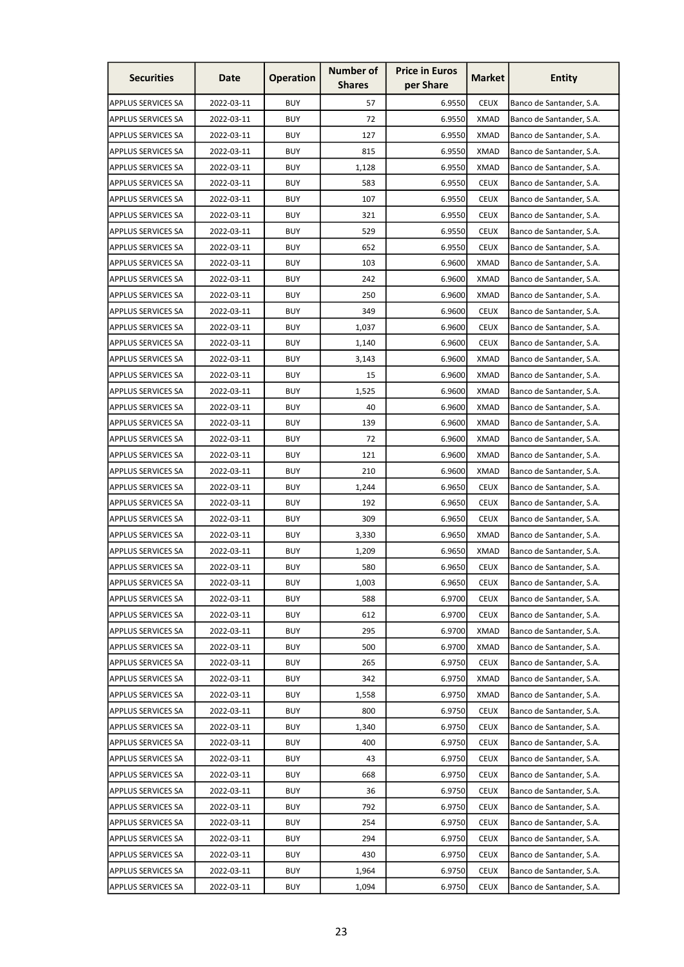| <b>Securities</b>         | Date       | <b>Operation</b> | <b>Number of</b><br><b>Shares</b> | <b>Price in Euros</b><br>per Share | <b>Market</b> | <b>Entity</b>            |
|---------------------------|------------|------------------|-----------------------------------|------------------------------------|---------------|--------------------------|
| <b>APPLUS SERVICES SA</b> | 2022-03-11 | <b>BUY</b>       | 57                                | 6.9550                             | <b>CEUX</b>   | Banco de Santander, S.A. |
| <b>APPLUS SERVICES SA</b> | 2022-03-11 | <b>BUY</b>       | 72                                | 6.9550                             | <b>XMAD</b>   | Banco de Santander, S.A. |
| <b>APPLUS SERVICES SA</b> | 2022-03-11 | <b>BUY</b>       | 127                               | 6.9550                             | <b>XMAD</b>   | Banco de Santander, S.A. |
| <b>APPLUS SERVICES SA</b> | 2022-03-11 | <b>BUY</b>       | 815                               | 6.9550                             | <b>XMAD</b>   | Banco de Santander, S.A. |
| <b>APPLUS SERVICES SA</b> | 2022-03-11 | <b>BUY</b>       | 1,128                             | 6.9550                             | <b>XMAD</b>   | Banco de Santander, S.A. |
| <b>APPLUS SERVICES SA</b> | 2022-03-11 | <b>BUY</b>       | 583                               | 6.9550                             | <b>CEUX</b>   | Banco de Santander, S.A. |
| <b>APPLUS SERVICES SA</b> | 2022-03-11 | <b>BUY</b>       | 107                               | 6.9550                             | <b>CEUX</b>   | Banco de Santander, S.A. |
| <b>APPLUS SERVICES SA</b> | 2022-03-11 | <b>BUY</b>       | 321                               | 6.9550                             | <b>CEUX</b>   | Banco de Santander, S.A. |
| <b>APPLUS SERVICES SA</b> | 2022-03-11 | <b>BUY</b>       | 529                               | 6.9550                             | <b>CEUX</b>   | Banco de Santander, S.A. |
| <b>APPLUS SERVICES SA</b> | 2022-03-11 | <b>BUY</b>       | 652                               | 6.9550                             | <b>CEUX</b>   | Banco de Santander, S.A. |
| <b>APPLUS SERVICES SA</b> | 2022-03-11 | <b>BUY</b>       | 103                               | 6.9600                             | <b>XMAD</b>   | Banco de Santander, S.A. |
| <b>APPLUS SERVICES SA</b> | 2022-03-11 | <b>BUY</b>       | 242                               | 6.9600                             | XMAD          | Banco de Santander, S.A. |
| <b>APPLUS SERVICES SA</b> | 2022-03-11 | <b>BUY</b>       | 250                               | 6.9600                             | <b>XMAD</b>   | Banco de Santander, S.A. |
| <b>APPLUS SERVICES SA</b> | 2022-03-11 | <b>BUY</b>       | 349                               | 6.9600                             | <b>CEUX</b>   | Banco de Santander, S.A. |
| <b>APPLUS SERVICES SA</b> | 2022-03-11 | <b>BUY</b>       | 1,037                             | 6.9600                             | <b>CEUX</b>   | Banco de Santander, S.A. |
| <b>APPLUS SERVICES SA</b> | 2022-03-11 | <b>BUY</b>       | 1,140                             | 6.9600                             | <b>CEUX</b>   | Banco de Santander, S.A. |
| <b>APPLUS SERVICES SA</b> | 2022-03-11 | <b>BUY</b>       | 3,143                             | 6.9600                             | <b>XMAD</b>   | Banco de Santander, S.A. |
| <b>APPLUS SERVICES SA</b> | 2022-03-11 | <b>BUY</b>       | 15                                | 6.9600                             | <b>XMAD</b>   | Banco de Santander, S.A. |
| <b>APPLUS SERVICES SA</b> | 2022-03-11 | <b>BUY</b>       | 1,525                             | 6.9600                             | XMAD          | Banco de Santander, S.A. |
| <b>APPLUS SERVICES SA</b> | 2022-03-11 | <b>BUY</b>       | 40                                | 6.9600                             | XMAD          | Banco de Santander, S.A. |
| <b>APPLUS SERVICES SA</b> | 2022-03-11 | <b>BUY</b>       | 139                               | 6.9600                             | <b>XMAD</b>   | Banco de Santander, S.A. |
| <b>APPLUS SERVICES SA</b> | 2022-03-11 | <b>BUY</b>       | 72                                | 6.9600                             | <b>XMAD</b>   | Banco de Santander, S.A. |
| <b>APPLUS SERVICES SA</b> | 2022-03-11 | <b>BUY</b>       | 121                               | 6.9600                             | <b>XMAD</b>   | Banco de Santander, S.A. |
| <b>APPLUS SERVICES SA</b> | 2022-03-11 | <b>BUY</b>       | 210                               | 6.9600                             | <b>XMAD</b>   | Banco de Santander, S.A. |
| <b>APPLUS SERVICES SA</b> | 2022-03-11 | <b>BUY</b>       | 1,244                             | 6.9650                             | <b>CEUX</b>   | Banco de Santander, S.A. |
| <b>APPLUS SERVICES SA</b> | 2022-03-11 | <b>BUY</b>       | 192                               | 6.9650                             | <b>CEUX</b>   | Banco de Santander, S.A. |
| <b>APPLUS SERVICES SA</b> | 2022-03-11 | <b>BUY</b>       | 309                               | 6.9650                             | <b>CEUX</b>   | Banco de Santander, S.A. |
| <b>APPLUS SERVICES SA</b> | 2022-03-11 | <b>BUY</b>       | 3,330                             | 6.9650                             | <b>XMAD</b>   | Banco de Santander, S.A. |
| APPLUS SERVICES SA        | 2022-03-11 | <b>BUY</b>       | 1,209                             | 6.9650                             | <b>XMAD</b>   | Banco de Santander, S.A. |
| <b>APPLUS SERVICES SA</b> | 2022-03-11 | <b>BUY</b>       | 580                               | 6.9650                             | <b>CEUX</b>   | Banco de Santander, S.A. |
| <b>APPLUS SERVICES SA</b> | 2022-03-11 | <b>BUY</b>       | 1,003                             | 6.9650                             | <b>CEUX</b>   | Banco de Santander, S.A. |
| <b>APPLUS SERVICES SA</b> | 2022-03-11 | <b>BUY</b>       | 588                               | 6.9700                             | <b>CEUX</b>   | Banco de Santander, S.A. |
| <b>APPLUS SERVICES SA</b> | 2022-03-11 | <b>BUY</b>       | 612                               | 6.9700                             | <b>CEUX</b>   | Banco de Santander, S.A. |
| <b>APPLUS SERVICES SA</b> | 2022-03-11 | <b>BUY</b>       | 295                               | 6.9700                             | <b>XMAD</b>   | Banco de Santander, S.A. |
| <b>APPLUS SERVICES SA</b> | 2022-03-11 | <b>BUY</b>       | 500                               | 6.9700                             | <b>XMAD</b>   | Banco de Santander, S.A. |
| <b>APPLUS SERVICES SA</b> | 2022-03-11 | <b>BUY</b>       | 265                               | 6.9750                             | <b>CEUX</b>   | Banco de Santander, S.A. |
| <b>APPLUS SERVICES SA</b> | 2022-03-11 | <b>BUY</b>       | 342                               | 6.9750                             | <b>XMAD</b>   | Banco de Santander, S.A. |
| <b>APPLUS SERVICES SA</b> | 2022-03-11 | <b>BUY</b>       | 1,558                             | 6.9750                             | <b>XMAD</b>   | Banco de Santander, S.A. |
| APPLUS SERVICES SA        | 2022-03-11 | <b>BUY</b>       | 800                               | 6.9750                             | <b>CEUX</b>   | Banco de Santander, S.A. |
| <b>APPLUS SERVICES SA</b> | 2022-03-11 | <b>BUY</b>       | 1,340                             | 6.9750                             | <b>CEUX</b>   | Banco de Santander, S.A. |
| <b>APPLUS SERVICES SA</b> | 2022-03-11 | <b>BUY</b>       | 400                               | 6.9750                             | <b>CEUX</b>   | Banco de Santander, S.A. |
| <b>APPLUS SERVICES SA</b> | 2022-03-11 | <b>BUY</b>       | 43                                | 6.9750                             | <b>CEUX</b>   | Banco de Santander, S.A. |
| <b>APPLUS SERVICES SA</b> | 2022-03-11 | <b>BUY</b>       | 668                               | 6.9750                             | <b>CEUX</b>   | Banco de Santander, S.A. |
| <b>APPLUS SERVICES SA</b> | 2022-03-11 | <b>BUY</b>       | 36                                | 6.9750                             | <b>CEUX</b>   | Banco de Santander, S.A. |
| <b>APPLUS SERVICES SA</b> | 2022-03-11 | <b>BUY</b>       | 792                               | 6.9750                             | <b>CEUX</b>   | Banco de Santander, S.A. |
| <b>APPLUS SERVICES SA</b> | 2022-03-11 | <b>BUY</b>       | 254                               | 6.9750                             | <b>CEUX</b>   | Banco de Santander, S.A. |
| <b>APPLUS SERVICES SA</b> | 2022-03-11 | <b>BUY</b>       | 294                               | 6.9750                             | <b>CEUX</b>   | Banco de Santander, S.A. |
| APPLUS SERVICES SA        | 2022-03-11 | <b>BUY</b>       | 430                               | 6.9750                             | <b>CEUX</b>   | Banco de Santander, S.A. |
| APPLUS SERVICES SA        | 2022-03-11 | <b>BUY</b>       | 1,964                             | 6.9750                             | <b>CEUX</b>   | Banco de Santander, S.A. |
| <b>APPLUS SERVICES SA</b> | 2022-03-11 | <b>BUY</b>       | 1,094                             | 6.9750                             | <b>CEUX</b>   | Banco de Santander, S.A. |